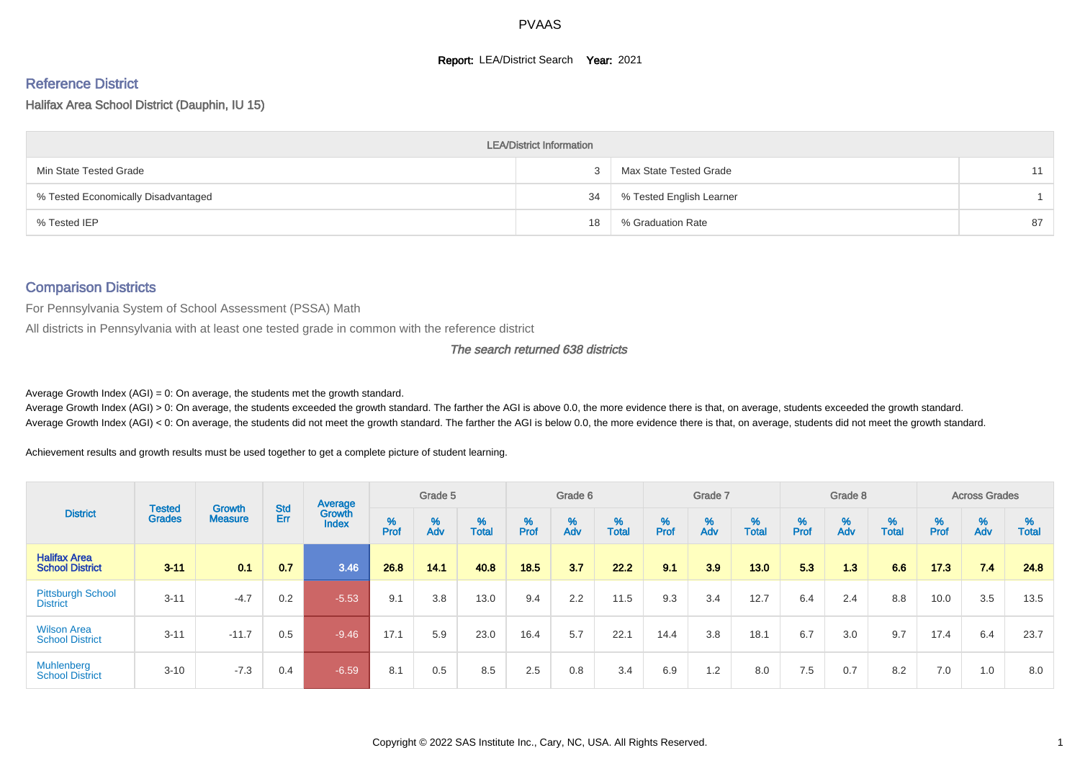#### **Report: LEA/District Search Year: 2021**

# Reference District

Halifax Area School District (Dauphin, IU 15)

|                                     | <b>LEA/District Information</b> |                          |    |
|-------------------------------------|---------------------------------|--------------------------|----|
| Min State Tested Grade              |                                 | Max State Tested Grade   | 11 |
| % Tested Economically Disadvantaged | 34                              | % Tested English Learner |    |
| % Tested IEP                        | 18                              | % Graduation Rate        | 87 |

#### Comparison Districts

For Pennsylvania System of School Assessment (PSSA) Math

All districts in Pennsylvania with at least one tested grade in common with the reference district

The search returned 638 districts

Average Growth Index  $(AGI) = 0$ : On average, the students met the growth standard.

Average Growth Index (AGI) > 0: On average, the students exceeded the growth standard. The farther the AGI is above 0.0, the more evidence there is that, on average, students exceeded the growth standard. Average Growth Index (AGI) < 0: On average, the students did not meet the growth standard. The farther the AGI is below 0.0, the more evidence there is that, on average, students did not meet the growth standard.

Achievement results and growth results must be used together to get a complete picture of student learning.

|                                               |                                |                                 |            | Average                |           | Grade 5  |                   |        | Grade 6  |                   |          | Grade 7  |            |           | Grade 8  |                   |                             | <b>Across Grades</b> |                   |
|-----------------------------------------------|--------------------------------|---------------------------------|------------|------------------------|-----------|----------|-------------------|--------|----------|-------------------|----------|----------|------------|-----------|----------|-------------------|-----------------------------|----------------------|-------------------|
| <b>District</b>                               | <b>Tested</b><br><b>Grades</b> | <b>Growth</b><br><b>Measure</b> | Std<br>Err | Growth<br><b>Index</b> | %<br>Prof | %<br>Adv | %<br><b>Total</b> | % Pref | %<br>Adv | %<br><b>Total</b> | $%$ Prof | %<br>Adv | %<br>Total | %<br>Prof | %<br>Adv | %<br><b>Total</b> | $% P_{\text{ref}}^{\infty}$ | %<br>Adv             | %<br><b>Total</b> |
| <b>Halifax Area</b><br><b>School District</b> | $3 - 11$                       | 0.1                             | 0.7        | 3.46                   | 26.8      | 14.1     | 40.8              | 18.5   | 3.7      | 22.2              | 9.1      | 3.9      | 13.0       | 5.3       | 1.3      | 6.6               | 17.3                        | 7.4                  | 24.8              |
| <b>Pittsburgh School</b><br><b>District</b>   | $3 - 11$                       | $-4.7$                          | 0.2        | $-5.53$                | 9.1       | 3.8      | 13.0              | 9.4    | 2.2      | 11.5              | 9.3      | 3.4      | 12.7       | 6.4       | 2.4      | 8.8               | 10.0                        | 3.5                  | 13.5              |
| <b>Wilson Area</b><br><b>School District</b>  | $3 - 11$                       | $-11.7$                         | 0.5        | $-9.46$                | 17.1      | 5.9      | 23.0              | 16.4   | 5.7      | 22.1              | 14.4     | 3.8      | 18.1       | 6.7       | 3.0      | 9.7               | 17.4                        | 6.4                  | 23.7              |
| <b>Muhlenberg</b><br><b>School District</b>   | $3 - 10$                       | $-7.3$                          | 0.4        | $-6.59$                | 8.1       | 0.5      | 8.5               | 2.5    | 0.8      | 3.4               | 6.9      | 1.2      | 8.0        | 7.5       | 0.7      | 8.2               | 7.0                         | 1.0                  | 8.0               |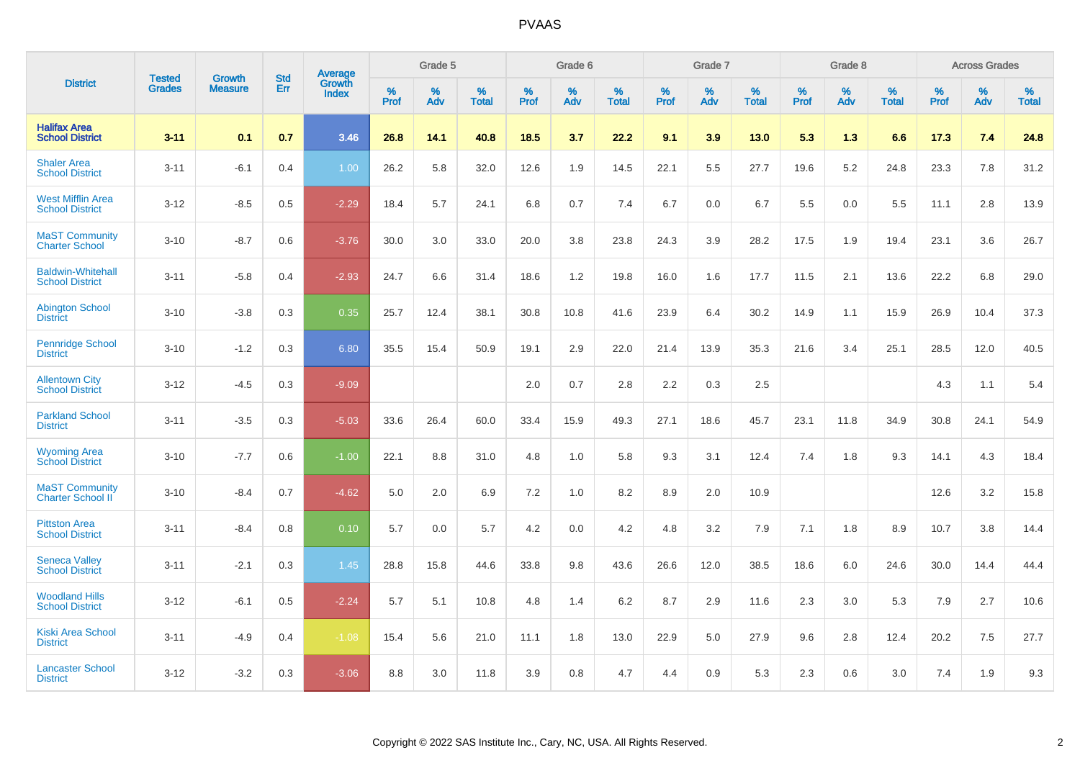|                                                    |                                |                                 | <b>Std</b> | <b>Average</b>         |           | Grade 5  |                   |           | Grade 6  |                   |           | Grade 7  |                   |           | Grade 8  |                   |           | <b>Across Grades</b> |            |
|----------------------------------------------------|--------------------------------|---------------------------------|------------|------------------------|-----------|----------|-------------------|-----------|----------|-------------------|-----------|----------|-------------------|-----------|----------|-------------------|-----------|----------------------|------------|
| <b>District</b>                                    | <b>Tested</b><br><b>Grades</b> | <b>Growth</b><br><b>Measure</b> | Err        | Growth<br><b>Index</b> | %<br>Prof | %<br>Adv | %<br><b>Total</b> | %<br>Prof | %<br>Adv | %<br><b>Total</b> | %<br>Prof | %<br>Adv | %<br><b>Total</b> | %<br>Prof | %<br>Adv | %<br><b>Total</b> | %<br>Prof | %<br>Adv             | %<br>Total |
| <b>Halifax Area</b><br><b>School District</b>      | $3 - 11$                       | 0.1                             | 0.7        | 3.46                   | 26.8      | 14.1     | 40.8              | 18.5      | 3.7      | 22.2              | 9.1       | 3.9      | 13.0              | 5.3       | 1.3      | 6.6               | 17.3      | 7.4                  | 24.8       |
| <b>Shaler Area</b><br><b>School District</b>       | $3 - 11$                       | $-6.1$                          | 0.4        | 1.00                   | 26.2      | 5.8      | 32.0              | 12.6      | 1.9      | 14.5              | 22.1      | 5.5      | 27.7              | 19.6      | 5.2      | 24.8              | 23.3      | 7.8                  | 31.2       |
| <b>West Mifflin Area</b><br><b>School District</b> | $3 - 12$                       | $-8.5$                          | 0.5        | $-2.29$                | 18.4      | 5.7      | 24.1              | 6.8       | 0.7      | 7.4               | 6.7       | 0.0      | 6.7               | 5.5       | 0.0      | 5.5               | 11.1      | 2.8                  | 13.9       |
| <b>MaST Community</b><br><b>Charter School</b>     | $3 - 10$                       | $-8.7$                          | 0.6        | $-3.76$                | 30.0      | 3.0      | 33.0              | 20.0      | 3.8      | 23.8              | 24.3      | 3.9      | 28.2              | 17.5      | 1.9      | 19.4              | 23.1      | 3.6                  | 26.7       |
| <b>Baldwin-Whitehall</b><br><b>School District</b> | $3 - 11$                       | $-5.8$                          | 0.4        | $-2.93$                | 24.7      | 6.6      | 31.4              | 18.6      | 1.2      | 19.8              | 16.0      | 1.6      | 17.7              | 11.5      | 2.1      | 13.6              | 22.2      | 6.8                  | 29.0       |
| <b>Abington School</b><br><b>District</b>          | $3 - 10$                       | $-3.8$                          | 0.3        | 0.35                   | 25.7      | 12.4     | 38.1              | 30.8      | 10.8     | 41.6              | 23.9      | 6.4      | 30.2              | 14.9      | 1.1      | 15.9              | 26.9      | 10.4                 | 37.3       |
| <b>Pennridge School</b><br><b>District</b>         | $3 - 10$                       | $-1.2$                          | 0.3        | 6.80                   | 35.5      | 15.4     | 50.9              | 19.1      | 2.9      | 22.0              | 21.4      | 13.9     | 35.3              | 21.6      | 3.4      | 25.1              | 28.5      | 12.0                 | 40.5       |
| <b>Allentown City</b><br><b>School District</b>    | $3 - 12$                       | $-4.5$                          | 0.3        | $-9.09$                |           |          |                   | 2.0       | 0.7      | 2.8               | 2.2       | 0.3      | 2.5               |           |          |                   | 4.3       | 1.1                  | 5.4        |
| <b>Parkland School</b><br><b>District</b>          | $3 - 11$                       | $-3.5$                          | 0.3        | $-5.03$                | 33.6      | 26.4     | 60.0              | 33.4      | 15.9     | 49.3              | 27.1      | 18.6     | 45.7              | 23.1      | 11.8     | 34.9              | 30.8      | 24.1                 | 54.9       |
| <b>Wyoming Area</b><br><b>School District</b>      | $3 - 10$                       | $-7.7$                          | 0.6        | $-1.00$                | 22.1      | 8.8      | 31.0              | 4.8       | 1.0      | 5.8               | 9.3       | 3.1      | 12.4              | 7.4       | 1.8      | 9.3               | 14.1      | 4.3                  | 18.4       |
| <b>MaST Community</b><br><b>Charter School II</b>  | $3 - 10$                       | $-8.4$                          | 0.7        | $-4.62$                | 5.0       | 2.0      | 6.9               | 7.2       | 1.0      | 8.2               | 8.9       | 2.0      | 10.9              |           |          |                   | 12.6      | 3.2                  | 15.8       |
| <b>Pittston Area</b><br><b>School District</b>     | $3 - 11$                       | $-8.4$                          | 0.8        | 0.10                   | 5.7       | 0.0      | 5.7               | 4.2       | 0.0      | 4.2               | 4.8       | 3.2      | 7.9               | 7.1       | 1.8      | 8.9               | 10.7      | 3.8                  | 14.4       |
| <b>Seneca Valley</b><br><b>School District</b>     | $3 - 11$                       | $-2.1$                          | 0.3        | 1.45                   | 28.8      | 15.8     | 44.6              | 33.8      | 9.8      | 43.6              | 26.6      | 12.0     | 38.5              | 18.6      | 6.0      | 24.6              | 30.0      | 14.4                 | 44.4       |
| <b>Woodland Hills</b><br><b>School District</b>    | $3 - 12$                       | $-6.1$                          | 0.5        | $-2.24$                | 5.7       | 5.1      | 10.8              | 4.8       | 1.4      | 6.2               | 8.7       | 2.9      | 11.6              | 2.3       | 3.0      | 5.3               | 7.9       | 2.7                  | 10.6       |
| <b>Kiski Area School</b><br><b>District</b>        | $3 - 11$                       | $-4.9$                          | 0.4        | $-1.08$                | 15.4      | 5.6      | 21.0              | 11.1      | 1.8      | 13.0              | 22.9      | 5.0      | 27.9              | 9.6       | 2.8      | 12.4              | 20.2      | 7.5                  | 27.7       |
| <b>Lancaster School</b><br><b>District</b>         | $3 - 12$                       | $-3.2$                          | 0.3        | $-3.06$                | 8.8       | 3.0      | 11.8              | 3.9       | 0.8      | 4.7               | 4.4       | 0.9      | 5.3               | 2.3       | 0.6      | 3.0               | 7.4       | 1.9                  | 9.3        |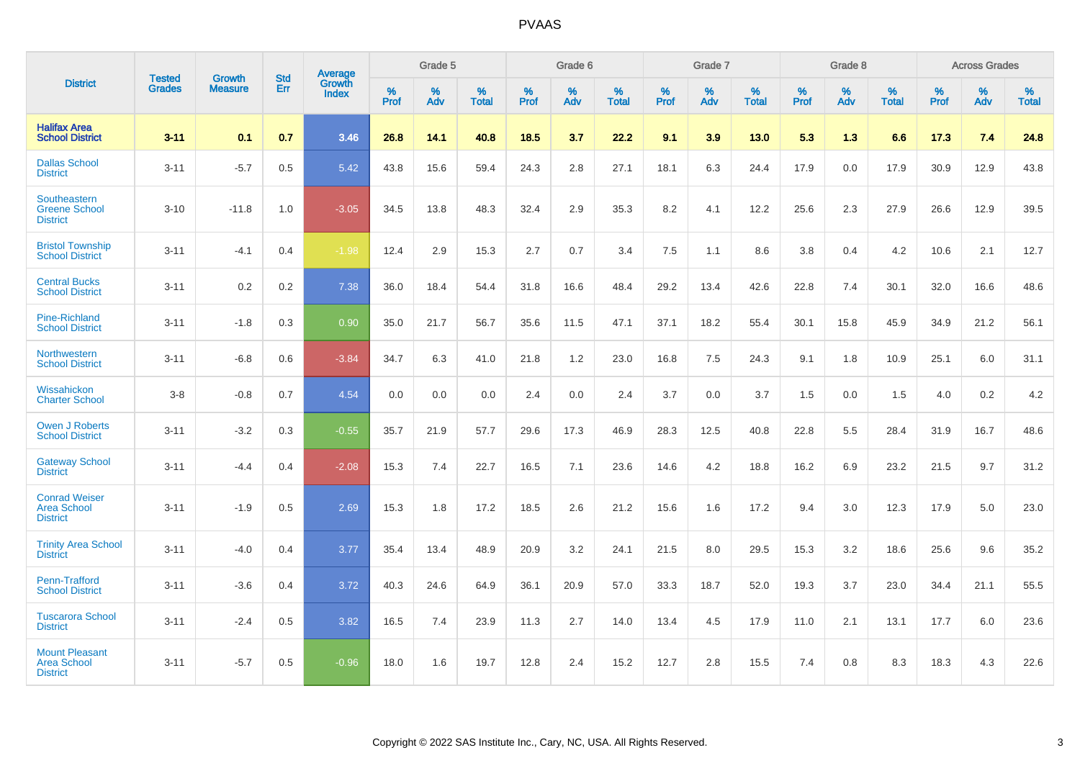|                                                                | <b>Tested</b> | Growth         | <b>Std</b> | Average                |           | Grade 5  |                   |           | Grade 6  |                   |           | Grade 7  |                   |           | Grade 8  |                   |           | <b>Across Grades</b> |                   |
|----------------------------------------------------------------|---------------|----------------|------------|------------------------|-----------|----------|-------------------|-----------|----------|-------------------|-----------|----------|-------------------|-----------|----------|-------------------|-----------|----------------------|-------------------|
| <b>District</b>                                                | <b>Grades</b> | <b>Measure</b> | Err        | Growth<br><b>Index</b> | %<br>Prof | %<br>Adv | %<br><b>Total</b> | %<br>Prof | %<br>Adv | %<br><b>Total</b> | %<br>Prof | %<br>Adv | %<br><b>Total</b> | %<br>Prof | %<br>Adv | %<br><b>Total</b> | %<br>Prof | %<br>Adv             | %<br><b>Total</b> |
| <b>Halifax Area</b><br><b>School District</b>                  | $3 - 11$      | 0.1            | 0.7        | 3.46                   | 26.8      | 14.1     | 40.8              | 18.5      | 3.7      | 22.2              | 9.1       | 3.9      | 13.0              | 5.3       | 1.3      | 6.6               | 17.3      | 7.4                  | 24.8              |
| <b>Dallas School</b><br><b>District</b>                        | $3 - 11$      | $-5.7$         | 0.5        | 5.42                   | 43.8      | 15.6     | 59.4              | 24.3      | 2.8      | 27.1              | 18.1      | 6.3      | 24.4              | 17.9      | 0.0      | 17.9              | 30.9      | 12.9                 | 43.8              |
| Southeastern<br><b>Greene School</b><br><b>District</b>        | $3 - 10$      | $-11.8$        | 1.0        | $-3.05$                | 34.5      | 13.8     | 48.3              | 32.4      | 2.9      | 35.3              | 8.2       | 4.1      | 12.2              | 25.6      | 2.3      | 27.9              | 26.6      | 12.9                 | 39.5              |
| <b>Bristol Township</b><br><b>School District</b>              | $3 - 11$      | $-4.1$         | 0.4        | $-1.98$                | 12.4      | 2.9      | 15.3              | 2.7       | 0.7      | 3.4               | 7.5       | 1.1      | 8.6               | 3.8       | 0.4      | 4.2               | 10.6      | 2.1                  | 12.7              |
| <b>Central Bucks</b><br><b>School District</b>                 | $3 - 11$      | 0.2            | 0.2        | 7.38                   | 36.0      | 18.4     | 54.4              | 31.8      | 16.6     | 48.4              | 29.2      | 13.4     | 42.6              | 22.8      | 7.4      | 30.1              | 32.0      | 16.6                 | 48.6              |
| <b>Pine-Richland</b><br><b>School District</b>                 | $3 - 11$      | $-1.8$         | 0.3        | 0.90                   | 35.0      | 21.7     | 56.7              | 35.6      | 11.5     | 47.1              | 37.1      | 18.2     | 55.4              | 30.1      | 15.8     | 45.9              | 34.9      | 21.2                 | 56.1              |
| Northwestern<br><b>School District</b>                         | $3 - 11$      | $-6.8$         | 0.6        | $-3.84$                | 34.7      | 6.3      | 41.0              | 21.8      | 1.2      | 23.0              | 16.8      | 7.5      | 24.3              | 9.1       | 1.8      | 10.9              | 25.1      | 6.0                  | 31.1              |
| Wissahickon<br><b>Charter School</b>                           | $3 - 8$       | $-0.8$         | 0.7        | 4.54                   | 0.0       | 0.0      | 0.0               | 2.4       | $0.0\,$  | 2.4               | 3.7       | 0.0      | 3.7               | 1.5       | 0.0      | 1.5               | 4.0       | $0.2\,$              | 4.2               |
| <b>Owen J Roberts</b><br><b>School District</b>                | $3 - 11$      | $-3.2$         | 0.3        | $-0.55$                | 35.7      | 21.9     | 57.7              | 29.6      | 17.3     | 46.9              | 28.3      | 12.5     | 40.8              | 22.8      | 5.5      | 28.4              | 31.9      | 16.7                 | 48.6              |
| <b>Gateway School</b><br><b>District</b>                       | $3 - 11$      | $-4.4$         | 0.4        | $-2.08$                | 15.3      | 7.4      | 22.7              | 16.5      | 7.1      | 23.6              | 14.6      | 4.2      | 18.8              | 16.2      | 6.9      | 23.2              | 21.5      | 9.7                  | 31.2              |
| <b>Conrad Weiser</b><br><b>Area School</b><br><b>District</b>  | $3 - 11$      | $-1.9$         | 0.5        | 2.69                   | 15.3      | 1.8      | 17.2              | 18.5      | 2.6      | 21.2              | 15.6      | 1.6      | 17.2              | 9.4       | 3.0      | 12.3              | 17.9      | 5.0                  | 23.0              |
| <b>Trinity Area School</b><br><b>District</b>                  | $3 - 11$      | $-4.0$         | 0.4        | 3.77                   | 35.4      | 13.4     | 48.9              | 20.9      | 3.2      | 24.1              | 21.5      | 8.0      | 29.5              | 15.3      | 3.2      | 18.6              | 25.6      | 9.6                  | 35.2              |
| <b>Penn-Trafford</b><br><b>School District</b>                 | $3 - 11$      | $-3.6$         | 0.4        | 3.72                   | 40.3      | 24.6     | 64.9              | 36.1      | 20.9     | 57.0              | 33.3      | 18.7     | 52.0              | 19.3      | 3.7      | 23.0              | 34.4      | 21.1                 | 55.5              |
| <b>Tuscarora School</b><br><b>District</b>                     | $3 - 11$      | $-2.4$         | 0.5        | 3.82                   | 16.5      | 7.4      | 23.9              | 11.3      | 2.7      | 14.0              | 13.4      | 4.5      | 17.9              | 11.0      | 2.1      | 13.1              | 17.7      | 6.0                  | 23.6              |
| <b>Mount Pleasant</b><br><b>Area School</b><br><b>District</b> | $3 - 11$      | $-5.7$         | 0.5        | $-0.96$                | 18.0      | 1.6      | 19.7              | 12.8      | 2.4      | 15.2              | 12.7      | 2.8      | 15.5              | 7.4       | 0.8      | 8.3               | 18.3      | 4.3                  | 22.6              |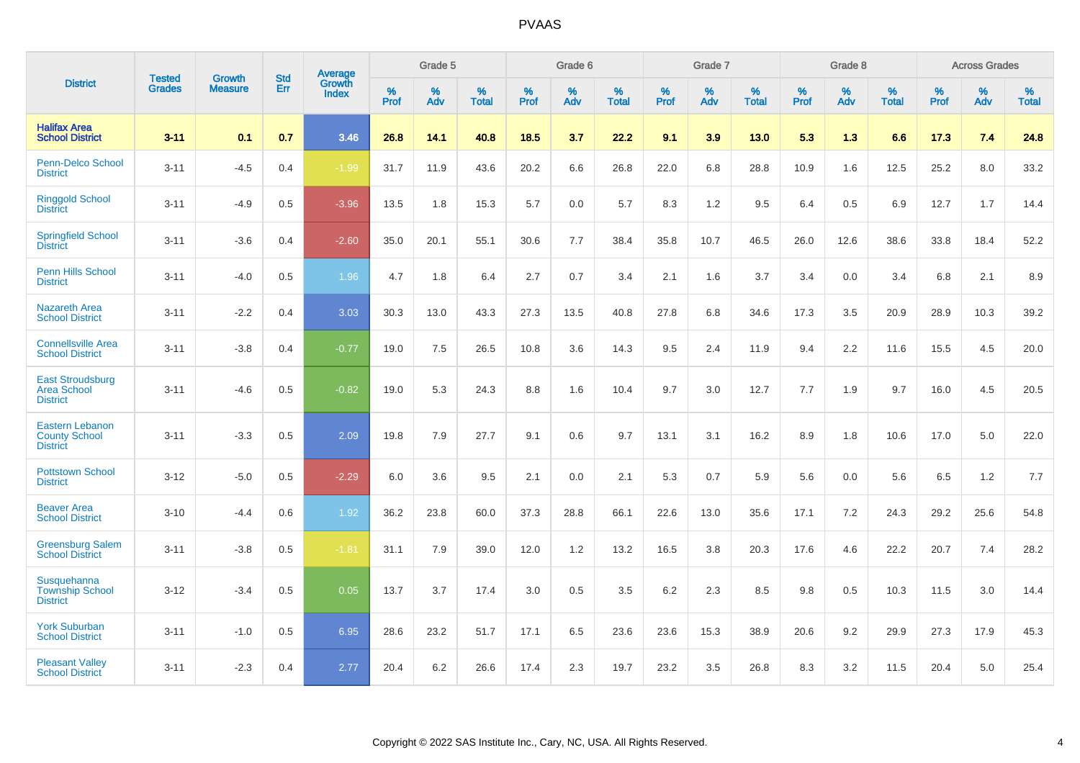|                                                                   |                                |                                 | <b>Std</b> | Average                       |           | Grade 5  |                   |           | Grade 6  |                   |           | Grade 7  |                   |           | Grade 8  |                   |           | <b>Across Grades</b> |                   |
|-------------------------------------------------------------------|--------------------------------|---------------------------------|------------|-------------------------------|-----------|----------|-------------------|-----------|----------|-------------------|-----------|----------|-------------------|-----------|----------|-------------------|-----------|----------------------|-------------------|
| <b>District</b>                                                   | <b>Tested</b><br><b>Grades</b> | <b>Growth</b><br><b>Measure</b> | Err        | <b>Growth</b><br><b>Index</b> | %<br>Prof | %<br>Adv | %<br><b>Total</b> | %<br>Prof | %<br>Adv | %<br><b>Total</b> | %<br>Prof | %<br>Adv | %<br><b>Total</b> | %<br>Prof | %<br>Adv | %<br><b>Total</b> | %<br>Prof | %<br>Adv             | %<br><b>Total</b> |
| <b>Halifax Area</b><br><b>School District</b>                     | $3 - 11$                       | 0.1                             | 0.7        | 3.46                          | 26.8      | 14.1     | 40.8              | 18.5      | 3.7      | 22.2              | 9.1       | 3.9      | 13.0              | 5.3       | 1.3      | 6.6               | 17.3      | 7.4                  | 24.8              |
| <b>Penn-Delco School</b><br><b>District</b>                       | $3 - 11$                       | $-4.5$                          | 0.4        | $-1.99$                       | 31.7      | 11.9     | 43.6              | 20.2      | 6.6      | 26.8              | 22.0      | 6.8      | 28.8              | 10.9      | 1.6      | 12.5              | 25.2      | 8.0                  | 33.2              |
| <b>Ringgold School</b><br><b>District</b>                         | $3 - 11$                       | $-4.9$                          | 0.5        | $-3.96$                       | 13.5      | 1.8      | 15.3              | 5.7       | 0.0      | 5.7               | 8.3       | 1.2      | 9.5               | 6.4       | 0.5      | 6.9               | 12.7      | 1.7                  | 14.4              |
| <b>Springfield School</b><br><b>District</b>                      | $3 - 11$                       | $-3.6$                          | 0.4        | $-2.60$                       | 35.0      | 20.1     | 55.1              | 30.6      | 7.7      | 38.4              | 35.8      | 10.7     | 46.5              | 26.0      | 12.6     | 38.6              | 33.8      | 18.4                 | 52.2              |
| Penn Hills School<br><b>District</b>                              | $3 - 11$                       | $-4.0$                          | 0.5        | 1.96                          | 4.7       | 1.8      | 6.4               | 2.7       | 0.7      | 3.4               | 2.1       | 1.6      | 3.7               | 3.4       | 0.0      | 3.4               | 6.8       | 2.1                  | 8.9               |
| <b>Nazareth Area</b><br><b>School District</b>                    | $3 - 11$                       | $-2.2$                          | 0.4        | 3.03                          | 30.3      | 13.0     | 43.3              | 27.3      | 13.5     | 40.8              | 27.8      | 6.8      | 34.6              | 17.3      | 3.5      | 20.9              | 28.9      | 10.3                 | 39.2              |
| <b>Connellsville Area</b><br><b>School District</b>               | $3 - 11$                       | $-3.8$                          | 0.4        | $-0.77$                       | 19.0      | 7.5      | 26.5              | 10.8      | 3.6      | 14.3              | 9.5       | 2.4      | 11.9              | 9.4       | 2.2      | 11.6              | 15.5      | 4.5                  | 20.0              |
| <b>East Stroudsburg</b><br><b>Area School</b><br><b>District</b>  | $3 - 11$                       | $-4.6$                          | 0.5        | $-0.82$                       | 19.0      | 5.3      | 24.3              | 8.8       | 1.6      | 10.4              | 9.7       | 3.0      | 12.7              | 7.7       | 1.9      | 9.7               | 16.0      | 4.5                  | 20.5              |
| <b>Eastern Lebanon</b><br><b>County School</b><br><b>District</b> | $3 - 11$                       | $-3.3$                          | 0.5        | 2.09                          | 19.8      | 7.9      | 27.7              | 9.1       | 0.6      | 9.7               | 13.1      | 3.1      | 16.2              | 8.9       | 1.8      | 10.6              | 17.0      | 5.0                  | 22.0              |
| <b>Pottstown School</b><br><b>District</b>                        | $3 - 12$                       | $-5.0$                          | 0.5        | $-2.29$                       | 6.0       | 3.6      | 9.5               | 2.1       | 0.0      | 2.1               | 5.3       | 0.7      | 5.9               | 5.6       | 0.0      | 5.6               | 6.5       | 1.2                  | 7.7               |
| <b>Beaver Area</b><br><b>School District</b>                      | $3 - 10$                       | $-4.4$                          | 0.6        | 1.92                          | 36.2      | 23.8     | 60.0              | 37.3      | 28.8     | 66.1              | 22.6      | 13.0     | 35.6              | 17.1      | 7.2      | 24.3              | 29.2      | 25.6                 | 54.8              |
| <b>Greensburg Salem</b><br><b>School District</b>                 | $3 - 11$                       | $-3.8$                          | 0.5        | $-1.81$                       | 31.1      | 7.9      | 39.0              | 12.0      | 1.2      | 13.2              | 16.5      | 3.8      | 20.3              | 17.6      | 4.6      | 22.2              | 20.7      | 7.4                  | 28.2              |
| Susquehanna<br><b>Township School</b><br><b>District</b>          | $3 - 12$                       | $-3.4$                          | 0.5        | 0.05                          | 13.7      | 3.7      | 17.4              | 3.0       | 0.5      | 3.5               | 6.2       | 2.3      | 8.5               | 9.8       | 0.5      | 10.3              | 11.5      | 3.0                  | 14.4              |
| <b>York Suburban</b><br><b>School District</b>                    | $3 - 11$                       | $-1.0$                          | 0.5        | 6.95                          | 28.6      | 23.2     | 51.7              | 17.1      | 6.5      | 23.6              | 23.6      | 15.3     | 38.9              | 20.6      | 9.2      | 29.9              | 27.3      | 17.9                 | 45.3              |
| <b>Pleasant Valley</b><br><b>School District</b>                  | $3 - 11$                       | $-2.3$                          | 0.4        | 2.77                          | 20.4      | 6.2      | 26.6              | 17.4      | 2.3      | 19.7              | 23.2      | 3.5      | 26.8              | 8.3       | 3.2      | 11.5              | 20.4      | 5.0                  | 25.4              |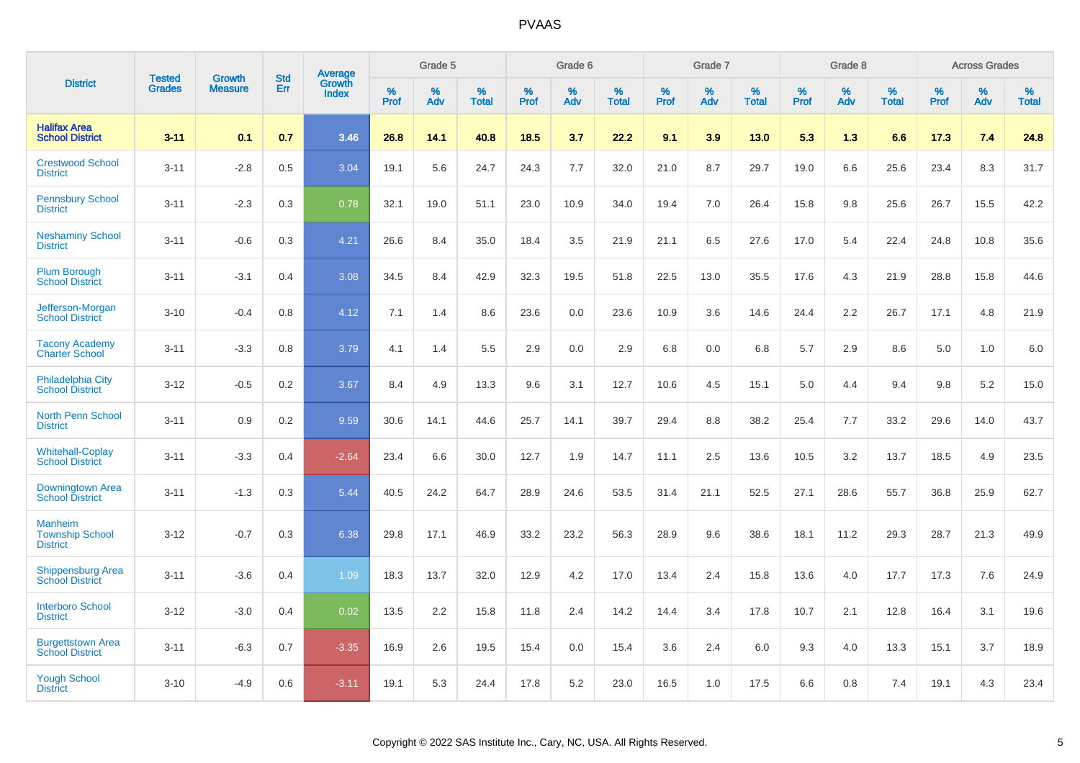|                                                             | <b>Tested</b> | <b>Growth</b>  | <b>Std</b> | Average                |              | Grade 5     |                      |              | Grade 6     |                      |              | Grade 7     |                   |              | Grade 8     |                   |                     | <b>Across Grades</b> |                      |
|-------------------------------------------------------------|---------------|----------------|------------|------------------------|--------------|-------------|----------------------|--------------|-------------|----------------------|--------------|-------------|-------------------|--------------|-------------|-------------------|---------------------|----------------------|----------------------|
| <b>District</b>                                             | <b>Grades</b> | <b>Measure</b> | Err        | Growth<br><b>Index</b> | $\%$<br>Prof | $\%$<br>Adv | $\%$<br><b>Total</b> | $\%$<br>Prof | $\%$<br>Adv | $\%$<br><b>Total</b> | $\%$<br>Prof | $\%$<br>Adv | %<br><b>Total</b> | $\%$<br>Prof | $\%$<br>Adv | %<br><b>Total</b> | $\%$<br><b>Prof</b> | $\%$<br>Adv          | $\%$<br><b>Total</b> |
| <b>Halifax Area</b><br><b>School District</b>               | $3 - 11$      | 0.1            | 0.7        | 3.46                   | 26.8         | 14.1        | 40.8                 | 18.5         | 3.7         | 22.2                 | 9.1          | 3.9         | 13.0              | 5.3          | 1.3         | 6.6               | 17.3                | 7.4                  | 24.8                 |
| <b>Crestwood School</b><br><b>District</b>                  | $3 - 11$      | $-2.8$         | 0.5        | 3.04                   | 19.1         | 5.6         | 24.7                 | 24.3         | 7.7         | 32.0                 | 21.0         | 8.7         | 29.7              | 19.0         | 6.6         | 25.6              | 23.4                | 8.3                  | 31.7                 |
| <b>Pennsbury School</b><br><b>District</b>                  | $3 - 11$      | $-2.3$         | 0.3        | 0.78                   | 32.1         | 19.0        | 51.1                 | 23.0         | 10.9        | 34.0                 | 19.4         | 7.0         | 26.4              | 15.8         | 9.8         | 25.6              | 26.7                | 15.5                 | 42.2                 |
| <b>Neshaminy School</b><br><b>District</b>                  | $3 - 11$      | $-0.6$         | 0.3        | 4.21                   | 26.6         | 8.4         | 35.0                 | 18.4         | 3.5         | 21.9                 | 21.1         | 6.5         | 27.6              | 17.0         | 5.4         | 22.4              | 24.8                | 10.8                 | 35.6                 |
| <b>Plum Borough</b><br><b>School District</b>               | $3 - 11$      | $-3.1$         | 0.4        | 3.08                   | 34.5         | 8.4         | 42.9                 | 32.3         | 19.5        | 51.8                 | 22.5         | 13.0        | 35.5              | 17.6         | 4.3         | 21.9              | 28.8                | 15.8                 | 44.6                 |
| Jefferson-Morgan<br><b>School District</b>                  | $3 - 10$      | $-0.4$         | 0.8        | 4.12                   | 7.1          | 1.4         | 8.6                  | 23.6         | 0.0         | 23.6                 | 10.9         | 3.6         | 14.6              | 24.4         | 2.2         | 26.7              | 17.1                | 4.8                  | 21.9                 |
| <b>Tacony Academy</b><br><b>Charter School</b>              | $3 - 11$      | $-3.3$         | 0.8        | 3.79                   | 4.1          | 1.4         | 5.5                  | 2.9          | 0.0         | 2.9                  | 6.8          | 0.0         | 6.8               | 5.7          | 2.9         | 8.6               | 5.0                 | 1.0                  | 6.0                  |
| <b>Philadelphia City</b><br><b>School District</b>          | $3 - 12$      | $-0.5$         | 0.2        | 3.67                   | 8.4          | 4.9         | 13.3                 | 9.6          | 3.1         | 12.7                 | 10.6         | 4.5         | 15.1              | 5.0          | 4.4         | 9.4               | 9.8                 | 5.2                  | 15.0                 |
| <b>North Penn School</b><br><b>District</b>                 | $3 - 11$      | 0.9            | 0.2        | 9.59                   | 30.6         | 14.1        | 44.6                 | 25.7         | 14.1        | 39.7                 | 29.4         | 8.8         | 38.2              | 25.4         | 7.7         | 33.2              | 29.6                | 14.0                 | 43.7                 |
| <b>Whitehall-Coplay</b><br><b>School District</b>           | $3 - 11$      | $-3.3$         | 0.4        | $-2.64$                | 23.4         | 6.6         | 30.0                 | 12.7         | 1.9         | 14.7                 | 11.1         | 2.5         | 13.6              | 10.5         | 3.2         | 13.7              | 18.5                | 4.9                  | 23.5                 |
| Downingtown Area<br><b>School District</b>                  | $3 - 11$      | $-1.3$         | 0.3        | 5.44                   | 40.5         | 24.2        | 64.7                 | 28.9         | 24.6        | 53.5                 | 31.4         | 21.1        | 52.5              | 27.1         | 28.6        | 55.7              | 36.8                | 25.9                 | 62.7                 |
| <b>Manheim</b><br><b>Township School</b><br><b>District</b> | $3 - 12$      | $-0.7$         | 0.3        | 6.38                   | 29.8         | 17.1        | 46.9                 | 33.2         | 23.2        | 56.3                 | 28.9         | 9.6         | 38.6              | 18.1         | 11.2        | 29.3              | 28.7                | 21.3                 | 49.9                 |
| <b>Shippensburg Area</b><br><b>School District</b>          | $3 - 11$      | $-3.6$         | 0.4        | 1.09                   | 18.3         | 13.7        | 32.0                 | 12.9         | 4.2         | 17.0                 | 13.4         | 2.4         | 15.8              | 13.6         | 4.0         | 17.7              | 17.3                | 7.6                  | 24.9                 |
| <b>Interboro School</b><br><b>District</b>                  | $3 - 12$      | $-3.0$         | 0.4        | 0.02                   | 13.5         | 2.2         | 15.8                 | 11.8         | 2.4         | 14.2                 | 14.4         | 3.4         | 17.8              | 10.7         | 2.1         | 12.8              | 16.4                | 3.1                  | 19.6                 |
| <b>Burgettstown Area</b><br><b>School District</b>          | $3 - 11$      | $-6.3$         | 0.7        | $-3.35$                | 16.9         | 2.6         | 19.5                 | 15.4         | 0.0         | 15.4                 | 3.6          | 2.4         | 6.0               | 9.3          | 4.0         | 13.3              | 15.1                | 3.7                  | 18.9                 |
| <b>Yough School</b><br><b>District</b>                      | $3 - 10$      | $-4.9$         | 0.6        | $-3.11$                | 19.1         | 5.3         | 24.4                 | 17.8         | 5.2         | 23.0                 | 16.5         | 1.0         | 17.5              | 6.6          | 0.8         | 7.4               | 19.1                | 4.3                  | 23.4                 |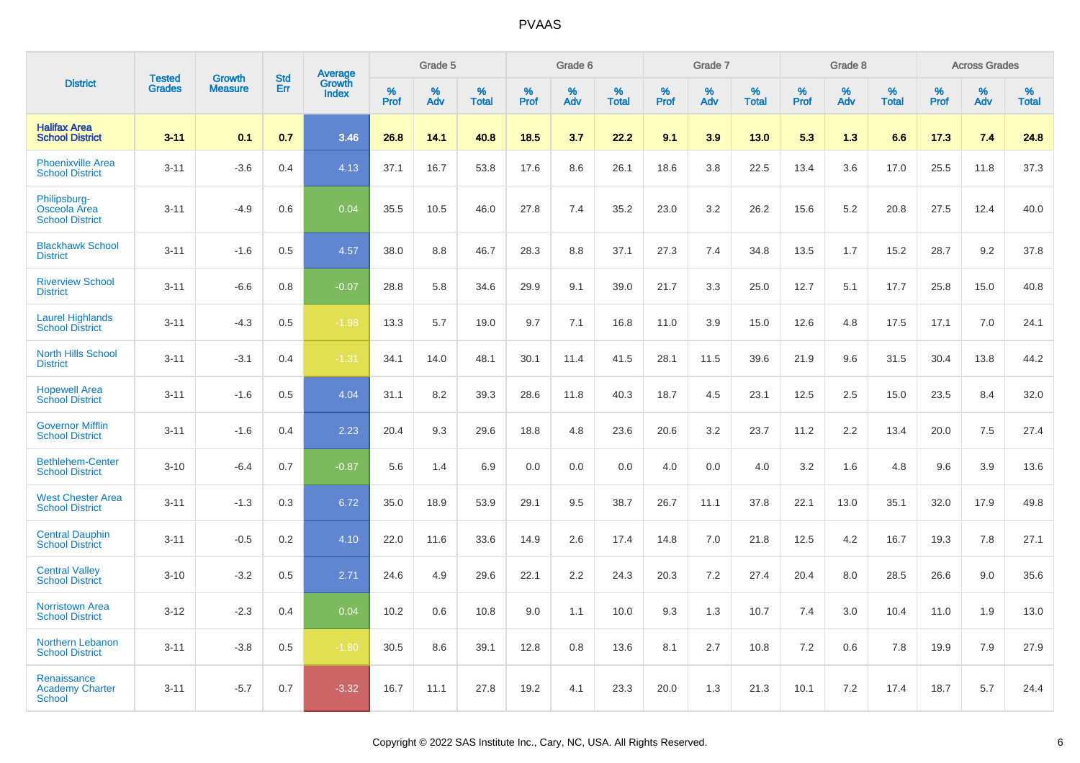|                                                        |                                |                                 | <b>Std</b> | Average                |                     | Grade 5  |                      |                     | Grade 6  |                      |              | Grade 7  |                      |                     | Grade 8  |                      |                     | <b>Across Grades</b> |                      |
|--------------------------------------------------------|--------------------------------|---------------------------------|------------|------------------------|---------------------|----------|----------------------|---------------------|----------|----------------------|--------------|----------|----------------------|---------------------|----------|----------------------|---------------------|----------------------|----------------------|
| <b>District</b>                                        | <b>Tested</b><br><b>Grades</b> | <b>Growth</b><br><b>Measure</b> | <b>Err</b> | Growth<br><b>Index</b> | $\%$<br><b>Prof</b> | %<br>Adv | $\%$<br><b>Total</b> | $\%$<br><b>Prof</b> | %<br>Adv | $\%$<br><b>Total</b> | $\%$<br>Prof | %<br>Adv | $\%$<br><b>Total</b> | $\%$<br><b>Prof</b> | %<br>Adv | $\%$<br><b>Total</b> | $\%$<br><b>Prof</b> | $\%$<br>Adv          | $\%$<br><b>Total</b> |
| <b>Halifax Area</b><br><b>School District</b>          | $3 - 11$                       | 0.1                             | 0.7        | 3.46                   | 26.8                | 14.1     | 40.8                 | 18.5                | 3.7      | 22.2                 | 9.1          | 3.9      | 13.0                 | 5.3                 | 1.3      | 6.6                  | 17.3                | 7.4                  | 24.8                 |
| <b>Phoenixville Area</b><br><b>School District</b>     | $3 - 11$                       | $-3.6$                          | 0.4        | 4.13                   | 37.1                | 16.7     | 53.8                 | 17.6                | 8.6      | 26.1                 | 18.6         | 3.8      | 22.5                 | 13.4                | 3.6      | 17.0                 | 25.5                | 11.8                 | 37.3                 |
| Philipsburg-<br>Osceola Area<br><b>School District</b> | $3 - 11$                       | $-4.9$                          | 0.6        | 0.04                   | 35.5                | 10.5     | 46.0                 | 27.8                | 7.4      | 35.2                 | 23.0         | 3.2      | 26.2                 | 15.6                | 5.2      | 20.8                 | 27.5                | 12.4                 | 40.0                 |
| <b>Blackhawk School</b><br><b>District</b>             | $3 - 11$                       | $-1.6$                          | 0.5        | 4.57                   | 38.0                | 8.8      | 46.7                 | 28.3                | 8.8      | 37.1                 | 27.3         | 7.4      | 34.8                 | 13.5                | 1.7      | 15.2                 | 28.7                | 9.2                  | 37.8                 |
| <b>Riverview School</b><br><b>District</b>             | $3 - 11$                       | $-6.6$                          | 0.8        | $-0.07$                | 28.8                | 5.8      | 34.6                 | 29.9                | 9.1      | 39.0                 | 21.7         | 3.3      | 25.0                 | 12.7                | 5.1      | 17.7                 | 25.8                | 15.0                 | 40.8                 |
| <b>Laurel Highlands</b><br><b>School District</b>      | $3 - 11$                       | $-4.3$                          | 0.5        | $-1.98$                | 13.3                | 5.7      | 19.0                 | 9.7                 | 7.1      | 16.8                 | 11.0         | 3.9      | 15.0                 | 12.6                | 4.8      | 17.5                 | 17.1                | 7.0                  | 24.1                 |
| <b>North Hills School</b><br><b>District</b>           | $3 - 11$                       | $-3.1$                          | 0.4        | $-1.31$                | 34.1                | 14.0     | 48.1                 | 30.1                | 11.4     | 41.5                 | 28.1         | 11.5     | 39.6                 | 21.9                | 9.6      | 31.5                 | 30.4                | 13.8                 | 44.2                 |
| <b>Hopewell Area</b><br><b>School District</b>         | $3 - 11$                       | $-1.6$                          | 0.5        | 4.04                   | 31.1                | 8.2      | 39.3                 | 28.6                | 11.8     | 40.3                 | 18.7         | 4.5      | 23.1                 | 12.5                | 2.5      | 15.0                 | 23.5                | 8.4                  | 32.0                 |
| <b>Governor Mifflin</b><br><b>School District</b>      | $3 - 11$                       | $-1.6$                          | 0.4        | 2.23                   | 20.4                | 9.3      | 29.6                 | 18.8                | 4.8      | 23.6                 | 20.6         | 3.2      | 23.7                 | 11.2                | 2.2      | 13.4                 | 20.0                | 7.5                  | 27.4                 |
| <b>Bethlehem-Center</b><br><b>School District</b>      | $3 - 10$                       | $-6.4$                          | 0.7        | $-0.87$                | 5.6                 | 1.4      | 6.9                  | 0.0                 | 0.0      | 0.0                  | 4.0          | 0.0      | 4.0                  | 3.2                 | 1.6      | 4.8                  | 9.6                 | 3.9                  | 13.6                 |
| <b>West Chester Area</b><br><b>School District</b>     | $3 - 11$                       | $-1.3$                          | 0.3        | 6.72                   | 35.0                | 18.9     | 53.9                 | 29.1                | 9.5      | 38.7                 | 26.7         | 11.1     | 37.8                 | 22.1                | 13.0     | 35.1                 | 32.0                | 17.9                 | 49.8                 |
| <b>Central Dauphin</b><br><b>School District</b>       | $3 - 11$                       | $-0.5$                          | 0.2        | 4.10                   | 22.0                | 11.6     | 33.6                 | 14.9                | 2.6      | 17.4                 | 14.8         | 7.0      | 21.8                 | 12.5                | 4.2      | 16.7                 | 19.3                | 7.8                  | 27.1                 |
| <b>Central Valley</b><br><b>School District</b>        | $3 - 10$                       | $-3.2$                          | 0.5        | 2.71                   | 24.6                | 4.9      | 29.6                 | 22.1                | 2.2      | 24.3                 | 20.3         | 7.2      | 27.4                 | 20.4                | 8.0      | 28.5                 | 26.6                | 9.0                  | 35.6                 |
| <b>Norristown Area</b><br><b>School District</b>       | $3 - 12$                       | $-2.3$                          | 0.4        | 0.04                   | 10.2                | 0.6      | 10.8                 | 9.0                 | 1.1      | 10.0                 | 9.3          | 1.3      | 10.7                 | 7.4                 | 3.0      | 10.4                 | 11.0                | 1.9                  | 13.0                 |
| Northern Lebanon<br><b>School District</b>             | $3 - 11$                       | $-3.8$                          | 0.5        | $-1.80$                | 30.5                | 8.6      | 39.1                 | 12.8                | 0.8      | 13.6                 | 8.1          | 2.7      | 10.8                 | 7.2                 | 0.6      | 7.8                  | 19.9                | 7.9                  | 27.9                 |
| Renaissance<br><b>Academy Charter</b><br>School        | $3 - 11$                       | $-5.7$                          | 0.7        | $-3.32$                | 16.7                | 11.1     | 27.8                 | 19.2                | 4.1      | 23.3                 | 20.0         | 1.3      | 21.3                 | 10.1                | 7.2      | 17.4                 | 18.7                | 5.7                  | 24.4                 |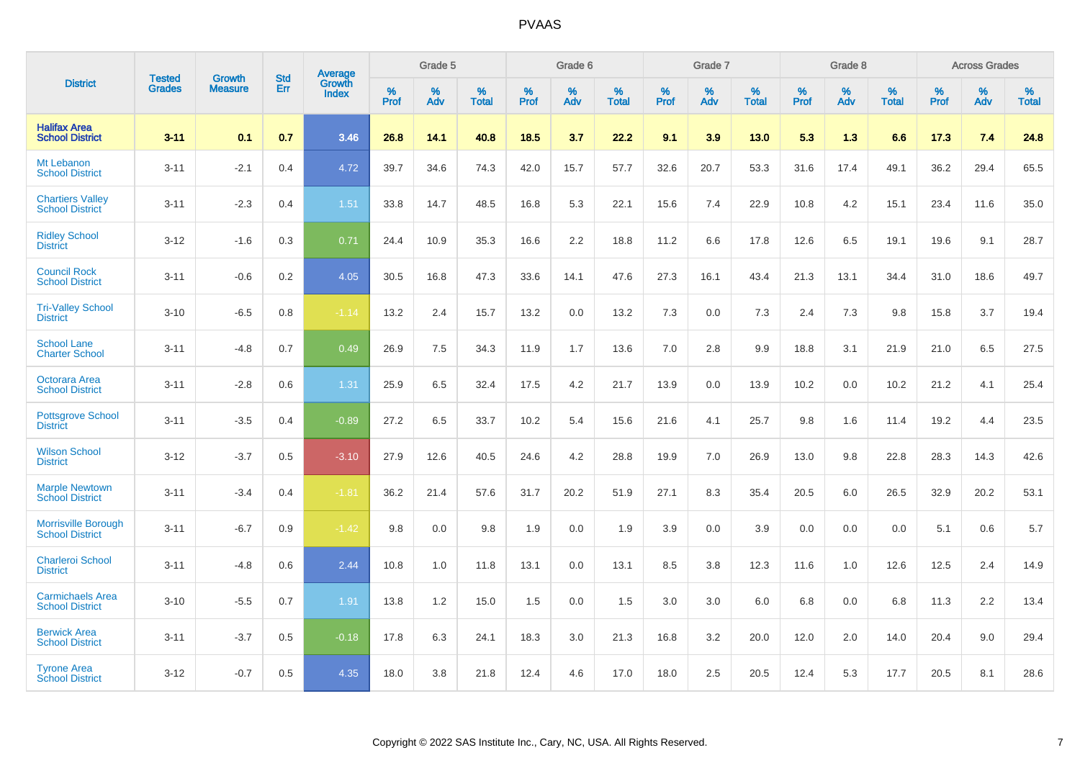|                                                      |                                |                                 | <b>Std</b> | Average                |           | Grade 5  |                   |           | Grade 6  |                   |           | Grade 7  |                   |           | Grade 8  |                   |           | <b>Across Grades</b> |            |
|------------------------------------------------------|--------------------------------|---------------------------------|------------|------------------------|-----------|----------|-------------------|-----------|----------|-------------------|-----------|----------|-------------------|-----------|----------|-------------------|-----------|----------------------|------------|
| <b>District</b>                                      | <b>Tested</b><br><b>Grades</b> | <b>Growth</b><br><b>Measure</b> | Err        | Growth<br><b>Index</b> | %<br>Prof | %<br>Adv | %<br><b>Total</b> | %<br>Prof | %<br>Adv | %<br><b>Total</b> | %<br>Prof | %<br>Adv | %<br><b>Total</b> | %<br>Prof | %<br>Adv | %<br><b>Total</b> | %<br>Prof | %<br>Adv             | %<br>Total |
| <b>Halifax Area</b><br><b>School District</b>        | $3 - 11$                       | 0.1                             | 0.7        | 3.46                   | 26.8      | 14.1     | 40.8              | 18.5      | 3.7      | 22.2              | 9.1       | 3.9      | 13.0              | 5.3       | 1.3      | 6.6               | 17.3      | 7.4                  | 24.8       |
| Mt Lebanon<br><b>School District</b>                 | $3 - 11$                       | $-2.1$                          | 0.4        | 4.72                   | 39.7      | 34.6     | 74.3              | 42.0      | 15.7     | 57.7              | 32.6      | 20.7     | 53.3              | 31.6      | 17.4     | 49.1              | 36.2      | 29.4                 | 65.5       |
| <b>Chartiers Valley</b><br><b>School District</b>    | $3 - 11$                       | $-2.3$                          | 0.4        | 1.51                   | 33.8      | 14.7     | 48.5              | 16.8      | 5.3      | 22.1              | 15.6      | 7.4      | 22.9              | 10.8      | 4.2      | 15.1              | 23.4      | 11.6                 | 35.0       |
| <b>Ridley School</b><br><b>District</b>              | $3 - 12$                       | $-1.6$                          | 0.3        | 0.71                   | 24.4      | 10.9     | 35.3              | 16.6      | 2.2      | 18.8              | 11.2      | 6.6      | 17.8              | 12.6      | 6.5      | 19.1              | 19.6      | 9.1                  | 28.7       |
| <b>Council Rock</b><br><b>School District</b>        | $3 - 11$                       | $-0.6$                          | 0.2        | 4.05                   | 30.5      | 16.8     | 47.3              | 33.6      | 14.1     | 47.6              | 27.3      | 16.1     | 43.4              | 21.3      | 13.1     | 34.4              | 31.0      | 18.6                 | 49.7       |
| <b>Tri-Valley School</b><br><b>District</b>          | $3 - 10$                       | $-6.5$                          | 0.8        | $-1.14$                | 13.2      | 2.4      | 15.7              | 13.2      | 0.0      | 13.2              | 7.3       | 0.0      | 7.3               | 2.4       | 7.3      | 9.8               | 15.8      | 3.7                  | 19.4       |
| <b>School Lane</b><br><b>Charter School</b>          | $3 - 11$                       | $-4.8$                          | 0.7        | 0.49                   | 26.9      | 7.5      | 34.3              | 11.9      | 1.7      | 13.6              | 7.0       | 2.8      | 9.9               | 18.8      | 3.1      | 21.9              | 21.0      | 6.5                  | 27.5       |
| Octorara Area<br><b>School District</b>              | $3 - 11$                       | $-2.8$                          | 0.6        | 1.31                   | 25.9      | 6.5      | 32.4              | 17.5      | 4.2      | 21.7              | 13.9      | 0.0      | 13.9              | 10.2      | 0.0      | 10.2              | 21.2      | 4.1                  | 25.4       |
| <b>Pottsgrove School</b><br><b>District</b>          | $3 - 11$                       | $-3.5$                          | 0.4        | $-0.89$                | 27.2      | 6.5      | 33.7              | 10.2      | 5.4      | 15.6              | 21.6      | 4.1      | 25.7              | 9.8       | 1.6      | 11.4              | 19.2      | 4.4                  | 23.5       |
| <b>Wilson School</b><br><b>District</b>              | $3 - 12$                       | $-3.7$                          | 0.5        | $-3.10$                | 27.9      | 12.6     | 40.5              | 24.6      | 4.2      | 28.8              | 19.9      | 7.0      | 26.9              | 13.0      | 9.8      | 22.8              | 28.3      | 14.3                 | 42.6       |
| <b>Marple Newtown</b><br><b>School District</b>      | $3 - 11$                       | $-3.4$                          | 0.4        | $-1.81$                | 36.2      | 21.4     | 57.6              | 31.7      | 20.2     | 51.9              | 27.1      | 8.3      | 35.4              | 20.5      | 6.0      | 26.5              | 32.9      | 20.2                 | 53.1       |
| <b>Morrisville Borough</b><br><b>School District</b> | $3 - 11$                       | $-6.7$                          | 0.9        | $-1.42$                | 9.8       | 0.0      | 9.8               | 1.9       | 0.0      | 1.9               | 3.9       | 0.0      | 3.9               | 0.0       | 0.0      | 0.0               | 5.1       | 0.6                  | 5.7        |
| <b>Charleroi School</b><br><b>District</b>           | $3 - 11$                       | $-4.8$                          | 0.6        | 2.44                   | 10.8      | 1.0      | 11.8              | 13.1      | 0.0      | 13.1              | 8.5       | 3.8      | 12.3              | 11.6      | 1.0      | 12.6              | 12.5      | 2.4                  | 14.9       |
| <b>Carmichaels Area</b><br><b>School District</b>    | $3 - 10$                       | $-5.5$                          | 0.7        | 1.91                   | 13.8      | 1.2      | 15.0              | 1.5       | 0.0      | 1.5               | 3.0       | 3.0      | 6.0               | 6.8       | 0.0      | 6.8               | 11.3      | 2.2                  | 13.4       |
| <b>Berwick Area</b><br><b>School District</b>        | $3 - 11$                       | $-3.7$                          | 0.5        | $-0.18$                | 17.8      | 6.3      | 24.1              | 18.3      | 3.0      | 21.3              | 16.8      | 3.2      | 20.0              | 12.0      | 2.0      | 14.0              | 20.4      | 9.0                  | 29.4       |
| <b>Tyrone Area</b><br><b>School District</b>         | $3 - 12$                       | $-0.7$                          | 0.5        | 4.35                   | 18.0      | 3.8      | 21.8              | 12.4      | 4.6      | 17.0              | 18.0      | 2.5      | 20.5              | 12.4      | 5.3      | 17.7              | 20.5      | 8.1                  | 28.6       |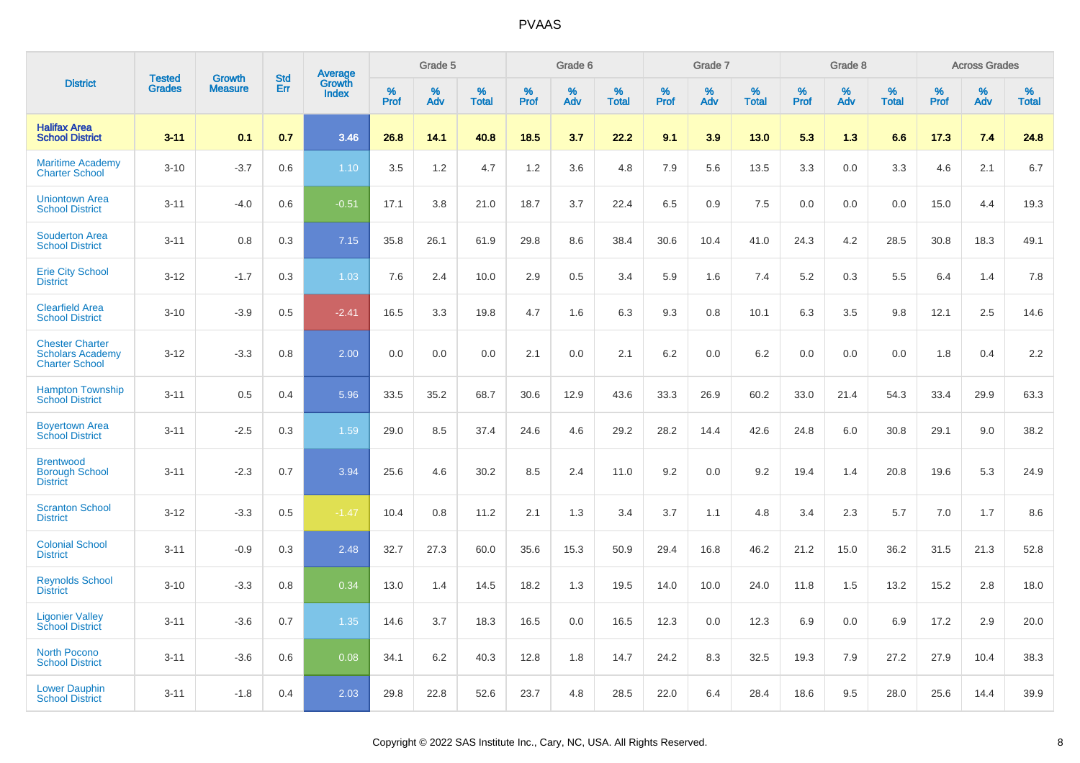|                                                                            | <b>Tested</b> | <b>Growth</b>  | <b>Std</b> | Average                |              | Grade 5  |                   |              | Grade 6  |                   |              | Grade 7  |                   |              | Grade 8  |                   |              | <b>Across Grades</b> |                   |
|----------------------------------------------------------------------------|---------------|----------------|------------|------------------------|--------------|----------|-------------------|--------------|----------|-------------------|--------------|----------|-------------------|--------------|----------|-------------------|--------------|----------------------|-------------------|
| <b>District</b>                                                            | <b>Grades</b> | <b>Measure</b> | Err        | Growth<br><b>Index</b> | $\%$<br>Prof | %<br>Adv | %<br><b>Total</b> | $\%$<br>Prof | %<br>Adv | %<br><b>Total</b> | $\%$<br>Prof | %<br>Adv | %<br><b>Total</b> | $\%$<br>Prof | %<br>Adv | %<br><b>Total</b> | $\%$<br>Prof | %<br>Adv             | %<br><b>Total</b> |
| <b>Halifax Area</b><br><b>School District</b>                              | $3 - 11$      | 0.1            | 0.7        | 3.46                   | 26.8         | 14.1     | 40.8              | 18.5         | 3.7      | 22.2              | 9.1          | 3.9      | 13.0              | 5.3          | 1.3      | 6.6               | 17.3         | 7.4                  | 24.8              |
| <b>Maritime Academy</b><br><b>Charter School</b>                           | $3 - 10$      | $-3.7$         | 0.6        | 1.10                   | 3.5          | 1.2      | 4.7               | 1.2          | 3.6      | 4.8               | 7.9          | 5.6      | 13.5              | 3.3          | 0.0      | 3.3               | 4.6          | 2.1                  | 6.7               |
| <b>Uniontown Area</b><br><b>School District</b>                            | $3 - 11$      | $-4.0$         | 0.6        | $-0.51$                | 17.1         | 3.8      | 21.0              | 18.7         | 3.7      | 22.4              | 6.5          | 0.9      | 7.5               | 0.0          | 0.0      | 0.0               | 15.0         | 4.4                  | 19.3              |
| <b>Souderton Area</b><br><b>School District</b>                            | $3 - 11$      | 0.8            | 0.3        | 7.15                   | 35.8         | 26.1     | 61.9              | 29.8         | 8.6      | 38.4              | 30.6         | 10.4     | 41.0              | 24.3         | 4.2      | 28.5              | 30.8         | 18.3                 | 49.1              |
| <b>Erie City School</b><br><b>District</b>                                 | $3 - 12$      | $-1.7$         | 0.3        | 1.03                   | 7.6          | 2.4      | 10.0              | 2.9          | 0.5      | 3.4               | 5.9          | 1.6      | 7.4               | 5.2          | 0.3      | 5.5               | 6.4          | 1.4                  | 7.8               |
| <b>Clearfield Area</b><br><b>School District</b>                           | $3 - 10$      | $-3.9$         | 0.5        | $-2.41$                | 16.5         | 3.3      | 19.8              | 4.7          | 1.6      | 6.3               | 9.3          | 0.8      | 10.1              | 6.3          | 3.5      | 9.8               | 12.1         | 2.5                  | 14.6              |
| <b>Chester Charter</b><br><b>Scholars Academy</b><br><b>Charter School</b> | $3 - 12$      | $-3.3$         | 0.8        | 2.00                   | 0.0          | 0.0      | 0.0               | 2.1          | 0.0      | 2.1               | 6.2          | 0.0      | 6.2               | 0.0          | 0.0      | 0.0               | 1.8          | 0.4                  | 2.2               |
| <b>Hampton Township</b><br><b>School District</b>                          | $3 - 11$      | 0.5            | 0.4        | 5.96                   | 33.5         | 35.2     | 68.7              | 30.6         | 12.9     | 43.6              | 33.3         | 26.9     | 60.2              | 33.0         | 21.4     | 54.3              | 33.4         | 29.9                 | 63.3              |
| <b>Boyertown Area</b><br><b>School District</b>                            | $3 - 11$      | $-2.5$         | 0.3        | 1.59                   | 29.0         | 8.5      | 37.4              | 24.6         | 4.6      | 29.2              | 28.2         | 14.4     | 42.6              | 24.8         | 6.0      | 30.8              | 29.1         | 9.0                  | 38.2              |
| <b>Brentwood</b><br><b>Borough School</b><br><b>District</b>               | $3 - 11$      | $-2.3$         | 0.7        | 3.94                   | 25.6         | 4.6      | 30.2              | 8.5          | 2.4      | 11.0              | 9.2          | 0.0      | 9.2               | 19.4         | 1.4      | 20.8              | 19.6         | 5.3                  | 24.9              |
| <b>Scranton School</b><br><b>District</b>                                  | $3 - 12$      | $-3.3$         | 0.5        | $-1.47$                | 10.4         | 0.8      | 11.2              | 2.1          | 1.3      | 3.4               | 3.7          | 1.1      | 4.8               | 3.4          | 2.3      | 5.7               | 7.0          | 1.7                  | 8.6               |
| <b>Colonial School</b><br><b>District</b>                                  | $3 - 11$      | $-0.9$         | 0.3        | 2.48                   | 32.7         | 27.3     | 60.0              | 35.6         | 15.3     | 50.9              | 29.4         | 16.8     | 46.2              | 21.2         | 15.0     | 36.2              | 31.5         | 21.3                 | 52.8              |
| <b>Reynolds School</b><br><b>District</b>                                  | $3 - 10$      | $-3.3$         | 0.8        | 0.34                   | 13.0         | 1.4      | 14.5              | 18.2         | 1.3      | 19.5              | 14.0         | 10.0     | 24.0              | 11.8         | 1.5      | 13.2              | 15.2         | 2.8                  | 18.0              |
| <b>Ligonier Valley</b><br><b>School District</b>                           | $3 - 11$      | $-3.6$         | 0.7        | 1.35                   | 14.6         | 3.7      | 18.3              | 16.5         | 0.0      | 16.5              | 12.3         | 0.0      | 12.3              | 6.9          | 0.0      | 6.9               | 17.2         | 2.9                  | 20.0              |
| <b>North Pocono</b><br><b>School District</b>                              | $3 - 11$      | $-3.6$         | 0.6        | 0.08                   | 34.1         | 6.2      | 40.3              | 12.8         | 1.8      | 14.7              | 24.2         | 8.3      | 32.5              | 19.3         | 7.9      | 27.2              | 27.9         | 10.4                 | 38.3              |
| <b>Lower Dauphin</b><br><b>School District</b>                             | $3 - 11$      | $-1.8$         | 0.4        | 2.03                   | 29.8         | 22.8     | 52.6              | 23.7         | 4.8      | 28.5              | 22.0         | 6.4      | 28.4              | 18.6         | 9.5      | 28.0              | 25.6         | 14.4                 | 39.9              |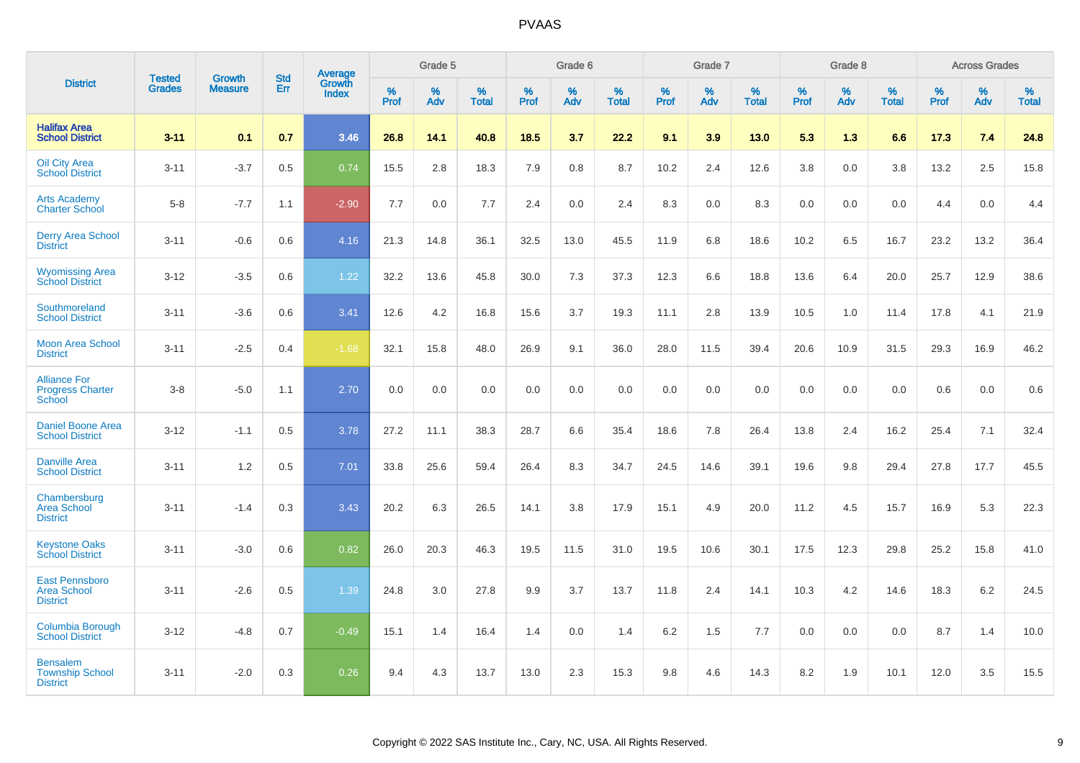|                                                                 |                                |                                 | <b>Std</b> | Average                |           | Grade 5  |                   |           | Grade 6  |                   |           | Grade 7  |                   |           | Grade 8  |                   |           | <b>Across Grades</b> |                   |
|-----------------------------------------------------------------|--------------------------------|---------------------------------|------------|------------------------|-----------|----------|-------------------|-----------|----------|-------------------|-----------|----------|-------------------|-----------|----------|-------------------|-----------|----------------------|-------------------|
| <b>District</b>                                                 | <b>Tested</b><br><b>Grades</b> | <b>Growth</b><br><b>Measure</b> | Err        | Growth<br><b>Index</b> | %<br>Prof | %<br>Adv | %<br><b>Total</b> | %<br>Prof | %<br>Adv | %<br><b>Total</b> | %<br>Prof | %<br>Adv | %<br><b>Total</b> | %<br>Prof | %<br>Adv | %<br><b>Total</b> | %<br>Prof | %<br>Adv             | %<br><b>Total</b> |
| <b>Halifax Area</b><br><b>School District</b>                   | $3 - 11$                       | 0.1                             | 0.7        | 3.46                   | 26.8      | 14.1     | 40.8              | 18.5      | 3.7      | 22.2              | 9.1       | 3.9      | 13.0              | 5.3       | 1.3      | 6.6               | 17.3      | 7.4                  | 24.8              |
| <b>Oil City Area</b><br><b>School District</b>                  | $3 - 11$                       | $-3.7$                          | 0.5        | 0.74                   | 15.5      | 2.8      | 18.3              | 7.9       | 0.8      | 8.7               | 10.2      | 2.4      | 12.6              | 3.8       | 0.0      | 3.8               | 13.2      | 2.5                  | 15.8              |
| <b>Arts Academy</b><br><b>Charter School</b>                    | $5-8$                          | $-7.7$                          | 1.1        | $-2.90$                | 7.7       | 0.0      | 7.7               | 2.4       | 0.0      | 2.4               | 8.3       | 0.0      | 8.3               | 0.0       | 0.0      | 0.0               | 4.4       | 0.0                  | 4.4               |
| <b>Derry Area School</b><br><b>District</b>                     | $3 - 11$                       | $-0.6$                          | 0.6        | 4.16                   | 21.3      | 14.8     | 36.1              | 32.5      | 13.0     | 45.5              | 11.9      | 6.8      | 18.6              | 10.2      | 6.5      | 16.7              | 23.2      | 13.2                 | 36.4              |
| <b>Wyomissing Area</b><br><b>School District</b>                | $3 - 12$                       | $-3.5$                          | 0.6        | 1.22                   | 32.2      | 13.6     | 45.8              | 30.0      | 7.3      | 37.3              | 12.3      | 6.6      | 18.8              | 13.6      | 6.4      | 20.0              | 25.7      | 12.9                 | 38.6              |
| Southmoreland<br><b>School District</b>                         | $3 - 11$                       | $-3.6$                          | 0.6        | 3.41                   | 12.6      | 4.2      | 16.8              | 15.6      | 3.7      | 19.3              | 11.1      | 2.8      | 13.9              | 10.5      | 1.0      | 11.4              | 17.8      | 4.1                  | 21.9              |
| <b>Moon Area School</b><br><b>District</b>                      | $3 - 11$                       | $-2.5$                          | 0.4        | $-1.68$                | 32.1      | 15.8     | 48.0              | 26.9      | 9.1      | 36.0              | 28.0      | 11.5     | 39.4              | 20.6      | 10.9     | 31.5              | 29.3      | 16.9                 | 46.2              |
| <b>Alliance For</b><br><b>Progress Charter</b><br><b>School</b> | $3 - 8$                        | $-5.0$                          | 1.1        | 2.70                   | 0.0       | 0.0      | 0.0               | 0.0       | 0.0      | 0.0               | 0.0       | 0.0      | 0.0               | 0.0       | 0.0      | 0.0               | 0.6       | 0.0                  | 0.6               |
| <b>Daniel Boone Area</b><br><b>School District</b>              | $3 - 12$                       | $-1.1$                          | 0.5        | 3.78                   | 27.2      | 11.1     | 38.3              | 28.7      | 6.6      | 35.4              | 18.6      | 7.8      | 26.4              | 13.8      | 2.4      | 16.2              | 25.4      | 7.1                  | 32.4              |
| <b>Danville Area</b><br><b>School District</b>                  | $3 - 11$                       | 1.2                             | 0.5        | 7.01                   | 33.8      | 25.6     | 59.4              | 26.4      | 8.3      | 34.7              | 24.5      | 14.6     | 39.1              | 19.6      | 9.8      | 29.4              | 27.8      | 17.7                 | 45.5              |
| Chambersburg<br><b>Area School</b><br><b>District</b>           | $3 - 11$                       | $-1.4$                          | 0.3        | 3.43                   | 20.2      | 6.3      | 26.5              | 14.1      | 3.8      | 17.9              | 15.1      | 4.9      | 20.0              | 11.2      | 4.5      | 15.7              | 16.9      | 5.3                  | 22.3              |
| <b>Keystone Oaks</b><br><b>School District</b>                  | $3 - 11$                       | $-3.0$                          | 0.6        | 0.82                   | 26.0      | 20.3     | 46.3              | 19.5      | 11.5     | 31.0              | 19.5      | 10.6     | 30.1              | 17.5      | 12.3     | 29.8              | 25.2      | 15.8                 | 41.0              |
| <b>East Pennsboro</b><br><b>Area School</b><br><b>District</b>  | $3 - 11$                       | $-2.6$                          | 0.5        | 1.39                   | 24.8      | 3.0      | 27.8              | 9.9       | 3.7      | 13.7              | 11.8      | 2.4      | 14.1              | 10.3      | 4.2      | 14.6              | 18.3      | $6.2\,$              | 24.5              |
| Columbia Borough<br><b>School District</b>                      | $3 - 12$                       | $-4.8$                          | 0.7        | $-0.49$                | 15.1      | 1.4      | 16.4              | 1.4       | 0.0      | 1.4               | 6.2       | 1.5      | 7.7               | 0.0       | 0.0      | 0.0               | 8.7       | 1.4                  | 10.0              |
| <b>Bensalem</b><br><b>Township School</b><br><b>District</b>    | $3 - 11$                       | $-2.0$                          | 0.3        | 0.26                   | 9.4       | 4.3      | 13.7              | 13.0      | 2.3      | 15.3              | 9.8       | 4.6      | 14.3              | 8.2       | 1.9      | 10.1              | 12.0      | 3.5                  | 15.5              |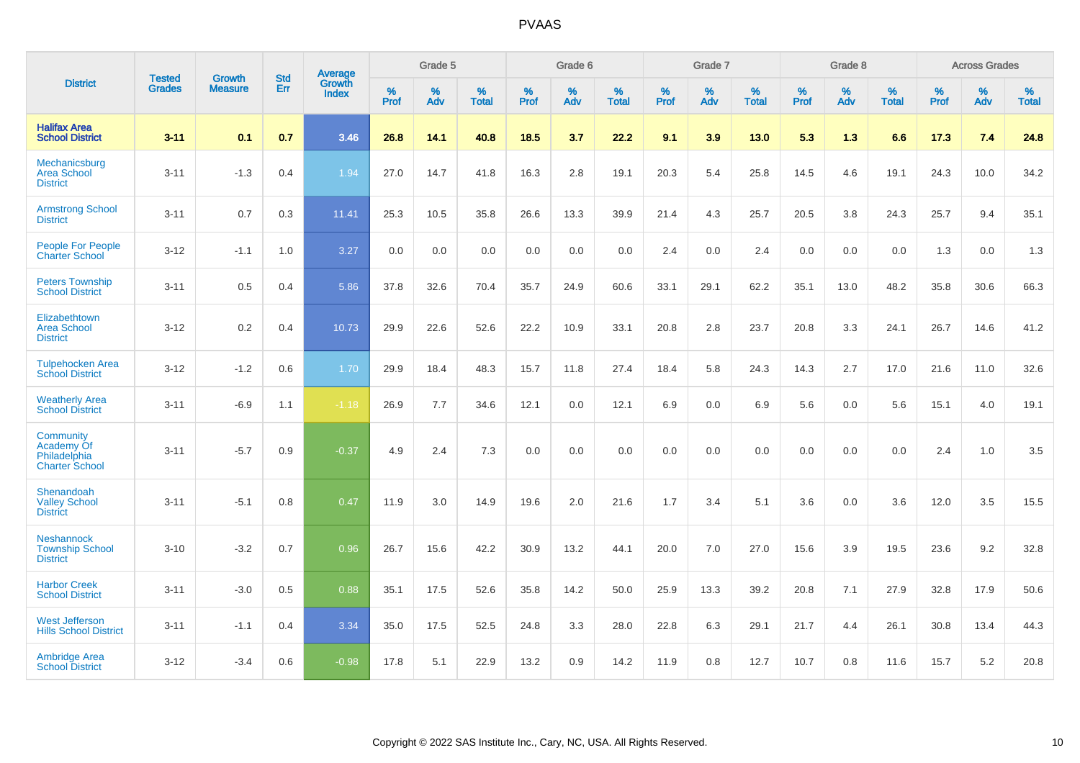|                                                                  | <b>Tested</b> |                                 | <b>Std</b> | Average                       |              | Grade 5  |                   |           | Grade 6  |                   |           | Grade 7  |                   |           | Grade 8  |                   |           | <b>Across Grades</b> |                   |
|------------------------------------------------------------------|---------------|---------------------------------|------------|-------------------------------|--------------|----------|-------------------|-----------|----------|-------------------|-----------|----------|-------------------|-----------|----------|-------------------|-----------|----------------------|-------------------|
| <b>District</b>                                                  | <b>Grades</b> | <b>Growth</b><br><b>Measure</b> | <b>Err</b> | <b>Growth</b><br><b>Index</b> | $\%$<br>Prof | %<br>Adv | %<br><b>Total</b> | %<br>Prof | %<br>Adv | %<br><b>Total</b> | %<br>Prof | %<br>Adv | %<br><b>Total</b> | %<br>Prof | %<br>Adv | %<br><b>Total</b> | %<br>Prof | %<br>Adv             | %<br><b>Total</b> |
| <b>Halifax Area</b><br><b>School District</b>                    | $3 - 11$      | 0.1                             | 0.7        | 3.46                          | 26.8         | 14.1     | 40.8              | 18.5      | 3.7      | 22.2              | 9.1       | 3.9      | 13.0              | 5.3       | 1.3      | 6.6               | 17.3      | 7.4                  | 24.8              |
| Mechanicsburg<br><b>Area School</b><br><b>District</b>           | $3 - 11$      | $-1.3$                          | 0.4        | 1.94                          | 27.0         | 14.7     | 41.8              | 16.3      | 2.8      | 19.1              | 20.3      | 5.4      | 25.8              | 14.5      | 4.6      | 19.1              | 24.3      | 10.0                 | 34.2              |
| <b>Armstrong School</b><br><b>District</b>                       | $3 - 11$      | 0.7                             | 0.3        | 11.41                         | 25.3         | 10.5     | 35.8              | 26.6      | 13.3     | 39.9              | 21.4      | 4.3      | 25.7              | 20.5      | 3.8      | 24.3              | 25.7      | 9.4                  | 35.1              |
| <b>People For People</b><br><b>Charter School</b>                | $3 - 12$      | $-1.1$                          | 1.0        | 3.27                          | 0.0          | 0.0      | 0.0               | 0.0       | 0.0      | 0.0               | 2.4       | 0.0      | 2.4               | 0.0       | 0.0      | 0.0               | 1.3       | 0.0                  | 1.3               |
| <b>Peters Township</b><br><b>School District</b>                 | $3 - 11$      | 0.5                             | 0.4        | 5.86                          | 37.8         | 32.6     | 70.4              | 35.7      | 24.9     | 60.6              | 33.1      | 29.1     | 62.2              | 35.1      | 13.0     | 48.2              | 35.8      | 30.6                 | 66.3              |
| Elizabethtown<br><b>Area School</b><br><b>District</b>           | $3 - 12$      | 0.2                             | 0.4        | 10.73                         | 29.9         | 22.6     | 52.6              | 22.2      | 10.9     | 33.1              | 20.8      | 2.8      | 23.7              | 20.8      | 3.3      | 24.1              | 26.7      | 14.6                 | 41.2              |
| <b>Tulpehocken Area</b><br><b>School District</b>                | $3 - 12$      | $-1.2$                          | 0.6        | 1.70                          | 29.9         | 18.4     | 48.3              | 15.7      | 11.8     | 27.4              | 18.4      | 5.8      | 24.3              | 14.3      | 2.7      | 17.0              | 21.6      | 11.0                 | 32.6              |
| <b>Weatherly Area</b><br><b>School District</b>                  | $3 - 11$      | $-6.9$                          | 1.1        | $-1.18$                       | 26.9         | 7.7      | 34.6              | 12.1      | 0.0      | 12.1              | 6.9       | $0.0\,$  | 6.9               | 5.6       | 0.0      | 5.6               | 15.1      | 4.0                  | 19.1              |
| Community<br>Academy Of<br>Philadelphia<br><b>Charter School</b> | $3 - 11$      | $-5.7$                          | 0.9        | $-0.37$                       | 4.9          | 2.4      | 7.3               | 0.0       | 0.0      | 0.0               | 0.0       | 0.0      | 0.0               | 0.0       | 0.0      | 0.0               | 2.4       | 1.0                  | 3.5               |
| Shenandoah<br><b>Valley School</b><br><b>District</b>            | $3 - 11$      | $-5.1$                          | 0.8        | 0.47                          | 11.9         | 3.0      | 14.9              | 19.6      | 2.0      | 21.6              | 1.7       | 3.4      | 5.1               | 3.6       | 0.0      | 3.6               | 12.0      | 3.5                  | 15.5              |
| <b>Neshannock</b><br><b>Township School</b><br><b>District</b>   | $3 - 10$      | $-3.2$                          | 0.7        | 0.96                          | 26.7         | 15.6     | 42.2              | 30.9      | 13.2     | 44.1              | 20.0      | 7.0      | 27.0              | 15.6      | 3.9      | 19.5              | 23.6      | 9.2                  | 32.8              |
| <b>Harbor Creek</b><br><b>School District</b>                    | $3 - 11$      | $-3.0$                          | 0.5        | 0.88                          | 35.1         | 17.5     | 52.6              | 35.8      | 14.2     | 50.0              | 25.9      | 13.3     | 39.2              | 20.8      | 7.1      | 27.9              | 32.8      | 17.9                 | 50.6              |
| <b>West Jefferson</b><br><b>Hills School District</b>            | $3 - 11$      | $-1.1$                          | 0.4        | 3.34                          | 35.0         | 17.5     | 52.5              | 24.8      | 3.3      | 28.0              | 22.8      | 6.3      | 29.1              | 21.7      | 4.4      | 26.1              | 30.8      | 13.4                 | 44.3              |
| <b>Ambridge Area</b><br><b>School District</b>                   | $3 - 12$      | $-3.4$                          | 0.6        | $-0.98$                       | 17.8         | 5.1      | 22.9              | 13.2      | 0.9      | 14.2              | 11.9      | 0.8      | 12.7              | 10.7      | 0.8      | 11.6              | 15.7      | 5.2                  | 20.8              |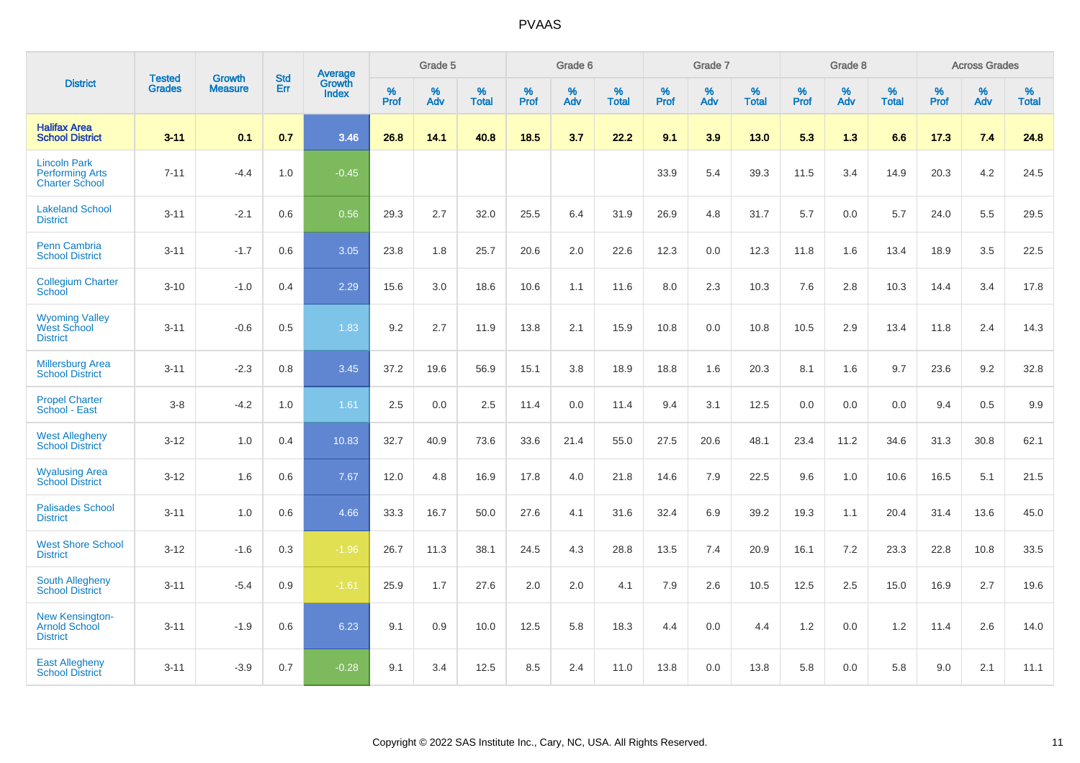|                                                                        | <b>Tested</b> | <b>Growth</b>  | <b>Std</b> | Average                       |           | Grade 5  |                   |           | Grade 6  |                   |           | Grade 7  |                   |           | Grade 8  |                   |           | <b>Across Grades</b> |                   |
|------------------------------------------------------------------------|---------------|----------------|------------|-------------------------------|-----------|----------|-------------------|-----------|----------|-------------------|-----------|----------|-------------------|-----------|----------|-------------------|-----------|----------------------|-------------------|
| <b>District</b>                                                        | <b>Grades</b> | <b>Measure</b> | Err        | <b>Growth</b><br><b>Index</b> | %<br>Prof | %<br>Adv | %<br><b>Total</b> | %<br>Prof | %<br>Adv | %<br><b>Total</b> | %<br>Prof | %<br>Adv | %<br><b>Total</b> | %<br>Prof | %<br>Adv | %<br><b>Total</b> | %<br>Prof | %<br>Adv             | %<br><b>Total</b> |
| <b>Halifax Area</b><br><b>School District</b>                          | $3 - 11$      | 0.1            | 0.7        | 3.46                          | 26.8      | 14.1     | 40.8              | 18.5      | 3.7      | 22.2              | 9.1       | 3.9      | 13.0              | 5.3       | 1.3      | 6.6               | 17.3      | 7.4                  | 24.8              |
| <b>Lincoln Park</b><br><b>Performing Arts</b><br><b>Charter School</b> | $7 - 11$      | $-4.4$         | 1.0        | $-0.45$                       |           |          |                   |           |          |                   | 33.9      | 5.4      | 39.3              | 11.5      | 3.4      | 14.9              | 20.3      | 4.2                  | 24.5              |
| <b>Lakeland School</b><br><b>District</b>                              | $3 - 11$      | $-2.1$         | 0.6        | 0.56                          | 29.3      | 2.7      | 32.0              | 25.5      | 6.4      | 31.9              | 26.9      | 4.8      | 31.7              | 5.7       | 0.0      | 5.7               | 24.0      | 5.5                  | 29.5              |
| <b>Penn Cambria</b><br><b>School District</b>                          | $3 - 11$      | $-1.7$         | 0.6        | 3.05                          | 23.8      | 1.8      | 25.7              | 20.6      | 2.0      | 22.6              | 12.3      | 0.0      | 12.3              | 11.8      | 1.6      | 13.4              | 18.9      | 3.5                  | 22.5              |
| <b>Collegium Charter</b><br>School                                     | $3 - 10$      | $-1.0$         | 0.4        | 2.29                          | 15.6      | 3.0      | 18.6              | 10.6      | 1.1      | 11.6              | 8.0       | 2.3      | 10.3              | 7.6       | 2.8      | 10.3              | 14.4      | 3.4                  | 17.8              |
| <b>Wyoming Valley</b><br>West School<br><b>District</b>                | $3 - 11$      | $-0.6$         | 0.5        | 1.83                          | 9.2       | 2.7      | 11.9              | 13.8      | 2.1      | 15.9              | 10.8      | 0.0      | 10.8              | 10.5      | 2.9      | 13.4              | 11.8      | 2.4                  | 14.3              |
| <b>Millersburg Area</b><br><b>School District</b>                      | $3 - 11$      | $-2.3$         | 0.8        | 3.45                          | 37.2      | 19.6     | 56.9              | 15.1      | 3.8      | 18.9              | 18.8      | 1.6      | 20.3              | 8.1       | 1.6      | 9.7               | 23.6      | 9.2                  | 32.8              |
| <b>Propel Charter</b><br>School - East                                 | $3 - 8$       | $-4.2$         | 1.0        | 1.61                          | 2.5       | 0.0      | 2.5               | 11.4      | 0.0      | 11.4              | 9.4       | 3.1      | 12.5              | 0.0       | 0.0      | 0.0               | 9.4       | 0.5                  | 9.9               |
| <b>West Allegheny</b><br><b>School District</b>                        | $3 - 12$      | 1.0            | 0.4        | 10.83                         | 32.7      | 40.9     | 73.6              | 33.6      | 21.4     | 55.0              | 27.5      | 20.6     | 48.1              | 23.4      | 11.2     | 34.6              | 31.3      | 30.8                 | 62.1              |
| <b>Wyalusing Area</b><br><b>School District</b>                        | $3 - 12$      | 1.6            | 0.6        | 7.67                          | 12.0      | 4.8      | 16.9              | 17.8      | 4.0      | 21.8              | 14.6      | 7.9      | 22.5              | 9.6       | 1.0      | 10.6              | 16.5      | 5.1                  | 21.5              |
| <b>Palisades School</b><br><b>District</b>                             | $3 - 11$      | 1.0            | 0.6        | 4.66                          | 33.3      | 16.7     | 50.0              | 27.6      | 4.1      | 31.6              | 32.4      | 6.9      | 39.2              | 19.3      | 1.1      | 20.4              | 31.4      | 13.6                 | 45.0              |
| <b>West Shore School</b><br><b>District</b>                            | $3 - 12$      | $-1.6$         | 0.3        | $-1.96$                       | 26.7      | 11.3     | 38.1              | 24.5      | 4.3      | 28.8              | 13.5      | 7.4      | 20.9              | 16.1      | 7.2      | 23.3              | 22.8      | 10.8                 | 33.5              |
| <b>South Allegheny</b><br><b>School District</b>                       | $3 - 11$      | $-5.4$         | 0.9        | $-1.61$                       | 25.9      | 1.7      | 27.6              | 2.0       | 2.0      | 4.1               | 7.9       | 2.6      | 10.5              | 12.5      | 2.5      | 15.0              | 16.9      | 2.7                  | 19.6              |
| <b>New Kensington-</b><br><b>Arnold School</b><br><b>District</b>      | $3 - 11$      | $-1.9$         | 0.6        | 6.23                          | 9.1       | 0.9      | 10.0              | 12.5      | 5.8      | 18.3              | 4.4       | $0.0\,$  | 4.4               | 1.2       | 0.0      | 1.2               | 11.4      | 2.6                  | 14.0              |
| <b>East Allegheny</b><br><b>School District</b>                        | $3 - 11$      | $-3.9$         | 0.7        | $-0.28$                       | 9.1       | 3.4      | 12.5              | 8.5       | 2.4      | 11.0              | 13.8      | 0.0      | 13.8              | 5.8       | 0.0      | 5.8               | 9.0       | 2.1                  | 11.1              |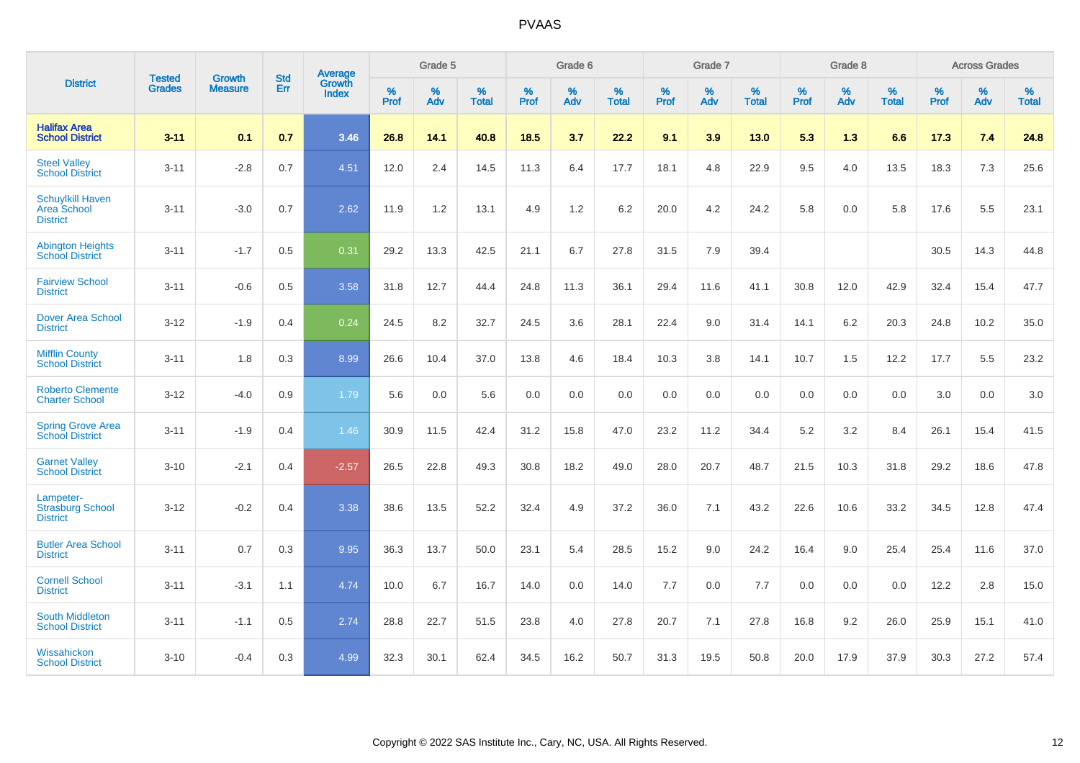|                                                           | <b>Tested</b> | <b>Growth</b>  | <b>Std</b> | Average                |                     | Grade 5  |                   |                     | Grade 6  |                   |              | Grade 7  |                   |                     | Grade 8  |                   |                     | <b>Across Grades</b> |                   |
|-----------------------------------------------------------|---------------|----------------|------------|------------------------|---------------------|----------|-------------------|---------------------|----------|-------------------|--------------|----------|-------------------|---------------------|----------|-------------------|---------------------|----------------------|-------------------|
| <b>District</b>                                           | <b>Grades</b> | <b>Measure</b> | Err        | Growth<br><b>Index</b> | $\%$<br><b>Prof</b> | %<br>Adv | %<br><b>Total</b> | $\%$<br><b>Prof</b> | %<br>Adv | %<br><b>Total</b> | $\%$<br>Prof | %<br>Adv | %<br><b>Total</b> | $\%$<br><b>Prof</b> | %<br>Adv | %<br><b>Total</b> | $\%$<br><b>Prof</b> | %<br>Adv             | %<br><b>Total</b> |
| <b>Halifax Area</b><br><b>School District</b>             | $3 - 11$      | 0.1            | 0.7        | 3.46                   | 26.8                | 14.1     | 40.8              | 18.5                | 3.7      | 22.2              | 9.1          | 3.9      | 13.0              | 5.3                 | 1.3      | 6.6               | 17.3                | 7.4                  | 24.8              |
| <b>Steel Valley</b><br><b>School District</b>             | $3 - 11$      | $-2.8$         | 0.7        | 4.51                   | 12.0                | 2.4      | 14.5              | 11.3                | 6.4      | 17.7              | 18.1         | 4.8      | 22.9              | 9.5                 | 4.0      | 13.5              | 18.3                | $7.3$                | 25.6              |
| <b>Schuylkill Haven</b><br>Area School<br><b>District</b> | $3 - 11$      | $-3.0$         | 0.7        | 2.62                   | 11.9                | 1.2      | 13.1              | 4.9                 | 1.2      | 6.2               | 20.0         | 4.2      | 24.2              | 5.8                 | 0.0      | 5.8               | 17.6                | 5.5                  | 23.1              |
| <b>Abington Heights</b><br><b>School District</b>         | $3 - 11$      | $-1.7$         | 0.5        | 0.31                   | 29.2                | 13.3     | 42.5              | 21.1                | 6.7      | 27.8              | 31.5         | 7.9      | 39.4              |                     |          |                   | 30.5                | 14.3                 | 44.8              |
| <b>Fairview School</b><br><b>District</b>                 | $3 - 11$      | $-0.6$         | 0.5        | 3.58                   | 31.8                | 12.7     | 44.4              | 24.8                | 11.3     | 36.1              | 29.4         | 11.6     | 41.1              | 30.8                | 12.0     | 42.9              | 32.4                | 15.4                 | 47.7              |
| Dover Area School<br><b>District</b>                      | $3 - 12$      | $-1.9$         | 0.4        | 0.24                   | 24.5                | 8.2      | 32.7              | 24.5                | 3.6      | 28.1              | 22.4         | 9.0      | 31.4              | 14.1                | 6.2      | 20.3              | 24.8                | 10.2                 | 35.0              |
| <b>Mifflin County</b><br><b>School District</b>           | $3 - 11$      | 1.8            | 0.3        | 8.99                   | 26.6                | 10.4     | 37.0              | 13.8                | 4.6      | 18.4              | 10.3         | 3.8      | 14.1              | 10.7                | 1.5      | 12.2              | 17.7                | 5.5                  | 23.2              |
| <b>Roberto Clemente</b><br><b>Charter School</b>          | $3 - 12$      | $-4.0$         | 0.9        | 1.79                   | 5.6                 | 0.0      | 5.6               | 0.0                 | 0.0      | 0.0               | 0.0          | 0.0      | 0.0               | 0.0                 | 0.0      | 0.0               | 3.0                 | 0.0                  | 3.0               |
| <b>Spring Grove Area</b><br><b>School District</b>        | $3 - 11$      | $-1.9$         | 0.4        | 1.46                   | 30.9                | 11.5     | 42.4              | 31.2                | 15.8     | 47.0              | 23.2         | 11.2     | 34.4              | 5.2                 | 3.2      | 8.4               | 26.1                | 15.4                 | 41.5              |
| <b>Garnet Valley</b><br><b>School District</b>            | $3 - 10$      | $-2.1$         | 0.4        | $-2.57$                | 26.5                | 22.8     | 49.3              | 30.8                | 18.2     | 49.0              | 28.0         | 20.7     | 48.7              | 21.5                | 10.3     | 31.8              | 29.2                | 18.6                 | 47.8              |
| Lampeter-<br><b>Strasburg School</b><br><b>District</b>   | $3 - 12$      | $-0.2$         | 0.4        | 3.38                   | 38.6                | 13.5     | 52.2              | 32.4                | 4.9      | 37.2              | 36.0         | 7.1      | 43.2              | 22.6                | 10.6     | 33.2              | 34.5                | 12.8                 | 47.4              |
| <b>Butler Area School</b><br><b>District</b>              | $3 - 11$      | 0.7            | 0.3        | 9.95                   | 36.3                | 13.7     | 50.0              | 23.1                | 5.4      | 28.5              | 15.2         | 9.0      | 24.2              | 16.4                | 9.0      | 25.4              | 25.4                | 11.6                 | 37.0              |
| <b>Cornell School</b><br><b>District</b>                  | $3 - 11$      | $-3.1$         | 1.1        | 4.74                   | 10.0                | 6.7      | 16.7              | 14.0                | 0.0      | 14.0              | $7.7$        | 0.0      | 7.7               | 0.0                 | 0.0      | 0.0               | 12.2                | 2.8                  | 15.0              |
| <b>South Middleton</b><br><b>School District</b>          | $3 - 11$      | $-1.1$         | 0.5        | 2.74                   | 28.8                | 22.7     | 51.5              | 23.8                | 4.0      | 27.8              | 20.7         | 7.1      | 27.8              | 16.8                | 9.2      | 26.0              | 25.9                | 15.1                 | 41.0              |
| Wissahickon<br><b>School District</b>                     | $3 - 10$      | $-0.4$         | 0.3        | 4.99                   | 32.3                | 30.1     | 62.4              | 34.5                | 16.2     | 50.7              | 31.3         | 19.5     | 50.8              | 20.0                | 17.9     | 37.9              | 30.3                | 27.2                 | 57.4              |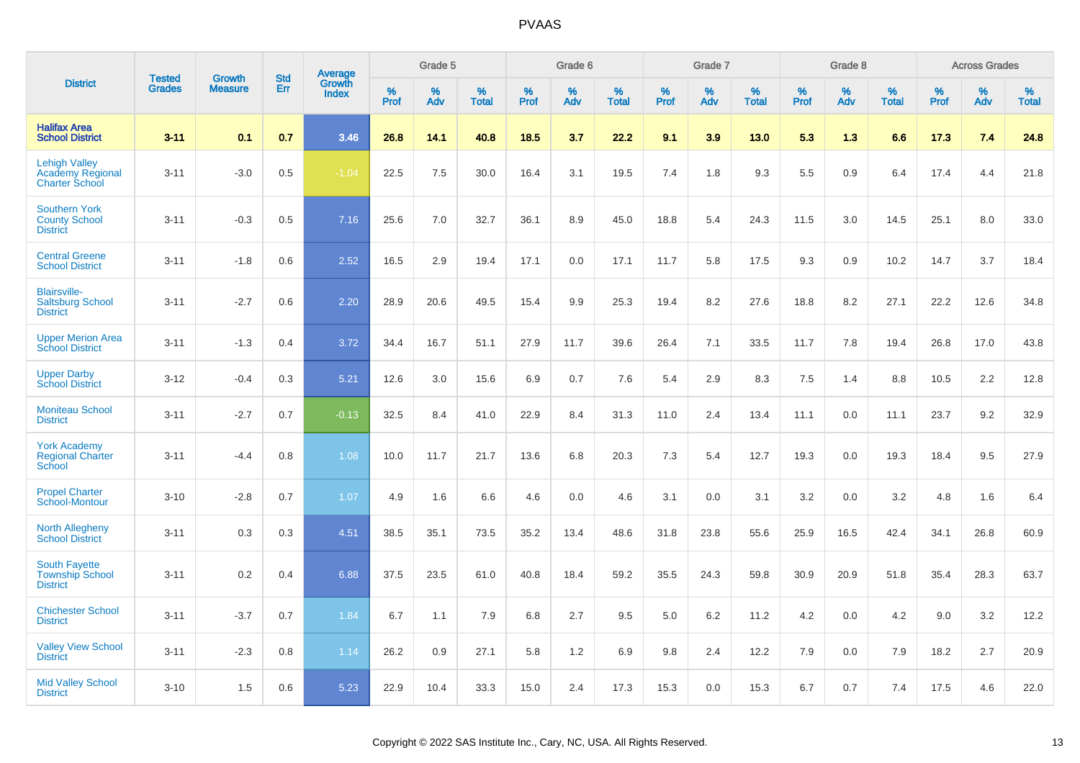|                                                                          |                                |                                 | <b>Std</b> |                                   |                     | Grade 5  |                   |              | Grade 6  |                   |           | Grade 7  |                   |           | Grade 8  |                   |              | <b>Across Grades</b> |                   |
|--------------------------------------------------------------------------|--------------------------------|---------------------------------|------------|-----------------------------------|---------------------|----------|-------------------|--------------|----------|-------------------|-----------|----------|-------------------|-----------|----------|-------------------|--------------|----------------------|-------------------|
| <b>District</b>                                                          | <b>Tested</b><br><b>Grades</b> | <b>Growth</b><br><b>Measure</b> | Err        | Average<br>Growth<br><b>Index</b> | $\%$<br><b>Prof</b> | %<br>Adv | %<br><b>Total</b> | $\%$<br>Prof | %<br>Adv | %<br><b>Total</b> | %<br>Prof | %<br>Adv | %<br><b>Total</b> | %<br>Prof | %<br>Adv | %<br><b>Total</b> | $\%$<br>Prof | %<br>Adv             | %<br><b>Total</b> |
| <b>Halifax Area</b><br><b>School District</b>                            | $3 - 11$                       | 0.1                             | 0.7        | 3.46                              | 26.8                | 14.1     | 40.8              | 18.5         | 3.7      | 22.2              | 9.1       | 3.9      | $13.0$            | 5.3       | 1.3      | 6.6               | 17.3         | 7.4                  | 24.8              |
| <b>Lehigh Valley</b><br><b>Academy Regional</b><br><b>Charter School</b> | $3 - 11$                       | $-3.0$                          | 0.5        | $-1.04$                           | 22.5                | 7.5      | 30.0              | 16.4         | 3.1      | 19.5              | 7.4       | 1.8      | 9.3               | 5.5       | 0.9      | 6.4               | 17.4         | 4.4                  | 21.8              |
| <b>Southern York</b><br><b>County School</b><br><b>District</b>          | $3 - 11$                       | $-0.3$                          | 0.5        | 7.16                              | 25.6                | 7.0      | 32.7              | 36.1         | 8.9      | 45.0              | 18.8      | 5.4      | 24.3              | 11.5      | 3.0      | 14.5              | 25.1         | 8.0                  | 33.0              |
| <b>Central Greene</b><br><b>School District</b>                          | $3 - 11$                       | $-1.8$                          | 0.6        | 2.52                              | 16.5                | 2.9      | 19.4              | 17.1         | 0.0      | 17.1              | 11.7      | 5.8      | 17.5              | 9.3       | 0.9      | 10.2              | 14.7         | 3.7                  | 18.4              |
| <b>Blairsville-</b><br><b>Saltsburg School</b><br><b>District</b>        | $3 - 11$                       | $-2.7$                          | 0.6        | 2.20                              | 28.9                | 20.6     | 49.5              | 15.4         | 9.9      | 25.3              | 19.4      | 8.2      | 27.6              | 18.8      | 8.2      | 27.1              | 22.2         | 12.6                 | 34.8              |
| <b>Upper Merion Area</b><br><b>School District</b>                       | $3 - 11$                       | $-1.3$                          | 0.4        | 3.72                              | 34.4                | 16.7     | 51.1              | 27.9         | 11.7     | 39.6              | 26.4      | 7.1      | 33.5              | 11.7      | 7.8      | 19.4              | 26.8         | 17.0                 | 43.8              |
| <b>Upper Darby</b><br><b>School District</b>                             | $3 - 12$                       | $-0.4$                          | 0.3        | 5.21                              | 12.6                | 3.0      | 15.6              | 6.9          | 0.7      | 7.6               | 5.4       | 2.9      | 8.3               | 7.5       | 1.4      | 8.8               | 10.5         | 2.2                  | 12.8              |
| <b>Moniteau School</b><br><b>District</b>                                | $3 - 11$                       | $-2.7$                          | 0.7        | $-0.13$                           | 32.5                | 8.4      | 41.0              | 22.9         | 8.4      | 31.3              | 11.0      | 2.4      | 13.4              | 11.1      | 0.0      | 11.1              | 23.7         | 9.2                  | 32.9              |
| <b>York Academy</b><br><b>Regional Charter</b><br>School                 | $3 - 11$                       | $-4.4$                          | 0.8        | 1.08                              | 10.0                | 11.7     | 21.7              | 13.6         | 6.8      | 20.3              | 7.3       | 5.4      | 12.7              | 19.3      | 0.0      | 19.3              | 18.4         | 9.5                  | 27.9              |
| <b>Propel Charter</b><br>School-Montour                                  | $3 - 10$                       | $-2.8$                          | 0.7        | 1.07                              | 4.9                 | 1.6      | 6.6               | 4.6          | 0.0      | 4.6               | 3.1       | 0.0      | 3.1               | 3.2       | 0.0      | 3.2               | 4.8          | 1.6                  | 6.4               |
| <b>North Allegheny</b><br><b>School District</b>                         | $3 - 11$                       | 0.3                             | 0.3        | 4.51                              | 38.5                | 35.1     | 73.5              | 35.2         | 13.4     | 48.6              | 31.8      | 23.8     | 55.6              | 25.9      | 16.5     | 42.4              | 34.1         | 26.8                 | 60.9              |
| <b>South Fayette</b><br><b>Township School</b><br><b>District</b>        | $3 - 11$                       | 0.2                             | 0.4        | 6.88                              | 37.5                | 23.5     | 61.0              | 40.8         | 18.4     | 59.2              | 35.5      | 24.3     | 59.8              | 30.9      | 20.9     | 51.8              | 35.4         | 28.3                 | 63.7              |
| <b>Chichester School</b><br><b>District</b>                              | $3 - 11$                       | $-3.7$                          | 0.7        | 1.84                              | 6.7                 | 1.1      | 7.9               | 6.8          | 2.7      | 9.5               | 5.0       | 6.2      | 11.2              | 4.2       | 0.0      | 4.2               | 9.0          | 3.2                  | 12.2              |
| <b>Valley View School</b><br><b>District</b>                             | $3 - 11$                       | $-2.3$                          | 0.8        | 1.14                              | 26.2                | 0.9      | 27.1              | 5.8          | 1.2      | 6.9               | 9.8       | 2.4      | 12.2              | 7.9       | 0.0      | 7.9               | 18.2         | 2.7                  | 20.9              |
| <b>Mid Valley School</b><br><b>District</b>                              | $3 - 10$                       | 1.5                             | 0.6        | 5.23                              | 22.9                | 10.4     | 33.3              | 15.0         | 2.4      | 17.3              | 15.3      | 0.0      | 15.3              | 6.7       | 0.7      | 7.4               | 17.5         | 4.6                  | 22.0              |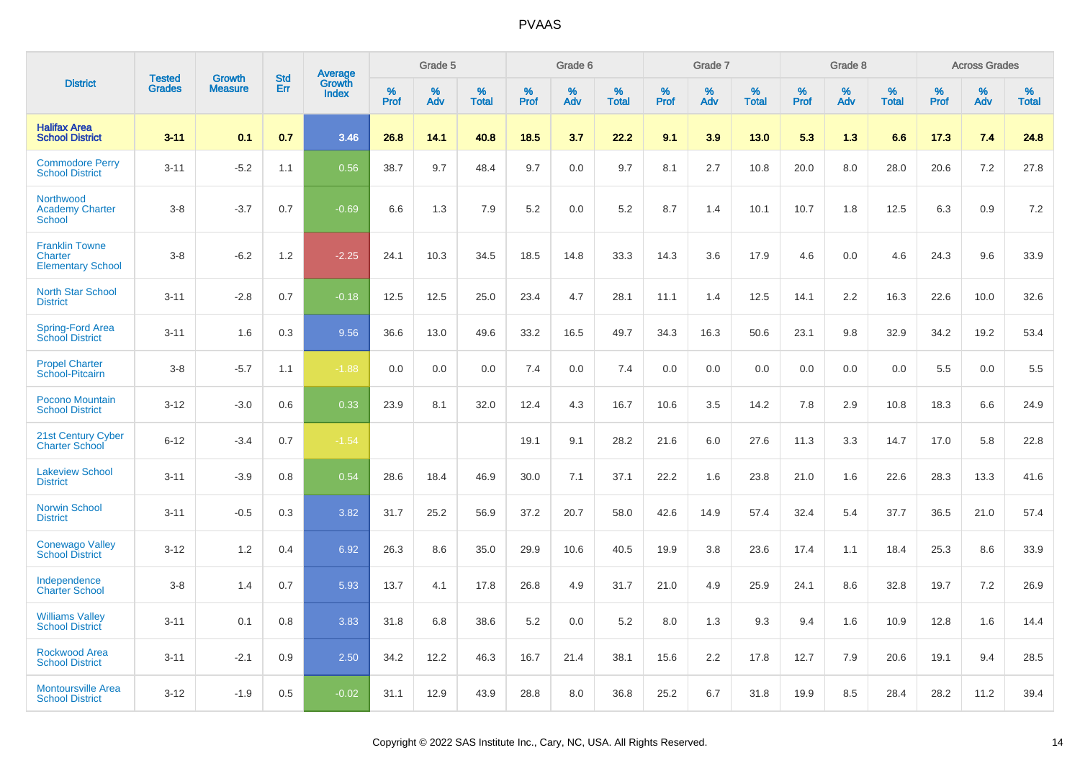|                                                              | <b>Tested</b> | <b>Growth</b>  | <b>Std</b> |                                          |              | Grade 5  |                   |              | Grade 6  |                   |              | Grade 7  |                   |              | Grade 8  |                   |              | <b>Across Grades</b> |                   |
|--------------------------------------------------------------|---------------|----------------|------------|------------------------------------------|--------------|----------|-------------------|--------------|----------|-------------------|--------------|----------|-------------------|--------------|----------|-------------------|--------------|----------------------|-------------------|
| <b>District</b>                                              | <b>Grades</b> | <b>Measure</b> | Err        | <b>Average</b><br>Growth<br><b>Index</b> | $\%$<br>Prof | %<br>Adv | %<br><b>Total</b> | $\%$<br>Prof | %<br>Adv | %<br><b>Total</b> | $\%$<br>Prof | %<br>Adv | %<br><b>Total</b> | $\%$<br>Prof | %<br>Adv | %<br><b>Total</b> | $\%$<br>Prof | %<br>Adv             | %<br><b>Total</b> |
| <b>Halifax Area</b><br><b>School District</b>                | $3 - 11$      | 0.1            | 0.7        | 3.46                                     | 26.8         | 14.1     | 40.8              | 18.5         | 3.7      | 22.2              | 9.1          | 3.9      | 13.0              | 5.3          | 1.3      | 6.6               | 17.3         | 7.4                  | 24.8              |
| <b>Commodore Perry</b><br><b>School District</b>             | $3 - 11$      | $-5.2$         | 1.1        | 0.56                                     | 38.7         | 9.7      | 48.4              | 9.7          | 0.0      | 9.7               | 8.1          | 2.7      | 10.8              | 20.0         | 8.0      | 28.0              | 20.6         | 7.2                  | 27.8              |
| Northwood<br><b>Academy Charter</b><br><b>School</b>         | $3 - 8$       | $-3.7$         | 0.7        | $-0.69$                                  | 6.6          | 1.3      | 7.9               | 5.2          | 0.0      | 5.2               | 8.7          | 1.4      | 10.1              | 10.7         | 1.8      | 12.5              | 6.3          | 0.9                  | 7.2               |
| <b>Franklin Towne</b><br>Charter<br><b>Elementary School</b> | $3 - 8$       | $-6.2$         | 1.2        | $-2.25$                                  | 24.1         | 10.3     | 34.5              | 18.5         | 14.8     | 33.3              | 14.3         | 3.6      | 17.9              | 4.6          | 0.0      | 4.6               | 24.3         | 9.6                  | 33.9              |
| <b>North Star School</b><br><b>District</b>                  | $3 - 11$      | $-2.8$         | 0.7        | $-0.18$                                  | 12.5         | 12.5     | 25.0              | 23.4         | 4.7      | 28.1              | 11.1         | 1.4      | 12.5              | 14.1         | 2.2      | 16.3              | 22.6         | 10.0                 | 32.6              |
| Spring-Ford Area<br><b>School District</b>                   | $3 - 11$      | 1.6            | 0.3        | 9.56                                     | 36.6         | 13.0     | 49.6              | 33.2         | 16.5     | 49.7              | 34.3         | 16.3     | 50.6              | 23.1         | 9.8      | 32.9              | 34.2         | 19.2                 | 53.4              |
| <b>Propel Charter</b><br>School-Pitcairn                     | $3 - 8$       | $-5.7$         | 1.1        | $-1.88$                                  | 0.0          | 0.0      | 0.0               | 7.4          | 0.0      | 7.4               | 0.0          | 0.0      | 0.0               | 0.0          | 0.0      | 0.0               | 5.5          | 0.0                  | 5.5               |
| Pocono Mountain<br><b>School District</b>                    | $3 - 12$      | $-3.0$         | 0.6        | 0.33                                     | 23.9         | 8.1      | 32.0              | 12.4         | 4.3      | 16.7              | 10.6         | 3.5      | 14.2              | 7.8          | 2.9      | 10.8              | 18.3         | 6.6                  | 24.9              |
| 21st Century Cyber<br><b>Charter School</b>                  | $6 - 12$      | $-3.4$         | 0.7        | $-1.54$                                  |              |          |                   | 19.1         | 9.1      | 28.2              | 21.6         | 6.0      | 27.6              | 11.3         | 3.3      | 14.7              | 17.0         | 5.8                  | 22.8              |
| <b>Lakeview School</b><br><b>District</b>                    | $3 - 11$      | $-3.9$         | 0.8        | 0.54                                     | 28.6         | 18.4     | 46.9              | 30.0         | 7.1      | 37.1              | 22.2         | 1.6      | 23.8              | 21.0         | 1.6      | 22.6              | 28.3         | 13.3                 | 41.6              |
| Norwin School<br><b>District</b>                             | $3 - 11$      | $-0.5$         | 0.3        | 3.82                                     | 31.7         | 25.2     | 56.9              | 37.2         | 20.7     | 58.0              | 42.6         | 14.9     | 57.4              | 32.4         | 5.4      | 37.7              | 36.5         | 21.0                 | 57.4              |
| <b>Conewago Valley</b><br><b>School District</b>             | $3 - 12$      | 1.2            | 0.4        | 6.92                                     | 26.3         | 8.6      | 35.0              | 29.9         | 10.6     | 40.5              | 19.9         | 3.8      | 23.6              | 17.4         | 1.1      | 18.4              | 25.3         | 8.6                  | 33.9              |
| Independence<br><b>Charter School</b>                        | $3 - 8$       | 1.4            | 0.7        | 5.93                                     | 13.7         | 4.1      | 17.8              | 26.8         | 4.9      | 31.7              | 21.0         | 4.9      | 25.9              | 24.1         | 8.6      | 32.8              | 19.7         | 7.2                  | 26.9              |
| <b>Williams Valley</b><br><b>School District</b>             | $3 - 11$      | 0.1            | 0.8        | 3.83                                     | 31.8         | 6.8      | 38.6              | 5.2          | 0.0      | 5.2               | 8.0          | 1.3      | 9.3               | 9.4          | 1.6      | 10.9              | 12.8         | 1.6                  | 14.4              |
| <b>Rockwood Area</b><br><b>School District</b>               | $3 - 11$      | $-2.1$         | 0.9        | 2.50                                     | 34.2         | 12.2     | 46.3              | 16.7         | 21.4     | 38.1              | 15.6         | 2.2      | 17.8              | 12.7         | 7.9      | 20.6              | 19.1         | 9.4                  | 28.5              |
| <b>Montoursville Area</b><br><b>School District</b>          | $3 - 12$      | $-1.9$         | 0.5        | $-0.02$                                  | 31.1         | 12.9     | 43.9              | 28.8         | 8.0      | 36.8              | 25.2         | 6.7      | 31.8              | 19.9         | 8.5      | 28.4              | 28.2         | 11.2                 | 39.4              |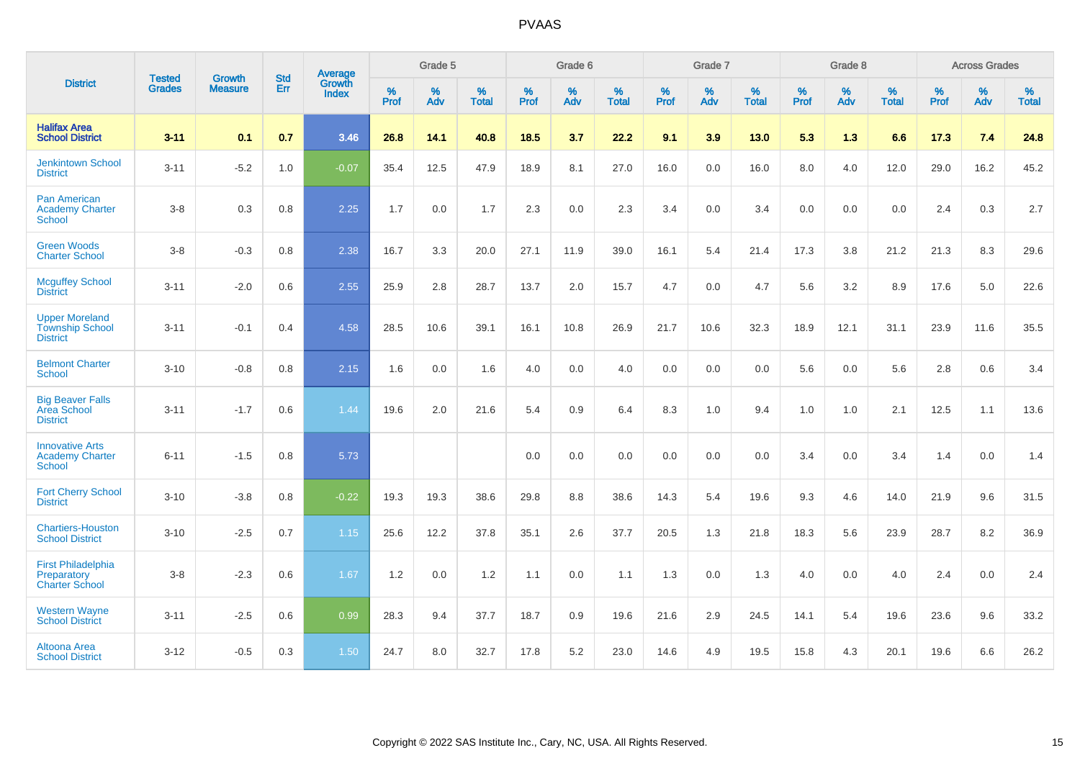|                                                                    | <b>Tested</b> | <b>Growth</b>  | <b>Std</b> | Average                |                     | Grade 5  |                   |              | Grade 6  |                   |                     | Grade 7  |                   |                     | Grade 8  |                   |              | <b>Across Grades</b> |                   |
|--------------------------------------------------------------------|---------------|----------------|------------|------------------------|---------------------|----------|-------------------|--------------|----------|-------------------|---------------------|----------|-------------------|---------------------|----------|-------------------|--------------|----------------------|-------------------|
| <b>District</b>                                                    | <b>Grades</b> | <b>Measure</b> | Err        | Growth<br><b>Index</b> | $\%$<br><b>Prof</b> | %<br>Adv | %<br><b>Total</b> | $\%$<br>Prof | %<br>Adv | %<br><b>Total</b> | $\%$<br><b>Prof</b> | %<br>Adv | %<br><b>Total</b> | $\%$<br><b>Prof</b> | %<br>Adv | %<br><b>Total</b> | $\%$<br>Prof | %<br>Adv             | %<br><b>Total</b> |
| <b>Halifax Area</b><br><b>School District</b>                      | $3 - 11$      | 0.1            | 0.7        | 3.46                   | 26.8                | 14.1     | 40.8              | 18.5         | 3.7      | 22.2              | 9.1                 | 3.9      | 13.0              | 5.3                 | 1.3      | 6.6               | 17.3         | 7.4                  | 24.8              |
| <b>Jenkintown School</b><br><b>District</b>                        | $3 - 11$      | $-5.2$         | 1.0        | $-0.07$                | 35.4                | 12.5     | 47.9              | 18.9         | 8.1      | 27.0              | 16.0                | 0.0      | 16.0              | 8.0                 | 4.0      | 12.0              | 29.0         | 16.2                 | 45.2              |
| <b>Pan American</b><br><b>Academy Charter</b><br><b>School</b>     | $3 - 8$       | 0.3            | 0.8        | 2.25                   | 1.7                 | 0.0      | 1.7               | 2.3          | 0.0      | 2.3               | 3.4                 | 0.0      | 3.4               | 0.0                 | 0.0      | 0.0               | 2.4          | 0.3                  | 2.7               |
| <b>Green Woods</b><br><b>Charter School</b>                        | $3-8$         | $-0.3$         | $0.8\,$    | 2.38                   | 16.7                | 3.3      | 20.0              | 27.1         | 11.9     | 39.0              | 16.1                | 5.4      | 21.4              | 17.3                | 3.8      | 21.2              | 21.3         | 8.3                  | 29.6              |
| <b>Mcguffey School</b><br><b>District</b>                          | $3 - 11$      | $-2.0$         | 0.6        | 2.55                   | 25.9                | 2.8      | 28.7              | 13.7         | 2.0      | 15.7              | 4.7                 | 0.0      | 4.7               | 5.6                 | 3.2      | 8.9               | 17.6         | 5.0                  | 22.6              |
| <b>Upper Moreland</b><br><b>Township School</b><br><b>District</b> | $3 - 11$      | $-0.1$         | 0.4        | 4.58                   | 28.5                | 10.6     | 39.1              | 16.1         | 10.8     | 26.9              | 21.7                | 10.6     | 32.3              | 18.9                | 12.1     | 31.1              | 23.9         | 11.6                 | 35.5              |
| <b>Belmont Charter</b><br>School                                   | $3 - 10$      | $-0.8$         | 0.8        | 2.15                   | 1.6                 | 0.0      | 1.6               | 4.0          | 0.0      | 4.0               | 0.0                 | 0.0      | 0.0               | 5.6                 | 0.0      | 5.6               | 2.8          | $0.6\,$              | 3.4               |
| <b>Big Beaver Falls</b><br>Area School<br><b>District</b>          | $3 - 11$      | $-1.7$         | 0.6        | 1.44                   | 19.6                | 2.0      | 21.6              | 5.4          | 0.9      | 6.4               | 8.3                 | 1.0      | 9.4               | 1.0                 | 1.0      | 2.1               | 12.5         | 1.1                  | 13.6              |
| <b>Innovative Arts</b><br><b>Academy Charter</b><br><b>School</b>  | $6 - 11$      | $-1.5$         | 0.8        | 5.73                   |                     |          |                   | 0.0          | 0.0      | 0.0               | 0.0                 | 0.0      | 0.0               | 3.4                 | 0.0      | 3.4               | 1.4          | 0.0                  | 1.4               |
| <b>Fort Cherry School</b><br><b>District</b>                       | $3 - 10$      | $-3.8$         | 0.8        | $-0.22$                | 19.3                | 19.3     | 38.6              | 29.8         | 8.8      | 38.6              | 14.3                | 5.4      | 19.6              | 9.3                 | 4.6      | 14.0              | 21.9         | 9.6                  | 31.5              |
| <b>Chartiers-Houston</b><br><b>School District</b>                 | $3 - 10$      | $-2.5$         | 0.7        | 1.15                   | 25.6                | 12.2     | 37.8              | 35.1         | 2.6      | 37.7              | 20.5                | 1.3      | 21.8              | 18.3                | 5.6      | 23.9              | 28.7         | 8.2                  | 36.9              |
| <b>First Philadelphia</b><br>Preparatory<br><b>Charter School</b>  | $3 - 8$       | $-2.3$         | 0.6        | 1.67                   | 1.2                 | 0.0      | 1.2               | 1.1          | 0.0      | 1.1               | 1.3                 | 0.0      | 1.3               | 4.0                 | 0.0      | 4.0               | 2.4          | 0.0                  | 2.4               |
| <b>Western Wayne</b><br><b>School District</b>                     | $3 - 11$      | $-2.5$         | 0.6        | 0.99                   | 28.3                | 9.4      | 37.7              | 18.7         | 0.9      | 19.6              | 21.6                | 2.9      | 24.5              | 14.1                | 5.4      | 19.6              | 23.6         | 9.6                  | 33.2              |
| Altoona Area<br><b>School District</b>                             | $3 - 12$      | $-0.5$         | 0.3        | 1.50                   | 24.7                | 8.0      | 32.7              | 17.8         | 5.2      | 23.0              | 14.6                | 4.9      | 19.5              | 15.8                | 4.3      | 20.1              | 19.6         | 6.6                  | 26.2              |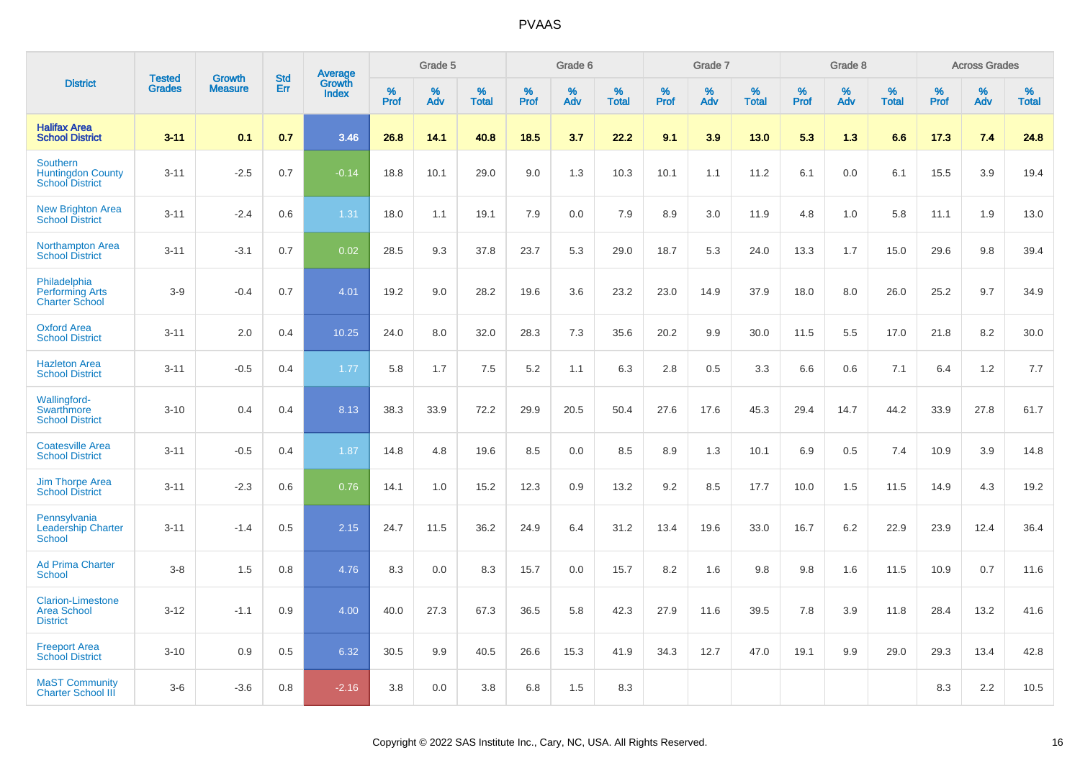|                                                                       | <b>Tested</b> | <b>Growth</b>  | <b>Std</b> | Average                |              | Grade 5  |                   |           | Grade 6  |                   |           | Grade 7  |                   |           | Grade 8  |                   |              | <b>Across Grades</b> |                   |
|-----------------------------------------------------------------------|---------------|----------------|------------|------------------------|--------------|----------|-------------------|-----------|----------|-------------------|-----------|----------|-------------------|-----------|----------|-------------------|--------------|----------------------|-------------------|
| <b>District</b>                                                       | <b>Grades</b> | <b>Measure</b> | Err        | Growth<br><b>Index</b> | $\%$<br>Prof | %<br>Adv | %<br><b>Total</b> | %<br>Prof | %<br>Adv | %<br><b>Total</b> | %<br>Prof | %<br>Adv | %<br><b>Total</b> | %<br>Prof | %<br>Adv | %<br><b>Total</b> | $\%$<br>Prof | %<br>Adv             | %<br><b>Total</b> |
| <b>Halifax Area</b><br><b>School District</b>                         | $3 - 11$      | 0.1            | 0.7        | 3.46                   | 26.8         | 14.1     | 40.8              | 18.5      | 3.7      | 22.2              | 9.1       | 3.9      | 13.0              | 5.3       | 1.3      | 6.6               | 17.3         | 7.4                  | 24.8              |
| <b>Southern</b><br><b>Huntingdon County</b><br><b>School District</b> | $3 - 11$      | $-2.5$         | 0.7        | $-0.14$                | 18.8         | 10.1     | 29.0              | 9.0       | 1.3      | 10.3              | 10.1      | 1.1      | 11.2              | 6.1       | 0.0      | 6.1               | 15.5         | 3.9                  | 19.4              |
| <b>New Brighton Area</b><br><b>School District</b>                    | $3 - 11$      | $-2.4$         | 0.6        | 1.31                   | 18.0         | 1.1      | 19.1              | 7.9       | 0.0      | 7.9               | 8.9       | 3.0      | 11.9              | 4.8       | 1.0      | 5.8               | 11.1         | 1.9                  | 13.0              |
| <b>Northampton Area</b><br><b>School District</b>                     | $3 - 11$      | $-3.1$         | 0.7        | 0.02                   | 28.5         | 9.3      | 37.8              | 23.7      | 5.3      | 29.0              | 18.7      | 5.3      | 24.0              | 13.3      | 1.7      | 15.0              | 29.6         | 9.8                  | 39.4              |
| Philadelphia<br><b>Performing Arts</b><br><b>Charter School</b>       | $3-9$         | $-0.4$         | 0.7        | 4.01                   | 19.2         | 9.0      | 28.2              | 19.6      | 3.6      | 23.2              | 23.0      | 14.9     | 37.9              | 18.0      | 8.0      | 26.0              | 25.2         | 9.7                  | 34.9              |
| <b>Oxford Area</b><br><b>School District</b>                          | $3 - 11$      | 2.0            | 0.4        | 10.25                  | 24.0         | 8.0      | 32.0              | 28.3      | 7.3      | 35.6              | 20.2      | 9.9      | 30.0              | 11.5      | 5.5      | 17.0              | 21.8         | 8.2                  | 30.0              |
| <b>Hazleton Area</b><br><b>School District</b>                        | $3 - 11$      | $-0.5$         | 0.4        | 1.77                   | 5.8          | 1.7      | 7.5               | 5.2       | 1.1      | 6.3               | 2.8       | 0.5      | 3.3               | 6.6       | 0.6      | 7.1               | 6.4          | 1.2                  | 7.7               |
| <b>Wallingford-</b><br>Swarthmore<br><b>School District</b>           | $3 - 10$      | 0.4            | 0.4        | 8.13                   | 38.3         | 33.9     | 72.2              | 29.9      | 20.5     | 50.4              | 27.6      | 17.6     | 45.3              | 29.4      | 14.7     | 44.2              | 33.9         | 27.8                 | 61.7              |
| <b>Coatesville Area</b><br><b>School District</b>                     | $3 - 11$      | $-0.5$         | 0.4        | 1.87                   | 14.8         | 4.8      | 19.6              | 8.5       | 0.0      | 8.5               | 8.9       | 1.3      | 10.1              | 6.9       | 0.5      | 7.4               | 10.9         | 3.9                  | 14.8              |
| <b>Jim Thorpe Area</b><br><b>School District</b>                      | $3 - 11$      | $-2.3$         | 0.6        | 0.76                   | 14.1         | 1.0      | 15.2              | 12.3      | 0.9      | 13.2              | 9.2       | 8.5      | 17.7              | 10.0      | 1.5      | 11.5              | 14.9         | 4.3                  | 19.2              |
| Pennsylvania<br><b>Leadership Charter</b><br><b>School</b>            | $3 - 11$      | $-1.4$         | 0.5        | 2.15                   | 24.7         | 11.5     | 36.2              | 24.9      | 6.4      | 31.2              | 13.4      | 19.6     | 33.0              | 16.7      | 6.2      | 22.9              | 23.9         | 12.4                 | 36.4              |
| <b>Ad Prima Charter</b><br><b>School</b>                              | $3-8$         | 1.5            | 0.8        | 4.76                   | 8.3          | 0.0      | 8.3               | 15.7      | 0.0      | 15.7              | 8.2       | 1.6      | 9.8               | 9.8       | 1.6      | 11.5              | 10.9         | 0.7                  | 11.6              |
| <b>Clarion-Limestone</b><br><b>Area School</b><br><b>District</b>     | $3 - 12$      | $-1.1$         | 0.9        | 4.00                   | 40.0         | 27.3     | 67.3              | 36.5      | 5.8      | 42.3              | 27.9      | 11.6     | 39.5              | 7.8       | 3.9      | 11.8              | 28.4         | 13.2                 | 41.6              |
| <b>Freeport Area</b><br><b>School District</b>                        | $3 - 10$      | 0.9            | 0.5        | 6.32                   | 30.5         | 9.9      | 40.5              | 26.6      | 15.3     | 41.9              | 34.3      | 12.7     | 47.0              | 19.1      | 9.9      | 29.0              | 29.3         | 13.4                 | 42.8              |
| <b>MaST Community</b><br><b>Charter School III</b>                    | $3-6$         | $-3.6$         | 0.8        | $-2.16$                | 3.8          | 0.0      | 3.8               | 6.8       | 1.5      | 8.3               |           |          |                   |           |          |                   | 8.3          | 2.2                  | 10.5              |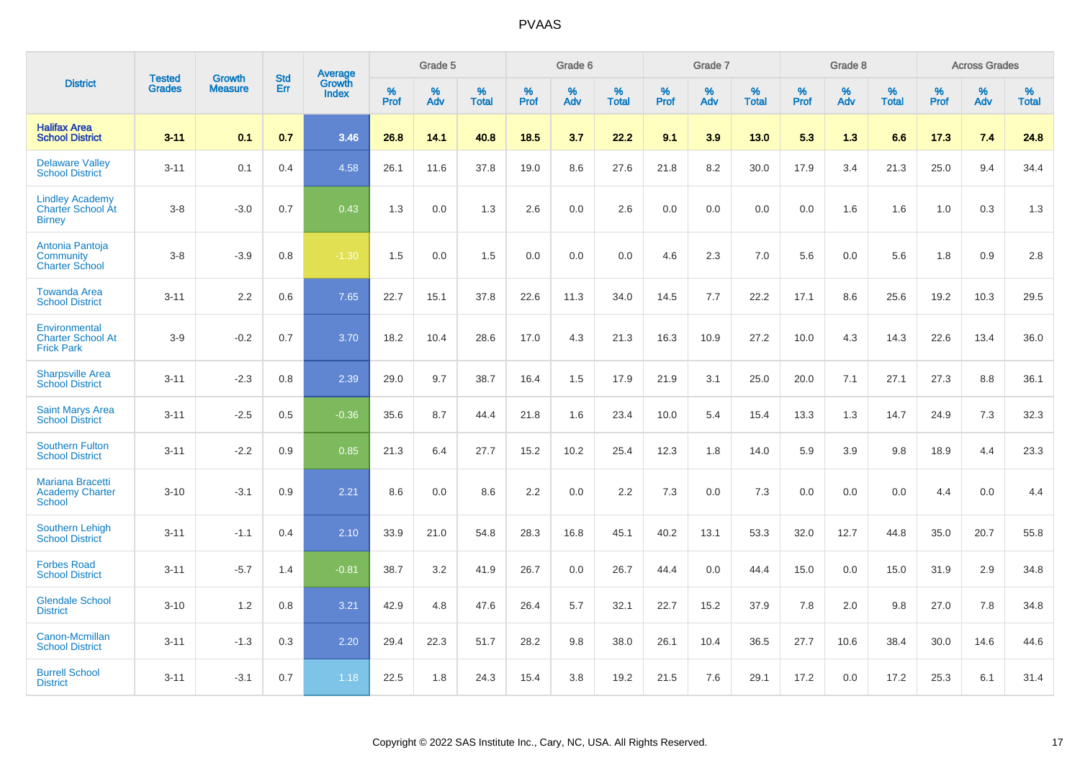|                                                                     | <b>Tested</b> | <b>Growth</b>  | <b>Std</b> | <b>Average</b>         |           | Grade 5  |                   |           | Grade 6  |                   |           | Grade 7  |                   |           | Grade 8  |                   |           | <b>Across Grades</b> |                   |
|---------------------------------------------------------------------|---------------|----------------|------------|------------------------|-----------|----------|-------------------|-----------|----------|-------------------|-----------|----------|-------------------|-----------|----------|-------------------|-----------|----------------------|-------------------|
| <b>District</b>                                                     | <b>Grades</b> | <b>Measure</b> | <b>Err</b> | Growth<br><b>Index</b> | %<br>Prof | %<br>Adv | %<br><b>Total</b> | %<br>Prof | %<br>Adv | %<br><b>Total</b> | %<br>Prof | %<br>Adv | %<br><b>Total</b> | %<br>Prof | %<br>Adv | %<br><b>Total</b> | %<br>Prof | %<br>Adv             | %<br><b>Total</b> |
| <b>Halifax Area</b><br><b>School District</b>                       | $3 - 11$      | 0.1            | 0.7        | 3.46                   | 26.8      | 14.1     | 40.8              | 18.5      | 3.7      | 22.2              | 9.1       | 3.9      | 13.0              | 5.3       | 1.3      | 6.6               | 17.3      | 7.4                  | 24.8              |
| <b>Delaware Valley</b><br><b>School District</b>                    | $3 - 11$      | 0.1            | 0.4        | 4.58                   | 26.1      | 11.6     | 37.8              | 19.0      | 8.6      | 27.6              | 21.8      | 8.2      | 30.0              | 17.9      | 3.4      | 21.3              | 25.0      | 9.4                  | 34.4              |
| <b>Lindley Academy</b><br><b>Charter School At</b><br><b>Birney</b> | $3 - 8$       | $-3.0$         | 0.7        | 0.43                   | 1.3       | 0.0      | 1.3               | 2.6       | 0.0      | 2.6               | 0.0       | 0.0      | 0.0               | 0.0       | 1.6      | 1.6               | 1.0       | 0.3                  | 1.3               |
| Antonia Pantoja<br>Community<br><b>Charter School</b>               | $3 - 8$       | $-3.9$         | 0.8        | $-1.30$                | 1.5       | 0.0      | 1.5               | 0.0       | 0.0      | 0.0               | 4.6       | 2.3      | 7.0               | 5.6       | 0.0      | 5.6               | 1.8       | 0.9                  | 2.8               |
| <b>Towanda Area</b><br><b>School District</b>                       | $3 - 11$      | 2.2            | 0.6        | 7.65                   | 22.7      | 15.1     | 37.8              | 22.6      | 11.3     | 34.0              | 14.5      | 7.7      | 22.2              | 17.1      | 8.6      | 25.6              | 19.2      | 10.3                 | 29.5              |
| Environmental<br><b>Charter School At</b><br><b>Frick Park</b>      | $3-9$         | $-0.2$         | 0.7        | 3.70                   | 18.2      | 10.4     | 28.6              | 17.0      | 4.3      | 21.3              | 16.3      | 10.9     | 27.2              | 10.0      | 4.3      | 14.3              | 22.6      | 13.4                 | 36.0              |
| <b>Sharpsville Area</b><br><b>School District</b>                   | $3 - 11$      | $-2.3$         | 0.8        | 2.39                   | 29.0      | 9.7      | 38.7              | 16.4      | 1.5      | 17.9              | 21.9      | 3.1      | 25.0              | 20.0      | 7.1      | 27.1              | 27.3      | 8.8                  | 36.1              |
| <b>Saint Marys Area</b><br><b>School District</b>                   | $3 - 11$      | $-2.5$         | 0.5        | $-0.36$                | 35.6      | 8.7      | 44.4              | 21.8      | 1.6      | 23.4              | 10.0      | 5.4      | 15.4              | 13.3      | 1.3      | 14.7              | 24.9      | 7.3                  | 32.3              |
| <b>Southern Fulton</b><br><b>School District</b>                    | $3 - 11$      | $-2.2$         | 0.9        | 0.85                   | 21.3      | 6.4      | 27.7              | 15.2      | 10.2     | 25.4              | 12.3      | 1.8      | 14.0              | 5.9       | 3.9      | 9.8               | 18.9      | 4.4                  | 23.3              |
| <b>Mariana Bracetti</b><br><b>Academy Charter</b><br><b>School</b>  | $3 - 10$      | $-3.1$         | 0.9        | 2.21                   | 8.6       | 0.0      | 8.6               | 2.2       | 0.0      | 2.2               | 7.3       | 0.0      | 7.3               | 0.0       | 0.0      | 0.0               | 4.4       | 0.0                  | 4.4               |
| <b>Southern Lehigh</b><br><b>School District</b>                    | $3 - 11$      | $-1.1$         | 0.4        | 2.10                   | 33.9      | 21.0     | 54.8              | 28.3      | 16.8     | 45.1              | 40.2      | 13.1     | 53.3              | 32.0      | 12.7     | 44.8              | 35.0      | 20.7                 | 55.8              |
| <b>Forbes Road</b><br><b>School District</b>                        | $3 - 11$      | $-5.7$         | 1.4        | $-0.81$                | 38.7      | 3.2      | 41.9              | 26.7      | 0.0      | 26.7              | 44.4      | 0.0      | 44.4              | 15.0      | 0.0      | 15.0              | 31.9      | 2.9                  | 34.8              |
| <b>Glendale School</b><br><b>District</b>                           | $3 - 10$      | 1.2            | 0.8        | 3.21                   | 42.9      | 4.8      | 47.6              | 26.4      | 5.7      | 32.1              | 22.7      | 15.2     | 37.9              | 7.8       | 2.0      | 9.8               | 27.0      | 7.8                  | 34.8              |
| Canon-Mcmillan<br><b>School District</b>                            | $3 - 11$      | $-1.3$         | 0.3        | 2.20                   | 29.4      | 22.3     | 51.7              | 28.2      | 9.8      | 38.0              | 26.1      | 10.4     | 36.5              | 27.7      | 10.6     | 38.4              | 30.0      | 14.6                 | 44.6              |
| <b>Burrell School</b><br><b>District</b>                            | $3 - 11$      | $-3.1$         | 0.7        | 1.18                   | 22.5      | 1.8      | 24.3              | 15.4      | 3.8      | 19.2              | 21.5      | 7.6      | 29.1              | 17.2      | 0.0      | 17.2              | 25.3      | 6.1                  | 31.4              |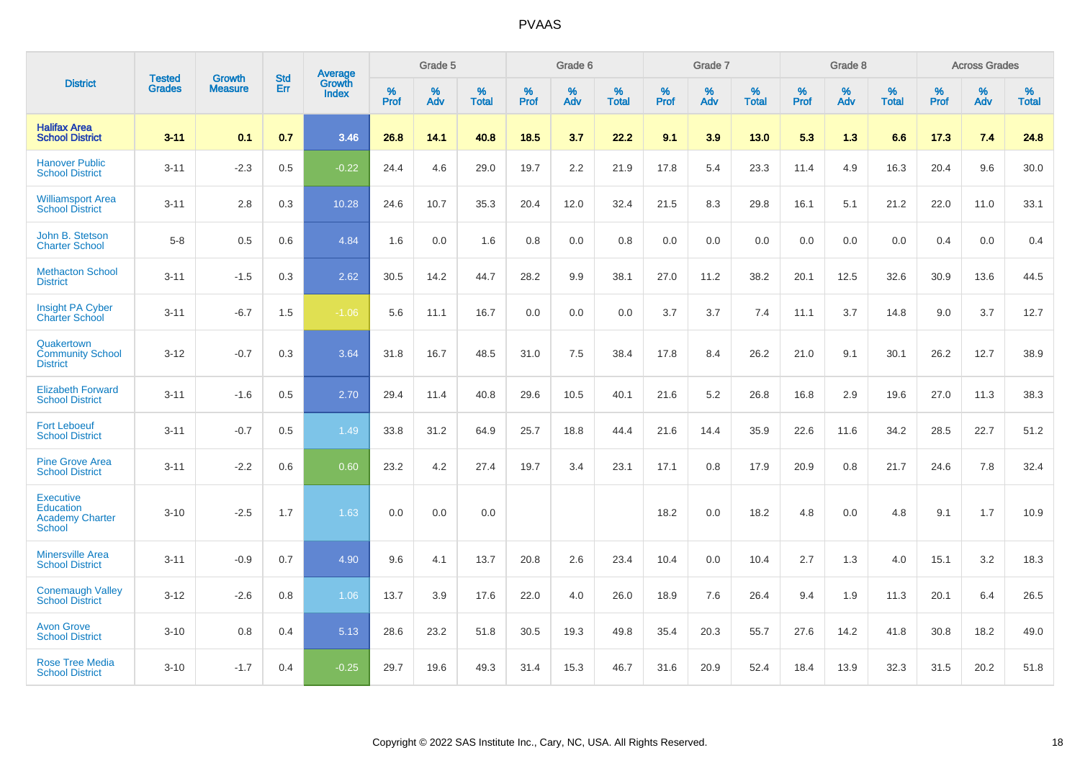|                                                                          | <b>Tested</b> | <b>Growth</b>  | <b>Std</b> | Average                |              | Grade 5  |                   |           | Grade 6  |                   |              | Grade 7  |                   |              | Grade 8  |                   |              | <b>Across Grades</b> |                   |
|--------------------------------------------------------------------------|---------------|----------------|------------|------------------------|--------------|----------|-------------------|-----------|----------|-------------------|--------------|----------|-------------------|--------------|----------|-------------------|--------------|----------------------|-------------------|
| <b>District</b>                                                          | <b>Grades</b> | <b>Measure</b> | Err        | Growth<br><b>Index</b> | $\%$<br>Prof | %<br>Adv | %<br><b>Total</b> | %<br>Prof | %<br>Adv | %<br><b>Total</b> | $\%$<br>Prof | %<br>Adv | %<br><b>Total</b> | $\%$<br>Prof | %<br>Adv | %<br><b>Total</b> | $\%$<br>Prof | $\%$<br>Adv          | %<br><b>Total</b> |
| <b>Halifax Area</b><br><b>School District</b>                            | $3 - 11$      | 0.1            | 0.7        | 3.46                   | 26.8         | 14.1     | 40.8              | 18.5      | 3.7      | 22.2              | 9.1          | 3.9      | 13.0              | 5.3          | 1.3      | 6.6               | 17.3         | 7.4                  | 24.8              |
| <b>Hanover Public</b><br><b>School District</b>                          | $3 - 11$      | $-2.3$         | 0.5        | $-0.22$                | 24.4         | 4.6      | 29.0              | 19.7      | 2.2      | 21.9              | 17.8         | 5.4      | 23.3              | 11.4         | 4.9      | 16.3              | 20.4         | 9.6                  | 30.0              |
| <b>Williamsport Area</b><br><b>School District</b>                       | $3 - 11$      | 2.8            | 0.3        | 10.28                  | 24.6         | 10.7     | 35.3              | 20.4      | 12.0     | 32.4              | 21.5         | 8.3      | 29.8              | 16.1         | 5.1      | 21.2              | 22.0         | 11.0                 | 33.1              |
| John B. Stetson<br><b>Charter School</b>                                 | $5-8$         | 0.5            | 0.6        | 4.84                   | 1.6          | 0.0      | 1.6               | 0.8       | 0.0      | 0.8               | 0.0          | 0.0      | 0.0               | 0.0          | 0.0      | 0.0               | 0.4          | 0.0                  | 0.4               |
| <b>Methacton School</b><br><b>District</b>                               | $3 - 11$      | $-1.5$         | 0.3        | 2.62                   | 30.5         | 14.2     | 44.7              | 28.2      | 9.9      | 38.1              | 27.0         | 11.2     | 38.2              | 20.1         | 12.5     | 32.6              | 30.9         | 13.6                 | 44.5              |
| <b>Insight PA Cyber</b><br>Charter School                                | $3 - 11$      | $-6.7$         | 1.5        | $-1.06$                | 5.6          | 11.1     | 16.7              | 0.0       | 0.0      | 0.0               | 3.7          | 3.7      | 7.4               | 11.1         | 3.7      | 14.8              | 9.0          | 3.7                  | 12.7              |
| Quakertown<br><b>Community School</b><br><b>District</b>                 | $3 - 12$      | $-0.7$         | 0.3        | 3.64                   | 31.8         | 16.7     | 48.5              | 31.0      | 7.5      | 38.4              | 17.8         | 8.4      | 26.2              | 21.0         | 9.1      | 30.1              | 26.2         | 12.7                 | 38.9              |
| <b>Elizabeth Forward</b><br><b>School District</b>                       | $3 - 11$      | $-1.6$         | 0.5        | 2.70                   | 29.4         | 11.4     | 40.8              | 29.6      | 10.5     | 40.1              | 21.6         | 5.2      | 26.8              | 16.8         | 2.9      | 19.6              | 27.0         | 11.3                 | 38.3              |
| <b>Fort Leboeuf</b><br><b>School District</b>                            | $3 - 11$      | $-0.7$         | 0.5        | 1.49                   | 33.8         | 31.2     | 64.9              | 25.7      | 18.8     | 44.4              | 21.6         | 14.4     | 35.9              | 22.6         | 11.6     | 34.2              | 28.5         | 22.7                 | 51.2              |
| <b>Pine Grove Area</b><br><b>School District</b>                         | $3 - 11$      | $-2.2$         | 0.6        | 0.60                   | 23.2         | 4.2      | 27.4              | 19.7      | 3.4      | 23.1              | 17.1         | 0.8      | 17.9              | 20.9         | 0.8      | 21.7              | 24.6         | 7.8                  | 32.4              |
| <b>Executive</b><br>Education<br><b>Academy Charter</b><br><b>School</b> | $3 - 10$      | $-2.5$         | 1.7        | 1.63                   | 0.0          | 0.0      | 0.0               |           |          |                   | 18.2         | 0.0      | 18.2              | 4.8          | 0.0      | 4.8               | 9.1          | 1.7                  | 10.9              |
| <b>Minersville Area</b><br><b>School District</b>                        | $3 - 11$      | $-0.9$         | 0.7        | 4.90                   | 9.6          | 4.1      | 13.7              | 20.8      | 2.6      | 23.4              | 10.4         | 0.0      | 10.4              | 2.7          | 1.3      | 4.0               | 15.1         | 3.2                  | 18.3              |
| <b>Conemaugh Valley</b><br><b>School District</b>                        | $3 - 12$      | $-2.6$         | 0.8        | 1.06                   | 13.7         | 3.9      | 17.6              | 22.0      | 4.0      | 26.0              | 18.9         | 7.6      | 26.4              | 9.4          | 1.9      | 11.3              | 20.1         | 6.4                  | 26.5              |
| <b>Avon Grove</b><br><b>School District</b>                              | $3 - 10$      | 0.8            | 0.4        | 5.13                   | 28.6         | 23.2     | 51.8              | 30.5      | 19.3     | 49.8              | 35.4         | 20.3     | 55.7              | 27.6         | 14.2     | 41.8              | 30.8         | 18.2                 | 49.0              |
| <b>Rose Tree Media</b><br><b>School District</b>                         | $3 - 10$      | $-1.7$         | 0.4        | $-0.25$                | 29.7         | 19.6     | 49.3              | 31.4      | 15.3     | 46.7              | 31.6         | 20.9     | 52.4              | 18.4         | 13.9     | 32.3              | 31.5         | 20.2                 | 51.8              |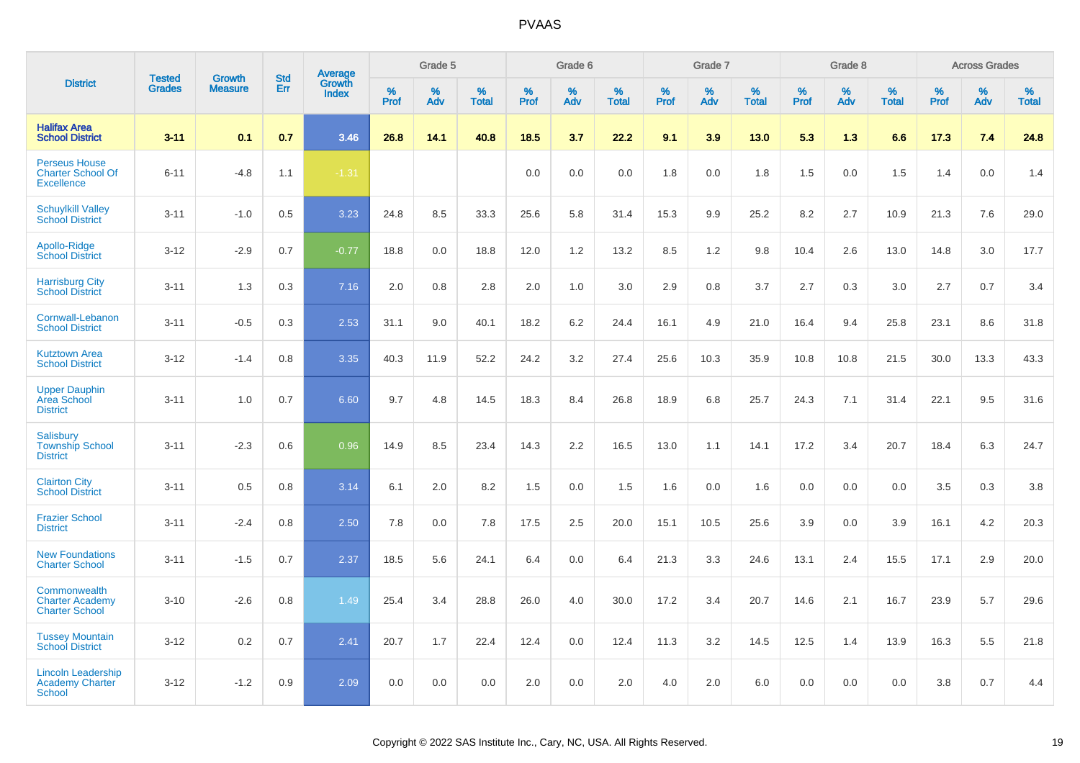|                                                                       |                                | <b>Growth</b>  | <b>Std</b> | <b>Average</b>         |                     | Grade 5  |                   |           | Grade 6  |                   |                  | Grade 7  |                   |           | Grade 8  |                   |           | <b>Across Grades</b> |                   |
|-----------------------------------------------------------------------|--------------------------------|----------------|------------|------------------------|---------------------|----------|-------------------|-----------|----------|-------------------|------------------|----------|-------------------|-----------|----------|-------------------|-----------|----------------------|-------------------|
| <b>District</b>                                                       | <b>Tested</b><br><b>Grades</b> | <b>Measure</b> | Err        | Growth<br><b>Index</b> | $\%$<br><b>Prof</b> | %<br>Adv | %<br><b>Total</b> | %<br>Prof | %<br>Adv | %<br><b>Total</b> | %<br><b>Prof</b> | %<br>Adv | %<br><b>Total</b> | %<br>Prof | %<br>Adv | %<br><b>Total</b> | %<br>Prof | %<br>Adv             | %<br><b>Total</b> |
| <b>Halifax Area</b><br><b>School District</b>                         | $3 - 11$                       | 0.1            | 0.7        | 3.46                   | 26.8                | 14.1     | 40.8              | 18.5      | 3.7      | 22.2              | 9.1              | 3.9      | 13.0              | 5.3       | 1.3      | 6.6               | 17.3      | 7.4                  | 24.8              |
| <b>Perseus House</b><br><b>Charter School Of</b><br><b>Excellence</b> | $6 - 11$                       | $-4.8$         | 1.1        | $-1.31$                |                     |          |                   | 0.0       | 0.0      | 0.0               | 1.8              | 0.0      | 1.8               | 1.5       | 0.0      | 1.5               | 1.4       | 0.0                  | 1.4               |
| <b>Schuylkill Valley</b><br><b>School District</b>                    | $3 - 11$                       | $-1.0$         | 0.5        | 3.23                   | 24.8                | 8.5      | 33.3              | 25.6      | 5.8      | 31.4              | 15.3             | 9.9      | 25.2              | 8.2       | 2.7      | 10.9              | 21.3      | 7.6                  | 29.0              |
| Apollo-Ridge<br><b>School District</b>                                | $3 - 12$                       | $-2.9$         | 0.7        | $-0.77$                | 18.8                | 0.0      | 18.8              | 12.0      | 1.2      | 13.2              | 8.5              | 1.2      | 9.8               | 10.4      | 2.6      | 13.0              | 14.8      | 3.0                  | 17.7              |
| <b>Harrisburg City</b><br><b>School District</b>                      | $3 - 11$                       | 1.3            | 0.3        | 7.16                   | 2.0                 | 0.8      | 2.8               | 2.0       | 1.0      | 3.0               | 2.9              | 0.8      | 3.7               | 2.7       | 0.3      | 3.0               | 2.7       | 0.7                  | 3.4               |
| Cornwall-Lebanon<br><b>School District</b>                            | $3 - 11$                       | $-0.5$         | 0.3        | 2.53                   | 31.1                | 9.0      | 40.1              | 18.2      | 6.2      | 24.4              | 16.1             | 4.9      | 21.0              | 16.4      | 9.4      | 25.8              | 23.1      | 8.6                  | 31.8              |
| <b>Kutztown Area</b><br><b>School District</b>                        | $3 - 12$                       | $-1.4$         | 0.8        | 3.35                   | 40.3                | 11.9     | 52.2              | 24.2      | 3.2      | 27.4              | 25.6             | 10.3     | 35.9              | 10.8      | 10.8     | 21.5              | 30.0      | 13.3                 | 43.3              |
| <b>Upper Dauphin</b><br>Area School<br><b>District</b>                | $3 - 11$                       | 1.0            | 0.7        | 6.60                   | 9.7                 | 4.8      | 14.5              | 18.3      | 8.4      | 26.8              | 18.9             | 6.8      | 25.7              | 24.3      | 7.1      | 31.4              | 22.1      | 9.5                  | 31.6              |
| Salisbury<br><b>Township School</b><br><b>District</b>                | $3 - 11$                       | $-2.3$         | 0.6        | 0.96                   | 14.9                | 8.5      | 23.4              | 14.3      | 2.2      | 16.5              | 13.0             | 1.1      | 14.1              | 17.2      | 3.4      | 20.7              | 18.4      | 6.3                  | 24.7              |
| <b>Clairton City</b><br><b>School District</b>                        | $3 - 11$                       | 0.5            | 0.8        | 3.14                   | 6.1                 | 2.0      | 8.2               | 1.5       | 0.0      | 1.5               | 1.6              | 0.0      | 1.6               | 0.0       | 0.0      | 0.0               | 3.5       | 0.3                  | 3.8               |
| <b>Frazier School</b><br><b>District</b>                              | $3 - 11$                       | $-2.4$         | 0.8        | 2.50                   | 7.8                 | 0.0      | 7.8               | 17.5      | 2.5      | 20.0              | 15.1             | 10.5     | 25.6              | 3.9       | 0.0      | 3.9               | 16.1      | 4.2                  | 20.3              |
| <b>New Foundations</b><br><b>Charter School</b>                       | $3 - 11$                       | $-1.5$         | 0.7        | 2.37                   | 18.5                | 5.6      | 24.1              | 6.4       | 0.0      | 6.4               | 21.3             | 3.3      | 24.6              | 13.1      | 2.4      | 15.5              | 17.1      | 2.9                  | 20.0              |
| Commonwealth<br><b>Charter Academy</b><br><b>Charter School</b>       | $3 - 10$                       | $-2.6$         | 0.8        | 1.49                   | 25.4                | 3.4      | 28.8              | 26.0      | 4.0      | 30.0              | 17.2             | 3.4      | 20.7              | 14.6      | 2.1      | 16.7              | 23.9      | 5.7                  | 29.6              |
| <b>Tussey Mountain</b><br><b>School District</b>                      | $3 - 12$                       | 0.2            | 0.7        | 2.41                   | 20.7                | 1.7      | 22.4              | 12.4      | 0.0      | 12.4              | 11.3             | 3.2      | 14.5              | 12.5      | 1.4      | 13.9              | 16.3      | 5.5                  | 21.8              |
| <b>Lincoln Leadership</b><br><b>Academy Charter</b><br><b>School</b>  | $3 - 12$                       | $-1.2$         | 0.9        | 2.09                   | 0.0                 | 0.0      | 0.0               | 2.0       | 0.0      | 2.0               | 4.0              | 2.0      | 6.0               | 0.0       | 0.0      | 0.0               | 3.8       | 0.7                  | 4.4               |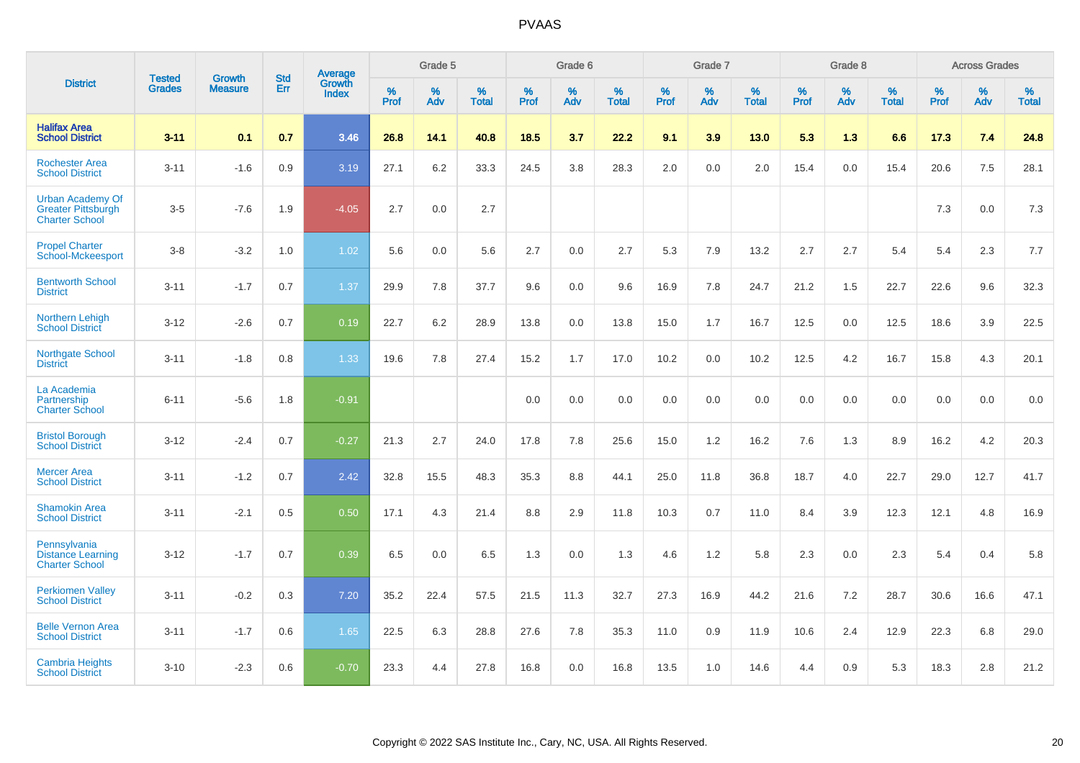|                                                                               | <b>Tested</b> | <b>Growth</b>  | <b>Std</b> | Average                |           | Grade 5  |                   |           | Grade 6  |                   |           | Grade 7  |                   |           | Grade 8  |                   |           | <b>Across Grades</b> |                   |
|-------------------------------------------------------------------------------|---------------|----------------|------------|------------------------|-----------|----------|-------------------|-----------|----------|-------------------|-----------|----------|-------------------|-----------|----------|-------------------|-----------|----------------------|-------------------|
| <b>District</b>                                                               | <b>Grades</b> | <b>Measure</b> | Err        | Growth<br><b>Index</b> | %<br>Prof | %<br>Adv | %<br><b>Total</b> | %<br>Prof | %<br>Adv | %<br><b>Total</b> | %<br>Prof | %<br>Adv | %<br><b>Total</b> | %<br>Prof | %<br>Adv | %<br><b>Total</b> | %<br>Prof | %<br>Adv             | %<br><b>Total</b> |
| <b>Halifax Area</b><br><b>School District</b>                                 | $3 - 11$      | 0.1            | 0.7        | 3.46                   | 26.8      | 14.1     | 40.8              | 18.5      | 3.7      | 22.2              | 9.1       | 3.9      | 13.0              | 5.3       | 1.3      | 6.6               | 17.3      | 7.4                  | 24.8              |
| <b>Rochester Area</b><br><b>School District</b>                               | $3 - 11$      | $-1.6$         | 0.9        | 3.19                   | 27.1      | 6.2      | 33.3              | 24.5      | 3.8      | 28.3              | 2.0       | 0.0      | 2.0               | 15.4      | 0.0      | 15.4              | 20.6      | $7.5\,$              | 28.1              |
| <b>Urban Academy Of</b><br><b>Greater Pittsburgh</b><br><b>Charter School</b> | $3-5$         | $-7.6$         | 1.9        | $-4.05$                | 2.7       | 0.0      | 2.7               |           |          |                   |           |          |                   |           |          |                   | 7.3       | 0.0                  | 7.3               |
| <b>Propel Charter</b><br><b>School-Mckeesport</b>                             | $3 - 8$       | $-3.2$         | 1.0        | 1.02                   | 5.6       | 0.0      | 5.6               | 2.7       | 0.0      | 2.7               | 5.3       | 7.9      | 13.2              | 2.7       | 2.7      | 5.4               | 5.4       | 2.3                  | 7.7               |
| <b>Bentworth School</b><br><b>District</b>                                    | $3 - 11$      | $-1.7$         | 0.7        | 1.37                   | 29.9      | 7.8      | 37.7              | 9.6       | 0.0      | 9.6               | 16.9      | 7.8      | 24.7              | 21.2      | 1.5      | 22.7              | 22.6      | 9.6                  | 32.3              |
| <b>Northern Lehigh</b><br><b>School District</b>                              | $3 - 12$      | $-2.6$         | 0.7        | 0.19                   | 22.7      | 6.2      | 28.9              | 13.8      | 0.0      | 13.8              | 15.0      | 1.7      | 16.7              | 12.5      | 0.0      | 12.5              | 18.6      | 3.9                  | 22.5              |
| <b>Northgate School</b><br><b>District</b>                                    | $3 - 11$      | $-1.8$         | 0.8        | 1.33                   | 19.6      | 7.8      | 27.4              | 15.2      | 1.7      | 17.0              | 10.2      | 0.0      | 10.2              | 12.5      | 4.2      | 16.7              | 15.8      | 4.3                  | 20.1              |
| La Academia<br>Partnership<br><b>Charter School</b>                           | $6 - 11$      | $-5.6$         | 1.8        | $-0.91$                |           |          |                   | 0.0       | 0.0      | 0.0               | 0.0       | 0.0      | 0.0               | 0.0       | 0.0      | 0.0               | 0.0       | 0.0                  | 0.0               |
| <b>Bristol Borough</b><br><b>School District</b>                              | $3 - 12$      | $-2.4$         | 0.7        | $-0.27$                | 21.3      | 2.7      | 24.0              | 17.8      | 7.8      | 25.6              | 15.0      | 1.2      | 16.2              | 7.6       | 1.3      | 8.9               | 16.2      | 4.2                  | 20.3              |
| <b>Mercer Area</b><br><b>School District</b>                                  | $3 - 11$      | $-1.2$         | 0.7        | 2.42                   | 32.8      | 15.5     | 48.3              | 35.3      | 8.8      | 44.1              | 25.0      | 11.8     | 36.8              | 18.7      | 4.0      | 22.7              | 29.0      | 12.7                 | 41.7              |
| <b>Shamokin Area</b><br><b>School District</b>                                | $3 - 11$      | $-2.1$         | 0.5        | 0.50                   | 17.1      | 4.3      | 21.4              | 8.8       | 2.9      | 11.8              | 10.3      | 0.7      | 11.0              | 8.4       | 3.9      | 12.3              | 12.1      | 4.8                  | 16.9              |
| Pennsylvania<br><b>Distance Learning</b><br><b>Charter School</b>             | $3 - 12$      | $-1.7$         | 0.7        | 0.39                   | 6.5       | 0.0      | 6.5               | 1.3       | 0.0      | 1.3               | 4.6       | 1.2      | 5.8               | 2.3       | 0.0      | 2.3               | 5.4       | 0.4                  | 5.8               |
| <b>Perkiomen Valley</b><br><b>School District</b>                             | $3 - 11$      | $-0.2$         | 0.3        | 7.20                   | 35.2      | 22.4     | 57.5              | 21.5      | 11.3     | 32.7              | 27.3      | 16.9     | 44.2              | 21.6      | 7.2      | 28.7              | 30.6      | 16.6                 | 47.1              |
| <b>Belle Vernon Area</b><br><b>School District</b>                            | $3 - 11$      | $-1.7$         | 0.6        | 1.65                   | 22.5      | 6.3      | 28.8              | 27.6      | 7.8      | 35.3              | 11.0      | 0.9      | 11.9              | 10.6      | 2.4      | 12.9              | 22.3      | 6.8                  | 29.0              |
| <b>Cambria Heights</b><br><b>School District</b>                              | $3 - 10$      | $-2.3$         | 0.6        | $-0.70$                | 23.3      | 4.4      | 27.8              | 16.8      | 0.0      | 16.8              | 13.5      | 1.0      | 14.6              | 4.4       | 0.9      | 5.3               | 18.3      | 2.8                  | 21.2              |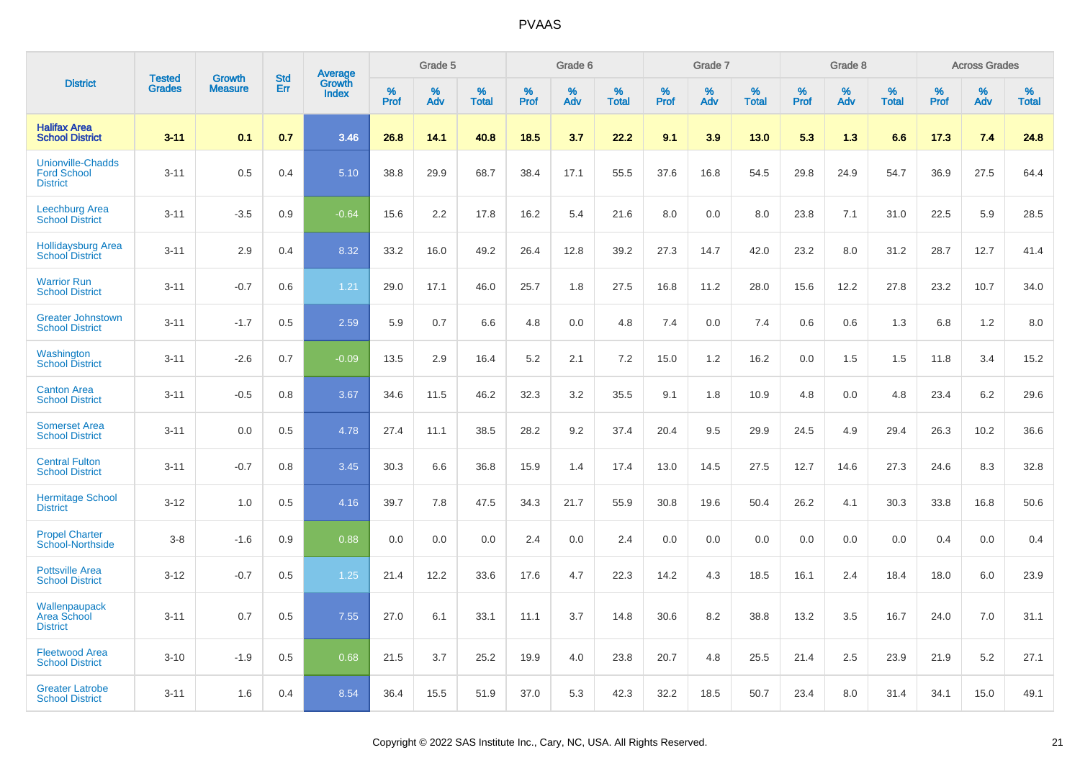|                                                                   | <b>Tested</b> |                                 | <b>Std</b> | Average                |              | Grade 5  |                   |              | Grade 6  |                   |              | Grade 7  |                   |              | Grade 8  |                   |              | <b>Across Grades</b> |                   |
|-------------------------------------------------------------------|---------------|---------------------------------|------------|------------------------|--------------|----------|-------------------|--------------|----------|-------------------|--------------|----------|-------------------|--------------|----------|-------------------|--------------|----------------------|-------------------|
| <b>District</b>                                                   | <b>Grades</b> | <b>Growth</b><br><b>Measure</b> | Err        | Growth<br><b>Index</b> | $\%$<br>Prof | %<br>Adv | %<br><b>Total</b> | $\%$<br>Prof | %<br>Adv | %<br><b>Total</b> | $\%$<br>Prof | %<br>Adv | %<br><b>Total</b> | $\%$<br>Prof | %<br>Adv | %<br><b>Total</b> | $\%$<br>Prof | %<br>Adv             | %<br><b>Total</b> |
| <b>Halifax Area</b><br><b>School District</b>                     | $3 - 11$      | 0.1                             | 0.7        | 3.46                   | 26.8         | 14.1     | 40.8              | 18.5         | 3.7      | 22.2              | 9.1          | 3.9      | 13.0              | 5.3          | 1.3      | 6.6               | 17.3         | 7.4                  | 24.8              |
| <b>Unionville-Chadds</b><br><b>Ford School</b><br><b>District</b> | $3 - 11$      | 0.5                             | 0.4        | 5.10                   | 38.8         | 29.9     | 68.7              | 38.4         | 17.1     | 55.5              | 37.6         | 16.8     | 54.5              | 29.8         | 24.9     | 54.7              | 36.9         | 27.5                 | 64.4              |
| <b>Leechburg Area</b><br><b>School District</b>                   | $3 - 11$      | $-3.5$                          | 0.9        | $-0.64$                | 15.6         | 2.2      | 17.8              | 16.2         | 5.4      | 21.6              | 8.0          | 0.0      | 8.0               | 23.8         | 7.1      | 31.0              | 22.5         | 5.9                  | 28.5              |
| <b>Hollidaysburg Area</b><br><b>School District</b>               | $3 - 11$      | 2.9                             | 0.4        | 8.32                   | 33.2         | 16.0     | 49.2              | 26.4         | 12.8     | 39.2              | 27.3         | 14.7     | 42.0              | 23.2         | 8.0      | 31.2              | 28.7         | 12.7                 | 41.4              |
| <b>Warrior Run</b><br><b>School District</b>                      | $3 - 11$      | $-0.7$                          | 0.6        | 1.21                   | 29.0         | 17.1     | 46.0              | 25.7         | 1.8      | 27.5              | 16.8         | 11.2     | 28.0              | 15.6         | 12.2     | 27.8              | 23.2         | 10.7                 | 34.0              |
| <b>Greater Johnstown</b><br><b>School District</b>                | $3 - 11$      | $-1.7$                          | 0.5        | 2.59                   | 5.9          | 0.7      | 6.6               | 4.8          | 0.0      | 4.8               | 7.4          | 0.0      | 7.4               | 0.6          | 0.6      | 1.3               | 6.8          | 1.2                  | 8.0               |
| Washington<br><b>School District</b>                              | $3 - 11$      | $-2.6$                          | 0.7        | $-0.09$                | 13.5         | 2.9      | 16.4              | 5.2          | 2.1      | 7.2               | 15.0         | 1.2      | 16.2              | 0.0          | 1.5      | 1.5               | 11.8         | 3.4                  | 15.2              |
| <b>Canton Area</b><br><b>School District</b>                      | $3 - 11$      | $-0.5$                          | 0.8        | 3.67                   | 34.6         | 11.5     | 46.2              | 32.3         | 3.2      | 35.5              | 9.1          | 1.8      | 10.9              | 4.8          | 0.0      | 4.8               | 23.4         | 6.2                  | 29.6              |
| <b>Somerset Area</b><br><b>School District</b>                    | $3 - 11$      | 0.0                             | 0.5        | 4.78                   | 27.4         | 11.1     | 38.5              | 28.2         | 9.2      | 37.4              | 20.4         | 9.5      | 29.9              | 24.5         | 4.9      | 29.4              | 26.3         | 10.2                 | 36.6              |
| <b>Central Fulton</b><br><b>School District</b>                   | $3 - 11$      | $-0.7$                          | 0.8        | 3.45                   | 30.3         | 6.6      | 36.8              | 15.9         | 1.4      | 17.4              | 13.0         | 14.5     | 27.5              | 12.7         | 14.6     | 27.3              | 24.6         | 8.3                  | 32.8              |
| <b>Hermitage School</b><br><b>District</b>                        | $3 - 12$      | 1.0                             | 0.5        | 4.16                   | 39.7         | 7.8      | 47.5              | 34.3         | 21.7     | 55.9              | 30.8         | 19.6     | 50.4              | 26.2         | 4.1      | 30.3              | 33.8         | 16.8                 | 50.6              |
| <b>Propel Charter</b><br><b>School-Northside</b>                  | $3 - 8$       | $-1.6$                          | 0.9        | 0.88                   | 0.0          | 0.0      | 0.0               | 2.4          | 0.0      | 2.4               | 0.0          | 0.0      | 0.0               | 0.0          | 0.0      | 0.0               | 0.4          | 0.0                  | 0.4               |
| <b>Pottsville Area</b><br><b>School District</b>                  | $3 - 12$      | $-0.7$                          | 0.5        | 1.25                   | 21.4         | 12.2     | 33.6              | 17.6         | 4.7      | 22.3              | 14.2         | 4.3      | 18.5              | 16.1         | 2.4      | 18.4              | 18.0         | 6.0                  | 23.9              |
| Wallenpaupack<br><b>Area School</b><br><b>District</b>            | $3 - 11$      | 0.7                             | 0.5        | 7.55                   | 27.0         | 6.1      | 33.1              | 11.1         | 3.7      | 14.8              | 30.6         | 8.2      | 38.8              | 13.2         | 3.5      | 16.7              | 24.0         | 7.0                  | 31.1              |
| <b>Fleetwood Area</b><br><b>School District</b>                   | $3 - 10$      | $-1.9$                          | 0.5        | 0.68                   | 21.5         | 3.7      | 25.2              | 19.9         | 4.0      | 23.8              | 20.7         | 4.8      | 25.5              | 21.4         | 2.5      | 23.9              | 21.9         | 5.2                  | 27.1              |
| <b>Greater Latrobe</b><br><b>School District</b>                  | $3 - 11$      | 1.6                             | 0.4        | 8.54                   | 36.4         | 15.5     | 51.9              | 37.0         | 5.3      | 42.3              | 32.2         | 18.5     | 50.7              | 23.4         | 8.0      | 31.4              | 34.1         | 15.0                 | 49.1              |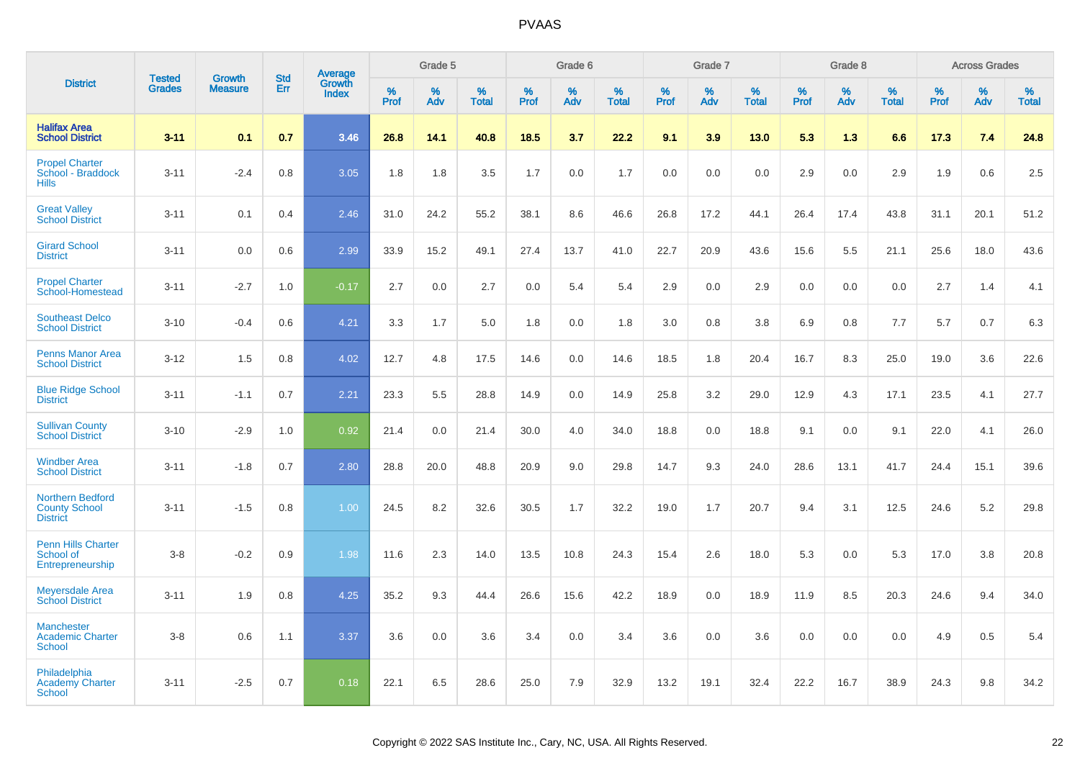|                                                                    | <b>Tested</b> | <b>Growth</b>  | <b>Std</b> | Average                |                  | Grade 5  |                   |                  | Grade 6  |                   |                  | Grade 7  |                   |           | Grade 8  |                   |                  | <b>Across Grades</b> |                   |
|--------------------------------------------------------------------|---------------|----------------|------------|------------------------|------------------|----------|-------------------|------------------|----------|-------------------|------------------|----------|-------------------|-----------|----------|-------------------|------------------|----------------------|-------------------|
| <b>District</b>                                                    | <b>Grades</b> | <b>Measure</b> | Err        | Growth<br><b>Index</b> | %<br><b>Prof</b> | %<br>Adv | %<br><b>Total</b> | %<br><b>Prof</b> | %<br>Adv | %<br><b>Total</b> | %<br><b>Prof</b> | %<br>Adv | %<br><b>Total</b> | %<br>Prof | %<br>Adv | %<br><b>Total</b> | %<br><b>Prof</b> | %<br>Adv             | %<br><b>Total</b> |
| <b>Halifax Area</b><br><b>School District</b>                      | $3 - 11$      | 0.1            | 0.7        | 3.46                   | 26.8             | 14.1     | 40.8              | 18.5             | 3.7      | 22.2              | 9.1              | 3.9      | 13.0              | 5.3       | 1.3      | 6.6               | 17.3             | 7.4                  | 24.8              |
| <b>Propel Charter</b><br>School - Braddock<br><b>Hills</b>         | $3 - 11$      | $-2.4$         | 0.8        | 3.05                   | 1.8              | 1.8      | 3.5               | 1.7              | 0.0      | 1.7               | 0.0              | 0.0      | 0.0               | 2.9       | 0.0      | 2.9               | 1.9              | 0.6                  | 2.5               |
| <b>Great Valley</b><br><b>School District</b>                      | $3 - 11$      | 0.1            | 0.4        | 2.46                   | 31.0             | 24.2     | 55.2              | 38.1             | 8.6      | 46.6              | 26.8             | 17.2     | 44.1              | 26.4      | 17.4     | 43.8              | 31.1             | 20.1                 | 51.2              |
| <b>Girard School</b><br><b>District</b>                            | $3 - 11$      | 0.0            | 0.6        | 2.99                   | 33.9             | 15.2     | 49.1              | 27.4             | 13.7     | 41.0              | 22.7             | 20.9     | 43.6              | 15.6      | 5.5      | 21.1              | 25.6             | 18.0                 | 43.6              |
| <b>Propel Charter</b><br>School-Homestead                          | $3 - 11$      | $-2.7$         | 1.0        | $-0.17$                | 2.7              | 0.0      | 2.7               | 0.0              | 5.4      | 5.4               | 2.9              | 0.0      | 2.9               | 0.0       | 0.0      | 0.0               | 2.7              | 1.4                  | 4.1               |
| <b>Southeast Delco</b><br><b>School District</b>                   | $3 - 10$      | $-0.4$         | 0.6        | 4.21                   | 3.3              | 1.7      | 5.0               | 1.8              | 0.0      | 1.8               | 3.0              | 0.8      | 3.8               | 6.9       | 0.8      | 7.7               | 5.7              | 0.7                  | 6.3               |
| <b>Penns Manor Area</b><br><b>School District</b>                  | $3 - 12$      | 1.5            | 0.8        | 4.02                   | 12.7             | 4.8      | 17.5              | 14.6             | 0.0      | 14.6              | 18.5             | 1.8      | 20.4              | 16.7      | 8.3      | 25.0              | 19.0             | 3.6                  | 22.6              |
| <b>Blue Ridge School</b><br><b>District</b>                        | $3 - 11$      | $-1.1$         | 0.7        | 2.21                   | 23.3             | 5.5      | 28.8              | 14.9             | 0.0      | 14.9              | 25.8             | 3.2      | 29.0              | 12.9      | 4.3      | 17.1              | 23.5             | 4.1                  | 27.7              |
| <b>Sullivan County</b><br><b>School District</b>                   | $3 - 10$      | $-2.9$         | 1.0        | 0.92                   | 21.4             | 0.0      | 21.4              | 30.0             | 4.0      | 34.0              | 18.8             | 0.0      | 18.8              | 9.1       | 0.0      | 9.1               | 22.0             | 4.1                  | 26.0              |
| <b>Windber Area</b><br><b>School District</b>                      | $3 - 11$      | $-1.8$         | 0.7        | 2.80                   | 28.8             | 20.0     | 48.8              | 20.9             | 9.0      | 29.8              | 14.7             | 9.3      | 24.0              | 28.6      | 13.1     | 41.7              | 24.4             | 15.1                 | 39.6              |
| <b>Northern Bedford</b><br><b>County School</b><br><b>District</b> | $3 - 11$      | $-1.5$         | 0.8        | 1.00                   | 24.5             | 8.2      | 32.6              | 30.5             | 1.7      | 32.2              | 19.0             | 1.7      | 20.7              | 9.4       | 3.1      | 12.5              | 24.6             | 5.2                  | 29.8              |
| <b>Penn Hills Charter</b><br>School of<br>Entrepreneurship         | $3-8$         | $-0.2$         | 0.9        | 1.98                   | 11.6             | 2.3      | 14.0              | 13.5             | 10.8     | 24.3              | 15.4             | 2.6      | 18.0              | 5.3       | 0.0      | 5.3               | 17.0             | 3.8                  | 20.8              |
| <b>Meyersdale Area</b><br><b>School District</b>                   | $3 - 11$      | 1.9            | 0.8        | 4.25                   | 35.2             | 9.3      | 44.4              | 26.6             | 15.6     | 42.2              | 18.9             | 0.0      | 18.9              | 11.9      | 8.5      | 20.3              | 24.6             | 9.4                  | 34.0              |
| <b>Manchester</b><br><b>Academic Charter</b><br><b>School</b>      | $3-8$         | 0.6            | 1.1        | 3.37                   | 3.6              | 0.0      | 3.6               | 3.4              | 0.0      | 3.4               | 3.6              | 0.0      | 3.6               | 0.0       | 0.0      | 0.0               | 4.9              | 0.5                  | 5.4               |
| Philadelphia<br><b>Academy Charter</b><br><b>School</b>            | $3 - 11$      | $-2.5$         | 0.7        | 0.18                   | 22.1             | 6.5      | 28.6              | 25.0             | 7.9      | 32.9              | 13.2             | 19.1     | 32.4              | 22.2      | 16.7     | 38.9              | 24.3             | 9.8                  | 34.2              |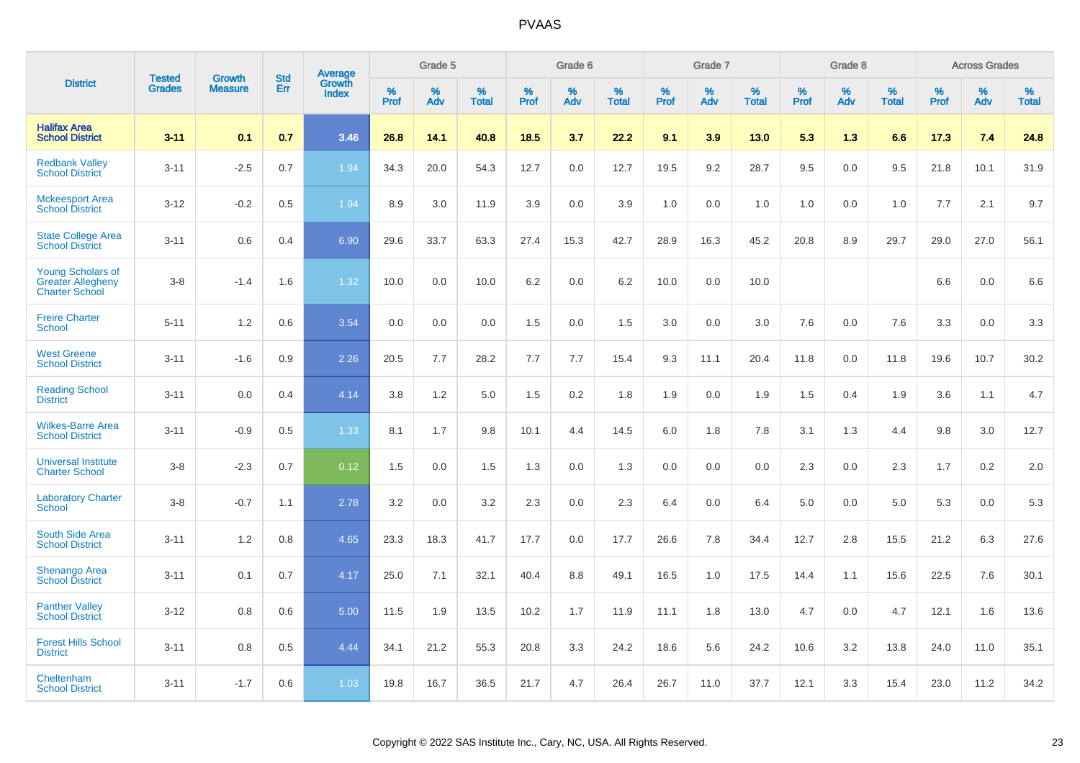|                                                                               | <b>Tested</b> | <b>Growth</b>  | <b>Std</b> | Average<br>Growth |                     | Grade 5  |                      |                     | Grade 6  |                      |              | Grade 7  |                      |                     | Grade 8  |                      |                     | <b>Across Grades</b> |                      |
|-------------------------------------------------------------------------------|---------------|----------------|------------|-------------------|---------------------|----------|----------------------|---------------------|----------|----------------------|--------------|----------|----------------------|---------------------|----------|----------------------|---------------------|----------------------|----------------------|
| <b>District</b>                                                               | <b>Grades</b> | <b>Measure</b> | Err        | Index             | $\%$<br><b>Prof</b> | %<br>Adv | $\%$<br><b>Total</b> | $\%$<br><b>Prof</b> | %<br>Adv | $\%$<br><b>Total</b> | $\%$<br>Prof | %<br>Adv | $\%$<br><b>Total</b> | $\%$<br><b>Prof</b> | %<br>Adv | $\%$<br><b>Total</b> | $\%$<br><b>Prof</b> | $\%$<br>Adv          | $\%$<br><b>Total</b> |
| <b>Halifax Area</b><br><b>School District</b>                                 | $3 - 11$      | 0.1            | 0.7        | 3.46              | 26.8                | 14.1     | 40.8                 | 18.5                | 3.7      | 22.2                 | 9.1          | 3.9      | 13.0                 | 5.3                 | 1.3      | 6.6                  | 17.3                | 7.4                  | 24.8                 |
| <b>Redbank Valley</b><br><b>School District</b>                               | $3 - 11$      | $-2.5$         | 0.7        | 1.94              | 34.3                | 20.0     | 54.3                 | 12.7                | 0.0      | 12.7                 | 19.5         | 9.2      | 28.7                 | 9.5                 | 0.0      | 9.5                  | 21.8                | 10.1                 | 31.9                 |
| <b>Mckeesport Area</b><br><b>School District</b>                              | $3 - 12$      | $-0.2$         | 0.5        | 1.94              | 8.9                 | 3.0      | 11.9                 | 3.9                 | 0.0      | 3.9                  | 1.0          | 0.0      | 1.0                  | 1.0                 | 0.0      | 1.0                  | 7.7                 | 2.1                  | 9.7                  |
| <b>State College Area</b><br><b>School District</b>                           | $3 - 11$      | 0.6            | 0.4        | 6.90              | 29.6                | 33.7     | 63.3                 | 27.4                | 15.3     | 42.7                 | 28.9         | 16.3     | 45.2                 | 20.8                | 8.9      | 29.7                 | 29.0                | 27.0                 | 56.1                 |
| <b>Young Scholars of</b><br><b>Greater Allegheny</b><br><b>Charter School</b> | $3 - 8$       | $-1.4$         | 1.6        | 1.32              | 10.0                | 0.0      | 10.0                 | 6.2                 | 0.0      | 6.2                  | 10.0         | 0.0      | 10.0                 |                     |          |                      | 6.6                 | 0.0                  | 6.6                  |
| <b>Freire Charter</b><br><b>School</b>                                        | $5 - 11$      | 1.2            | 0.6        | 3.54              | 0.0                 | 0.0      | 0.0                  | 1.5                 | 0.0      | 1.5                  | 3.0          | 0.0      | 3.0                  | 7.6                 | 0.0      | 7.6                  | 3.3                 | 0.0                  | 3.3                  |
| <b>West Greene</b><br><b>School District</b>                                  | $3 - 11$      | $-1.6$         | 0.9        | 2.26              | 20.5                | 7.7      | 28.2                 | 7.7                 | 7.7      | 15.4                 | 9.3          | 11.1     | 20.4                 | 11.8                | 0.0      | 11.8                 | 19.6                | 10.7                 | 30.2                 |
| <b>Reading School</b><br><b>District</b>                                      | $3 - 11$      | 0.0            | 0.4        | 4.14              | 3.8                 | 1.2      | 5.0                  | 1.5                 | 0.2      | 1.8                  | 1.9          | 0.0      | 1.9                  | 1.5                 | 0.4      | 1.9                  | 3.6                 | 1.1                  | 4.7                  |
| <b>Wilkes-Barre Area</b><br><b>School District</b>                            | $3 - 11$      | $-0.9$         | 0.5        | 1.33              | 8.1                 | 1.7      | 9.8                  | 10.1                | 4.4      | 14.5                 | $6.0\,$      | 1.8      | 7.8                  | 3.1                 | 1.3      | 4.4                  | 9.8                 | 3.0                  | 12.7                 |
| <b>Universal Institute</b><br><b>Charter School</b>                           | $3 - 8$       | $-2.3$         | 0.7        | 0.12              | 1.5                 | 0.0      | 1.5                  | 1.3                 | 0.0      | 1.3                  | 0.0          | 0.0      | 0.0                  | 2.3                 | 0.0      | 2.3                  | 1.7                 | $0.2\,$              | 2.0                  |
| <b>Laboratory Charter</b><br><b>School</b>                                    | $3 - 8$       | $-0.7$         | 1.1        | 2.78              | 3.2                 | 0.0      | 3.2                  | 2.3                 | 0.0      | 2.3                  | 6.4          | 0.0      | 6.4                  | 5.0                 | 0.0      | 5.0                  | 5.3                 | 0.0                  | 5.3                  |
| <b>South Side Area</b><br><b>School District</b>                              | $3 - 11$      | 1.2            | 0.8        | 4.65              | 23.3                | 18.3     | 41.7                 | 17.7                | 0.0      | 17.7                 | 26.6         | 7.8      | 34.4                 | 12.7                | 2.8      | 15.5                 | 21.2                | 6.3                  | 27.6                 |
| <b>Shenango Area</b><br><b>School District</b>                                | $3 - 11$      | 0.1            | 0.7        | 4.17              | 25.0                | 7.1      | 32.1                 | 40.4                | 8.8      | 49.1                 | 16.5         | 1.0      | 17.5                 | 14.4                | 1.1      | 15.6                 | 22.5                | 7.6                  | 30.1                 |
| <b>Panther Valley</b><br><b>School District</b>                               | $3 - 12$      | 0.8            | 0.6        | 5.00              | 11.5                | 1.9      | 13.5                 | 10.2                | 1.7      | 11.9                 | 11.1         | 1.8      | 13.0                 | 4.7                 | 0.0      | 4.7                  | 12.1                | 1.6                  | 13.6                 |
| <b>Forest Hills School</b><br><b>District</b>                                 | $3 - 11$      | 0.8            | 0.5        | 4.44              | 34.1                | 21.2     | 55.3                 | 20.8                | 3.3      | 24.2                 | 18.6         | 5.6      | 24.2                 | 10.6                | 3.2      | 13.8                 | 24.0                | 11.0                 | 35.1                 |
| Cheltenham<br><b>School District</b>                                          | $3 - 11$      | $-1.7$         | 0.6        | 1.03              | 19.8                | 16.7     | 36.5                 | 21.7                | 4.7      | 26.4                 | 26.7         | 11.0     | 37.7                 | 12.1                | 3.3      | 15.4                 | 23.0                | 11.2                 | 34.2                 |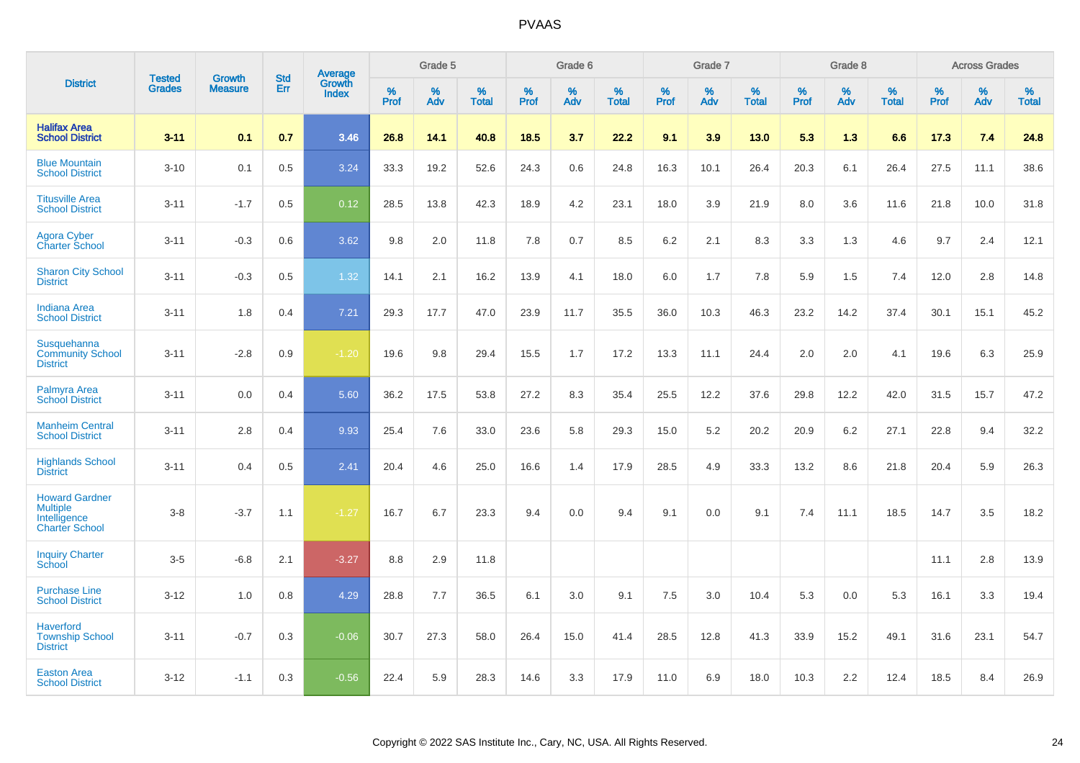|                                                                                   | <b>Tested</b> | <b>Growth</b>  | <b>Std</b> | <b>Average</b><br>Growth |              | Grade 5  |                   |              | Grade 6  |                   |              | Grade 7  |                   |           | Grade 8  |                   |                  | <b>Across Grades</b> |                   |
|-----------------------------------------------------------------------------------|---------------|----------------|------------|--------------------------|--------------|----------|-------------------|--------------|----------|-------------------|--------------|----------|-------------------|-----------|----------|-------------------|------------------|----------------------|-------------------|
| <b>District</b>                                                                   | <b>Grades</b> | <b>Measure</b> | Err        | <b>Index</b>             | $\%$<br>Prof | %<br>Adv | %<br><b>Total</b> | $\%$<br>Prof | %<br>Adv | %<br><b>Total</b> | $\%$<br>Prof | %<br>Adv | %<br><b>Total</b> | %<br>Prof | %<br>Adv | %<br><b>Total</b> | %<br><b>Prof</b> | $\%$<br>Adv          | %<br><b>Total</b> |
| <b>Halifax Area</b><br><b>School District</b>                                     | $3 - 11$      | 0.1            | 0.7        | 3.46                     | 26.8         | 14.1     | 40.8              | 18.5         | 3.7      | 22.2              | 9.1          | 3.9      | 13.0              | 5.3       | 1.3      | 6.6               | 17.3             | 7.4                  | 24.8              |
| <b>Blue Mountain</b><br><b>School District</b>                                    | $3 - 10$      | 0.1            | 0.5        | 3.24                     | 33.3         | 19.2     | 52.6              | 24.3         | 0.6      | 24.8              | 16.3         | 10.1     | 26.4              | 20.3      | 6.1      | 26.4              | 27.5             | 11.1                 | 38.6              |
| <b>Titusville Area</b><br><b>School District</b>                                  | $3 - 11$      | $-1.7$         | 0.5        | 0.12                     | 28.5         | 13.8     | 42.3              | 18.9         | 4.2      | 23.1              | 18.0         | 3.9      | 21.9              | 8.0       | 3.6      | 11.6              | 21.8             | 10.0                 | 31.8              |
| <b>Agora Cyber</b><br><b>Charter School</b>                                       | $3 - 11$      | $-0.3$         | 0.6        | 3.62                     | 9.8          | 2.0      | 11.8              | 7.8          | 0.7      | 8.5               | 6.2          | 2.1      | 8.3               | 3.3       | 1.3      | 4.6               | 9.7              | 2.4                  | 12.1              |
| <b>Sharon City School</b><br><b>District</b>                                      | $3 - 11$      | $-0.3$         | 0.5        | 1.32                     | 14.1         | 2.1      | 16.2              | 13.9         | 4.1      | 18.0              | 6.0          | 1.7      | 7.8               | 5.9       | 1.5      | 7.4               | 12.0             | 2.8                  | 14.8              |
| <b>Indiana Area</b><br><b>School District</b>                                     | $3 - 11$      | 1.8            | 0.4        | $7.21$                   | 29.3         | 17.7     | 47.0              | 23.9         | 11.7     | 35.5              | 36.0         | 10.3     | 46.3              | 23.2      | 14.2     | 37.4              | 30.1             | 15.1                 | 45.2              |
| Susquehanna<br><b>Community School</b><br><b>District</b>                         | $3 - 11$      | $-2.8$         | 0.9        | $-1.20$                  | 19.6         | 9.8      | 29.4              | 15.5         | 1.7      | 17.2              | 13.3         | 11.1     | 24.4              | 2.0       | 2.0      | 4.1               | 19.6             | 6.3                  | 25.9              |
| Palmyra Area<br><b>School District</b>                                            | $3 - 11$      | 0.0            | 0.4        | 5.60                     | 36.2         | 17.5     | 53.8              | 27.2         | 8.3      | 35.4              | 25.5         | 12.2     | 37.6              | 29.8      | 12.2     | 42.0              | 31.5             | 15.7                 | 47.2              |
| <b>Manheim Central</b><br><b>School District</b>                                  | $3 - 11$      | 2.8            | 0.4        | 9.93                     | 25.4         | 7.6      | 33.0              | 23.6         | 5.8      | 29.3              | 15.0         | 5.2      | 20.2              | 20.9      | 6.2      | 27.1              | 22.8             | 9.4                  | 32.2              |
| <b>Highlands School</b><br><b>District</b>                                        | $3 - 11$      | 0.4            | 0.5        | 2.41                     | 20.4         | 4.6      | 25.0              | 16.6         | 1.4      | 17.9              | 28.5         | 4.9      | 33.3              | 13.2      | 8.6      | 21.8              | 20.4             | 5.9                  | 26.3              |
| <b>Howard Gardner</b><br><b>Multiple</b><br>Intelligence<br><b>Charter School</b> | $3 - 8$       | $-3.7$         | 1.1        | $-1.27$                  | 16.7         | 6.7      | 23.3              | 9.4          | 0.0      | 9.4               | 9.1          | 0.0      | 9.1               | 7.4       | 11.1     | 18.5              | 14.7             | 3.5                  | 18.2              |
| <b>Inquiry Charter</b><br>School                                                  | $3-5$         | $-6.8$         | 2.1        | $-3.27$                  | 8.8          | 2.9      | 11.8              |              |          |                   |              |          |                   |           |          |                   | 11.1             | 2.8                  | 13.9              |
| <b>Purchase Line</b><br><b>School District</b>                                    | $3 - 12$      | 1.0            | 0.8        | 4.29                     | 28.8         | 7.7      | 36.5              | 6.1          | 3.0      | 9.1               | 7.5          | 3.0      | 10.4              | 5.3       | 0.0      | 5.3               | 16.1             | 3.3                  | 19.4              |
| <b>Haverford</b><br><b>Township School</b><br><b>District</b>                     | $3 - 11$      | $-0.7$         | 0.3        | $-0.06$                  | 30.7         | 27.3     | 58.0              | 26.4         | 15.0     | 41.4              | 28.5         | 12.8     | 41.3              | 33.9      | 15.2     | 49.1              | 31.6             | 23.1                 | 54.7              |
| <b>Easton Area</b><br><b>School District</b>                                      | $3 - 12$      | $-1.1$         | 0.3        | $-0.56$                  | 22.4         | 5.9      | 28.3              | 14.6         | 3.3      | 17.9              | 11.0         | 6.9      | 18.0              | 10.3      | 2.2      | 12.4              | 18.5             | 8.4                  | 26.9              |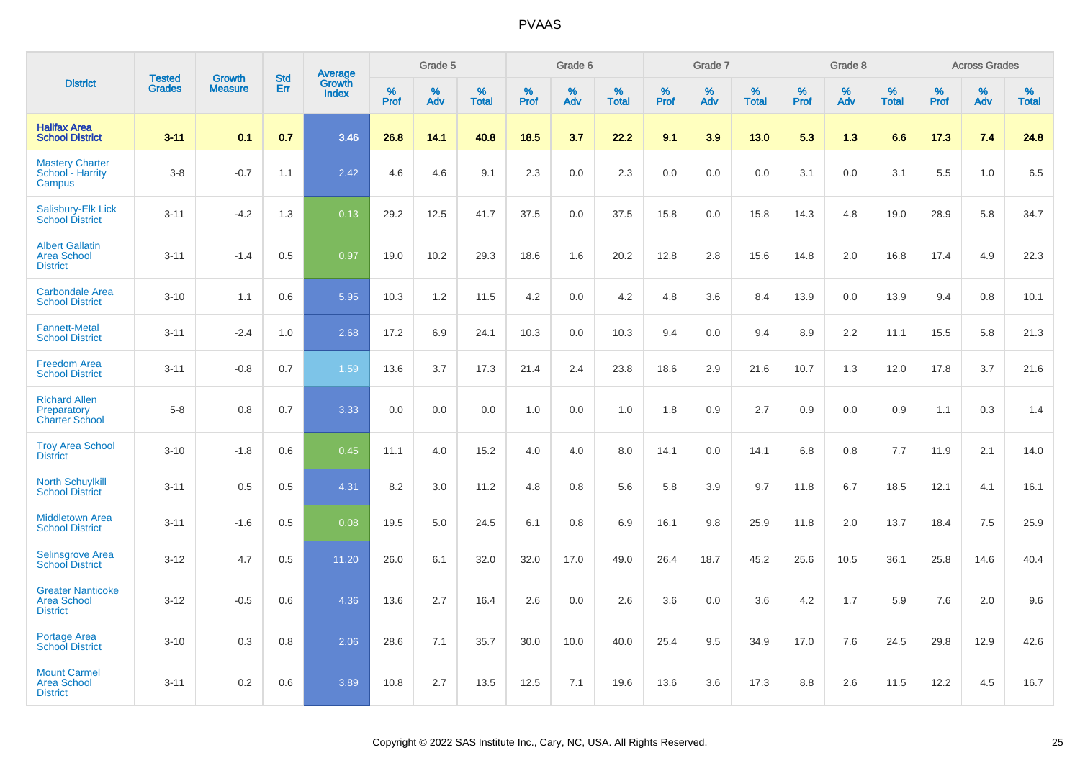|                                                                   |                                |                                 |                   | Average                |                     | Grade 5  |                   |              | Grade 6  |                   |              | Grade 7  |                   |              | Grade 8  |                   |              | <b>Across Grades</b> |                   |
|-------------------------------------------------------------------|--------------------------------|---------------------------------|-------------------|------------------------|---------------------|----------|-------------------|--------------|----------|-------------------|--------------|----------|-------------------|--------------|----------|-------------------|--------------|----------------------|-------------------|
| <b>District</b>                                                   | <b>Tested</b><br><b>Grades</b> | <b>Growth</b><br><b>Measure</b> | <b>Std</b><br>Err | Growth<br><b>Index</b> | $\%$<br><b>Prof</b> | %<br>Adv | %<br><b>Total</b> | $\%$<br>Prof | %<br>Adv | %<br><b>Total</b> | $\%$<br>Prof | %<br>Adv | %<br><b>Total</b> | $\%$<br>Prof | %<br>Adv | %<br><b>Total</b> | $\%$<br>Prof | %<br>Adv             | %<br><b>Total</b> |
| <b>Halifax Area</b><br><b>School District</b>                     | $3 - 11$                       | 0.1                             | 0.7               | 3.46                   | 26.8                | 14.1     | 40.8              | 18.5         | 3.7      | 22.2              | 9.1          | 3.9      | 13.0              | 5.3          | 1.3      | 6.6               | 17.3         | 7.4                  | 24.8              |
| <b>Mastery Charter</b><br>School - Harrity<br>Campus              | $3-8$                          | $-0.7$                          | 1.1               | 2.42                   | 4.6                 | 4.6      | 9.1               | 2.3          | 0.0      | 2.3               | 0.0          | 0.0      | 0.0               | 3.1          | 0.0      | 3.1               | 5.5          | 1.0                  | 6.5               |
| Salisbury-Elk Lick<br><b>School District</b>                      | $3 - 11$                       | $-4.2$                          | 1.3               | 0.13                   | 29.2                | 12.5     | 41.7              | 37.5         | 0.0      | 37.5              | 15.8         | 0.0      | 15.8              | 14.3         | 4.8      | 19.0              | 28.9         | 5.8                  | 34.7              |
| <b>Albert Gallatin</b><br><b>Area School</b><br><b>District</b>   | $3 - 11$                       | $-1.4$                          | 0.5               | 0.97                   | 19.0                | 10.2     | 29.3              | 18.6         | 1.6      | 20.2              | 12.8         | 2.8      | 15.6              | 14.8         | 2.0      | 16.8              | 17.4         | 4.9                  | 22.3              |
| <b>Carbondale Area</b><br><b>School District</b>                  | $3 - 10$                       | 1.1                             | 0.6               | 5.95                   | 10.3                | 1.2      | 11.5              | 4.2          | 0.0      | 4.2               | 4.8          | 3.6      | 8.4               | 13.9         | 0.0      | 13.9              | 9.4          | 0.8                  | 10.1              |
| <b>Fannett-Metal</b><br><b>School District</b>                    | $3 - 11$                       | $-2.4$                          | 1.0               | 2.68                   | 17.2                | 6.9      | 24.1              | 10.3         | 0.0      | 10.3              | 9.4          | 0.0      | 9.4               | 8.9          | 2.2      | 11.1              | 15.5         | 5.8                  | 21.3              |
| <b>Freedom Area</b><br><b>School District</b>                     | $3 - 11$                       | $-0.8$                          | 0.7               | 1.59                   | 13.6                | 3.7      | 17.3              | 21.4         | 2.4      | 23.8              | 18.6         | 2.9      | 21.6              | 10.7         | 1.3      | 12.0              | 17.8         | 3.7                  | 21.6              |
| <b>Richard Allen</b><br>Preparatory<br><b>Charter School</b>      | $5-8$                          | 0.8                             | 0.7               | 3.33                   | 0.0                 | 0.0      | 0.0               | 1.0          | 0.0      | 1.0               | 1.8          | 0.9      | 2.7               | 0.9          | 0.0      | 0.9               | 1.1          | 0.3                  | 1.4               |
| <b>Troy Area School</b><br><b>District</b>                        | $3 - 10$                       | $-1.8$                          | 0.6               | 0.45                   | 11.1                | 4.0      | 15.2              | 4.0          | 4.0      | 8.0               | 14.1         | 0.0      | 14.1              | 6.8          | 0.8      | 7.7               | 11.9         | 2.1                  | 14.0              |
| <b>North Schuylkill</b><br><b>School District</b>                 | $3 - 11$                       | 0.5                             | 0.5               | 4.31                   | 8.2                 | 3.0      | 11.2              | 4.8          | 0.8      | 5.6               | 5.8          | 3.9      | 9.7               | 11.8         | 6.7      | 18.5              | 12.1         | 4.1                  | 16.1              |
| Middletown Area<br><b>School District</b>                         | $3 - 11$                       | $-1.6$                          | 0.5               | 0.08                   | 19.5                | 5.0      | 24.5              | 6.1          | 0.8      | 6.9               | 16.1         | 9.8      | 25.9              | 11.8         | 2.0      | 13.7              | 18.4         | 7.5                  | 25.9              |
| <b>Selinsgrove Area</b><br><b>School District</b>                 | $3 - 12$                       | 4.7                             | 0.5               | 11.20                  | 26.0                | 6.1      | 32.0              | 32.0         | 17.0     | 49.0              | 26.4         | 18.7     | 45.2              | 25.6         | 10.5     | 36.1              | 25.8         | 14.6                 | 40.4              |
| <b>Greater Nanticoke</b><br><b>Area School</b><br><b>District</b> | $3 - 12$                       | $-0.5$                          | 0.6               | 4.36                   | 13.6                | 2.7      | 16.4              | 2.6          | 0.0      | 2.6               | 3.6          | 0.0      | 3.6               | 4.2          | 1.7      | 5.9               | 7.6          | 2.0                  | 9.6               |
| Portage Area<br><b>School District</b>                            | $3 - 10$                       | 0.3                             | 0.8               | 2.06                   | 28.6                | 7.1      | 35.7              | 30.0         | 10.0     | 40.0              | 25.4         | 9.5      | 34.9              | 17.0         | 7.6      | 24.5              | 29.8         | 12.9                 | 42.6              |
| <b>Mount Carmel</b><br><b>Area School</b><br><b>District</b>      | $3 - 11$                       | 0.2                             | 0.6               | 3.89                   | 10.8                | 2.7      | 13.5              | 12.5         | 7.1      | 19.6              | 13.6         | 3.6      | 17.3              | 8.8          | 2.6      | 11.5              | 12.2         | 4.5                  | 16.7              |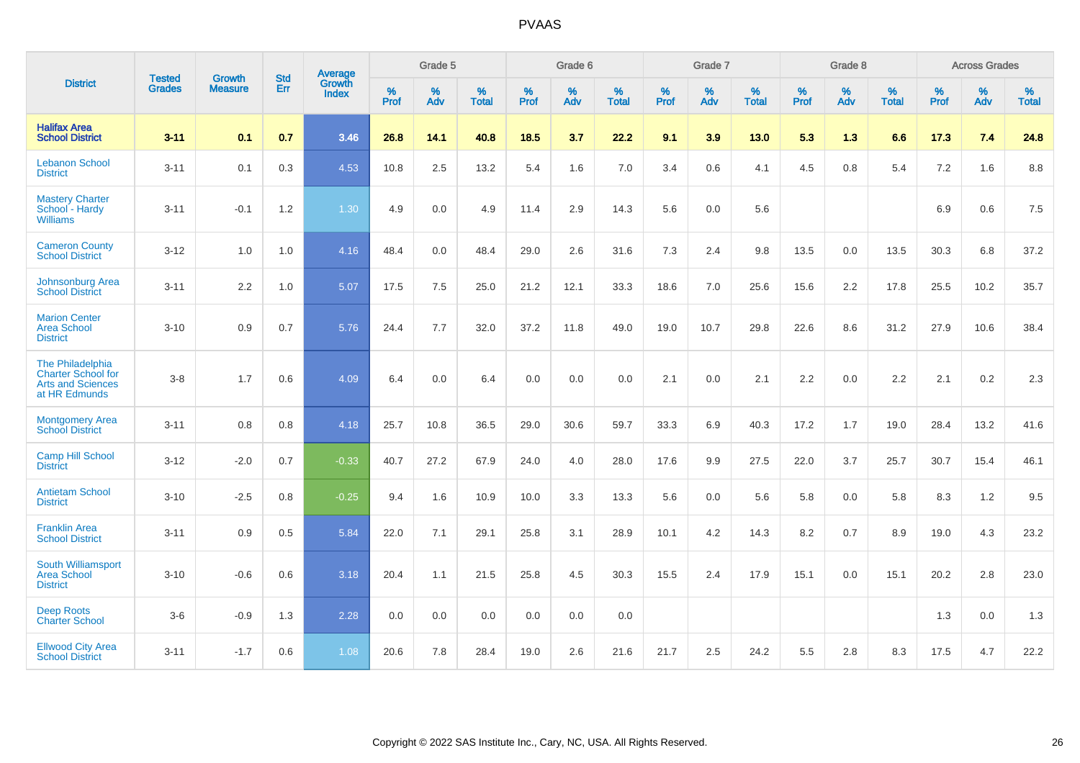|                                                                                            | <b>Tested</b> | <b>Growth</b>    | <b>Std</b> | Average                |                     | Grade 5  |                   |                     | Grade 6  |                   |              | Grade 7  |                   |                     | Grade 8  |                   |                     | <b>Across Grades</b> |                   |
|--------------------------------------------------------------------------------------------|---------------|------------------|------------|------------------------|---------------------|----------|-------------------|---------------------|----------|-------------------|--------------|----------|-------------------|---------------------|----------|-------------------|---------------------|----------------------|-------------------|
| <b>District</b>                                                                            | <b>Grades</b> | <b>Measure</b>   | <b>Err</b> | Growth<br><b>Index</b> | $\%$<br><b>Prof</b> | %<br>Adv | %<br><b>Total</b> | $\%$<br><b>Prof</b> | %<br>Adv | %<br><b>Total</b> | $\%$<br>Prof | %<br>Adv | %<br><b>Total</b> | $\%$<br><b>Prof</b> | %<br>Adv | %<br><b>Total</b> | $\%$<br><b>Prof</b> | %<br>Adv             | %<br><b>Total</b> |
| <b>Halifax Area</b><br><b>School District</b>                                              | $3 - 11$      | 0.1              | 0.7        | 3.46                   | 26.8                | 14.1     | 40.8              | 18.5                | 3.7      | 22.2              | 9.1          | 3.9      | 13.0              | 5.3                 | 1.3      | 6.6               | 17.3                | 7.4                  | 24.8              |
| <b>Lebanon School</b><br><b>District</b>                                                   | $3 - 11$      | 0.1              | 0.3        | 4.53                   | 10.8                | 2.5      | 13.2              | 5.4                 | 1.6      | 7.0               | 3.4          | 0.6      | 4.1               | 4.5                 | 0.8      | 5.4               | 7.2                 | 1.6                  | 8.8               |
| <b>Mastery Charter</b><br>School - Hardy<br><b>Williams</b>                                | $3 - 11$      | $-0.1$           | $1.2$      | 1.30                   | 4.9                 | 0.0      | 4.9               | 11.4                | 2.9      | 14.3              | 5.6          | 0.0      | 5.6               |                     |          |                   | 6.9                 | 0.6                  | 7.5               |
| <b>Cameron County</b><br><b>School District</b>                                            | $3 - 12$      | 1.0              | 1.0        | 4.16                   | 48.4                | 0.0      | 48.4              | 29.0                | 2.6      | 31.6              | 7.3          | 2.4      | 9.8               | 13.5                | $0.0\,$  | 13.5              | 30.3                | 6.8                  | 37.2              |
| Johnsonburg Area<br><b>School District</b>                                                 | $3 - 11$      | $2.2\phantom{0}$ | 1.0        | 5.07                   | 17.5                | 7.5      | 25.0              | 21.2                | 12.1     | 33.3              | 18.6         | 7.0      | 25.6              | 15.6                | 2.2      | 17.8              | 25.5                | 10.2                 | 35.7              |
| <b>Marion Center</b><br><b>Area School</b><br><b>District</b>                              | $3 - 10$      | 0.9              | 0.7        | 5.76                   | 24.4                | 7.7      | 32.0              | 37.2                | 11.8     | 49.0              | 19.0         | 10.7     | 29.8              | 22.6                | 8.6      | 31.2              | 27.9                | 10.6                 | 38.4              |
| The Philadelphia<br><b>Charter School for</b><br><b>Arts and Sciences</b><br>at HR Edmunds | $3 - 8$       | 1.7              | 0.6        | 4.09                   | 6.4                 | 0.0      | 6.4               | 0.0                 | 0.0      | 0.0               | 2.1          | 0.0      | 2.1               | 2.2                 | 0.0      | 2.2               | 2.1                 | 0.2                  | 2.3               |
| <b>Montgomery Area</b><br><b>School District</b>                                           | $3 - 11$      | 0.8              | 0.8        | 4.18                   | 25.7                | 10.8     | 36.5              | 29.0                | 30.6     | 59.7              | 33.3         | 6.9      | 40.3              | 17.2                | 1.7      | 19.0              | 28.4                | 13.2                 | 41.6              |
| <b>Camp Hill School</b><br><b>District</b>                                                 | $3 - 12$      | $-2.0$           | 0.7        | $-0.33$                | 40.7                | 27.2     | 67.9              | 24.0                | 4.0      | 28.0              | 17.6         | 9.9      | 27.5              | 22.0                | 3.7      | 25.7              | 30.7                | 15.4                 | 46.1              |
| <b>Antietam School</b><br><b>District</b>                                                  | $3 - 10$      | $-2.5$           | 0.8        | $-0.25$                | 9.4                 | 1.6      | 10.9              | 10.0                | 3.3      | 13.3              | 5.6          | 0.0      | 5.6               | 5.8                 | 0.0      | 5.8               | 8.3                 | 1.2                  | 9.5               |
| <b>Franklin Area</b><br><b>School District</b>                                             | $3 - 11$      | 0.9              | 0.5        | 5.84                   | 22.0                | 7.1      | 29.1              | 25.8                | 3.1      | 28.9              | 10.1         | 4.2      | 14.3              | 8.2                 | 0.7      | 8.9               | 19.0                | 4.3                  | 23.2              |
| South Williamsport<br><b>Area School</b><br><b>District</b>                                | $3 - 10$      | $-0.6$           | 0.6        | 3.18                   | 20.4                | 1.1      | 21.5              | 25.8                | 4.5      | 30.3              | 15.5         | 2.4      | 17.9              | 15.1                | 0.0      | 15.1              | 20.2                | 2.8                  | 23.0              |
| <b>Deep Roots</b><br><b>Charter School</b>                                                 | $3-6$         | $-0.9$           | 1.3        | 2.28                   | 0.0                 | 0.0      | 0.0               | 0.0                 | 0.0      | 0.0               |              |          |                   |                     |          |                   | 1.3                 | 0.0                  | 1.3               |
| <b>Ellwood City Area</b><br><b>School District</b>                                         | $3 - 11$      | $-1.7$           | 0.6        | 1.08                   | 20.6                | 7.8      | 28.4              | 19.0                | 2.6      | 21.6              | 21.7         | 2.5      | 24.2              | 5.5                 | 2.8      | 8.3               | 17.5                | 4.7                  | 22.2              |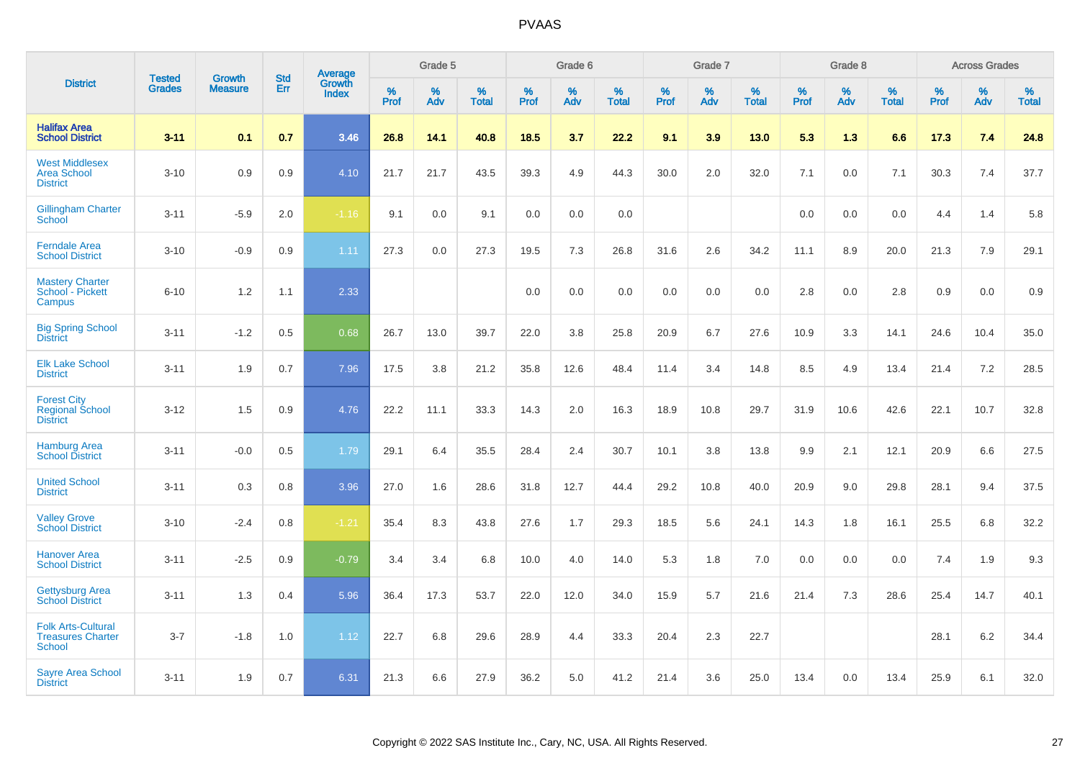|                                                                        |                                | <b>Growth</b>  | <b>Std</b> | <b>Average</b><br>Growth |              | Grade 5  |                   |              | Grade 6  |                   |              | Grade 7  |                   |              | Grade 8  |                   |              | <b>Across Grades</b> |                   |
|------------------------------------------------------------------------|--------------------------------|----------------|------------|--------------------------|--------------|----------|-------------------|--------------|----------|-------------------|--------------|----------|-------------------|--------------|----------|-------------------|--------------|----------------------|-------------------|
| <b>District</b>                                                        | <b>Tested</b><br><b>Grades</b> | <b>Measure</b> | <b>Err</b> | <b>Index</b>             | $\%$<br>Prof | %<br>Adv | %<br><b>Total</b> | $\%$<br>Prof | %<br>Adv | %<br><b>Total</b> | $\%$<br>Prof | %<br>Adv | %<br><b>Total</b> | $\%$<br>Prof | %<br>Adv | %<br><b>Total</b> | $\%$<br>Prof | %<br>Adv             | %<br><b>Total</b> |
| <b>Halifax Area</b><br><b>School District</b>                          | $3 - 11$                       | 0.1            | 0.7        | 3.46                     | 26.8         | 14.1     | 40.8              | 18.5         | 3.7      | 22.2              | 9.1          | 3.9      | 13.0              | 5.3          | 1.3      | 6.6               | 17.3         | 7.4                  | 24.8              |
| <b>West Middlesex</b><br><b>Area School</b><br><b>District</b>         | $3 - 10$                       | 0.9            | 0.9        | 4.10                     | 21.7         | 21.7     | 43.5              | 39.3         | 4.9      | 44.3              | 30.0         | 2.0      | 32.0              | 7.1          | 0.0      | 7.1               | 30.3         | 7.4                  | 37.7              |
| <b>Gillingham Charter</b><br>School                                    | $3 - 11$                       | $-5.9$         | 2.0        | $-1.16$                  | 9.1          | 0.0      | 9.1               | 0.0          | 0.0      | 0.0               |              |          |                   | 0.0          | 0.0      | 0.0               | 4.4          | 1.4                  | 5.8               |
| <b>Ferndale Area</b><br><b>School District</b>                         | $3 - 10$                       | $-0.9$         | 0.9        | 1.11                     | 27.3         | 0.0      | 27.3              | 19.5         | 7.3      | 26.8              | 31.6         | 2.6      | 34.2              | 11.1         | 8.9      | 20.0              | 21.3         | 7.9                  | 29.1              |
| <b>Mastery Charter</b><br>School - Pickett<br>Campus                   | $6 - 10$                       | 1.2            | 1.1        | 2.33                     |              |          |                   | 0.0          | 0.0      | 0.0               | 0.0          | 0.0      | 0.0               | 2.8          | 0.0      | 2.8               | 0.9          | 0.0                  | 0.9               |
| <b>Big Spring School</b><br><b>District</b>                            | $3 - 11$                       | $-1.2$         | 0.5        | 0.68                     | 26.7         | 13.0     | 39.7              | 22.0         | 3.8      | 25.8              | 20.9         | 6.7      | 27.6              | 10.9         | 3.3      | 14.1              | 24.6         | 10.4                 | 35.0              |
| <b>Elk Lake School</b><br><b>District</b>                              | $3 - 11$                       | 1.9            | 0.7        | 7.96                     | 17.5         | 3.8      | 21.2              | 35.8         | 12.6     | 48.4              | 11.4         | 3.4      | 14.8              | 8.5          | 4.9      | 13.4              | 21.4         | 7.2                  | 28.5              |
| <b>Forest City</b><br><b>Regional School</b><br><b>District</b>        | $3 - 12$                       | 1.5            | 0.9        | 4.76                     | 22.2         | 11.1     | 33.3              | 14.3         | 2.0      | 16.3              | 18.9         | 10.8     | 29.7              | 31.9         | 10.6     | 42.6              | 22.1         | 10.7                 | 32.8              |
| <b>Hamburg Area</b><br><b>School District</b>                          | $3 - 11$                       | $-0.0$         | 0.5        | 1.79                     | 29.1         | 6.4      | 35.5              | 28.4         | 2.4      | 30.7              | 10.1         | 3.8      | 13.8              | 9.9          | 2.1      | 12.1              | 20.9         | 6.6                  | 27.5              |
| <b>United School</b><br><b>District</b>                                | $3 - 11$                       | 0.3            | 0.8        | 3.96                     | 27.0         | 1.6      | 28.6              | 31.8         | 12.7     | 44.4              | 29.2         | 10.8     | 40.0              | 20.9         | 9.0      | 29.8              | 28.1         | 9.4                  | 37.5              |
| <b>Valley Grove</b><br><b>School District</b>                          | $3 - 10$                       | $-2.4$         | 0.8        | $-1.21$                  | 35.4         | 8.3      | 43.8              | 27.6         | 1.7      | 29.3              | 18.5         | 5.6      | 24.1              | 14.3         | 1.8      | 16.1              | 25.5         | 6.8                  | 32.2              |
| <b>Hanover Area</b><br><b>School District</b>                          | $3 - 11$                       | $-2.5$         | 0.9        | $-0.79$                  | 3.4          | 3.4      | 6.8               | 10.0         | 4.0      | 14.0              | 5.3          | 1.8      | 7.0               | 0.0          | 0.0      | 0.0               | 7.4          | 1.9                  | 9.3               |
| <b>Gettysburg Area</b><br><b>School District</b>                       | $3 - 11$                       | 1.3            | 0.4        | 5.96                     | 36.4         | 17.3     | 53.7              | 22.0         | 12.0     | 34.0              | 15.9         | 5.7      | 21.6              | 21.4         | 7.3      | 28.6              | 25.4         | 14.7                 | 40.1              |
| <b>Folk Arts-Cultural</b><br><b>Treasures Charter</b><br><b>School</b> | $3 - 7$                        | $-1.8$         | 1.0        | 1.12                     | 22.7         | 6.8      | 29.6              | 28.9         | 4.4      | 33.3              | 20.4         | 2.3      | 22.7              |              |          |                   | 28.1         | $6.2\,$              | 34.4              |
| <b>Sayre Area School</b><br><b>District</b>                            | $3 - 11$                       | 1.9            | 0.7        | 6.31                     | 21.3         | 6.6      | 27.9              | 36.2         | 5.0      | 41.2              | 21.4         | 3.6      | 25.0              | 13.4         | 0.0      | 13.4              | 25.9         | 6.1                  | 32.0              |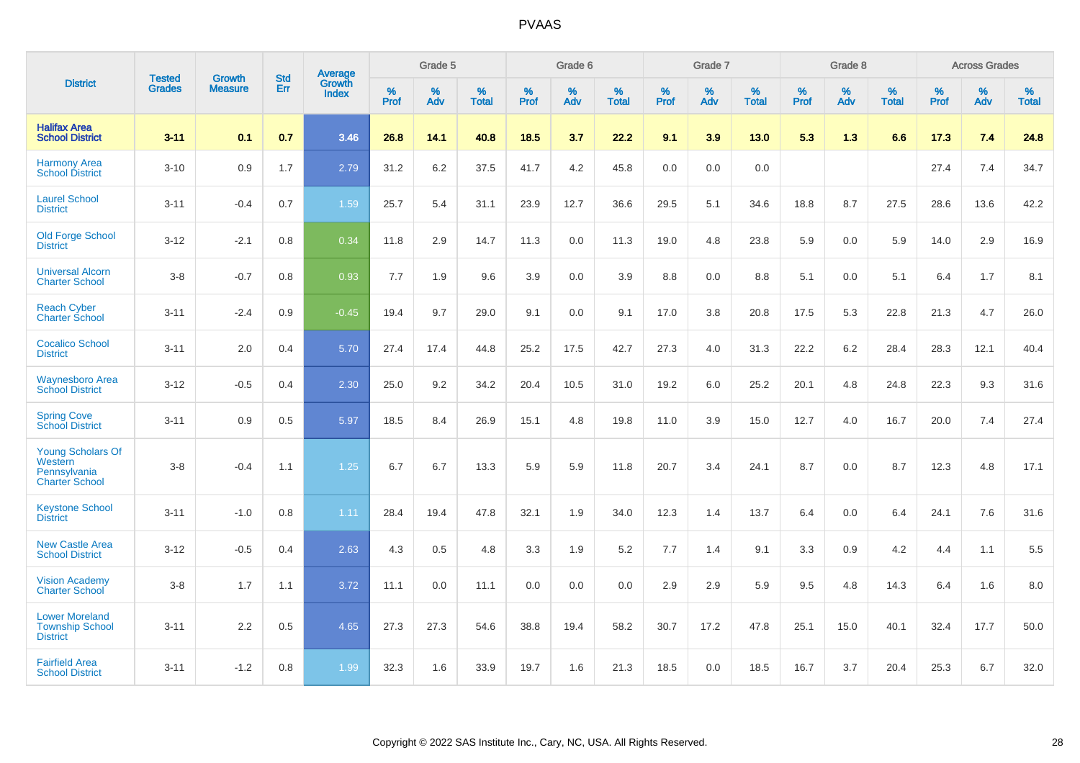|                                                                              | <b>Tested</b> | <b>Growth</b>  | <b>Std</b> | Average                       |           | Grade 5  |                   |           | Grade 6  |                   |           | Grade 7  |                   |           | Grade 8  |                   |           | <b>Across Grades</b> |                   |
|------------------------------------------------------------------------------|---------------|----------------|------------|-------------------------------|-----------|----------|-------------------|-----------|----------|-------------------|-----------|----------|-------------------|-----------|----------|-------------------|-----------|----------------------|-------------------|
| <b>District</b>                                                              | <b>Grades</b> | <b>Measure</b> | Err        | <b>Growth</b><br><b>Index</b> | %<br>Prof | %<br>Adv | %<br><b>Total</b> | %<br>Prof | %<br>Adv | %<br><b>Total</b> | %<br>Prof | %<br>Adv | %<br><b>Total</b> | %<br>Prof | %<br>Adv | %<br><b>Total</b> | %<br>Prof | %<br>Adv             | %<br><b>Total</b> |
| <b>Halifax Area</b><br><b>School District</b>                                | $3 - 11$      | 0.1            | 0.7        | 3.46                          | 26.8      | 14.1     | 40.8              | 18.5      | 3.7      | 22.2              | 9.1       | 3.9      | 13.0              | 5.3       | 1.3      | 6.6               | 17.3      | 7.4                  | 24.8              |
| <b>Harmony Area</b><br><b>School District</b>                                | $3 - 10$      | 0.9            | 1.7        | 2.79                          | 31.2      | 6.2      | 37.5              | 41.7      | 4.2      | 45.8              | 0.0       | 0.0      | 0.0               |           |          |                   | 27.4      | 7.4                  | 34.7              |
| <b>Laurel School</b><br><b>District</b>                                      | $3 - 11$      | $-0.4$         | 0.7        | 1.59                          | 25.7      | 5.4      | 31.1              | 23.9      | 12.7     | 36.6              | 29.5      | 5.1      | 34.6              | 18.8      | 8.7      | 27.5              | 28.6      | 13.6                 | 42.2              |
| <b>Old Forge School</b><br><b>District</b>                                   | $3 - 12$      | $-2.1$         | 0.8        | 0.34                          | 11.8      | 2.9      | 14.7              | 11.3      | 0.0      | 11.3              | 19.0      | 4.8      | 23.8              | 5.9       | 0.0      | 5.9               | 14.0      | 2.9                  | 16.9              |
| <b>Universal Alcorn</b><br><b>Charter School</b>                             | $3 - 8$       | $-0.7$         | 0.8        | 0.93                          | 7.7       | 1.9      | 9.6               | 3.9       | 0.0      | 3.9               | 8.8       | 0.0      | 8.8               | 5.1       | 0.0      | 5.1               | 6.4       | 1.7                  | 8.1               |
| <b>Reach Cyber</b><br><b>Charter School</b>                                  | $3 - 11$      | $-2.4$         | 0.9        | $-0.45$                       | 19.4      | 9.7      | 29.0              | 9.1       | 0.0      | 9.1               | 17.0      | 3.8      | 20.8              | 17.5      | 5.3      | 22.8              | 21.3      | 4.7                  | 26.0              |
| <b>Cocalico School</b><br><b>District</b>                                    | $3 - 11$      | 2.0            | 0.4        | 5.70                          | 27.4      | 17.4     | 44.8              | 25.2      | 17.5     | 42.7              | 27.3      | 4.0      | 31.3              | 22.2      | $6.2\,$  | 28.4              | 28.3      | 12.1                 | 40.4              |
| <b>Waynesboro Area</b><br><b>School District</b>                             | $3 - 12$      | $-0.5$         | 0.4        | 2.30                          | 25.0      | 9.2      | 34.2              | 20.4      | 10.5     | 31.0              | 19.2      | 6.0      | 25.2              | 20.1      | 4.8      | 24.8              | 22.3      | 9.3                  | 31.6              |
| <b>Spring Cove</b><br><b>School District</b>                                 | $3 - 11$      | 0.9            | 0.5        | 5.97                          | 18.5      | 8.4      | 26.9              | 15.1      | 4.8      | 19.8              | 11.0      | 3.9      | 15.0              | 12.7      | 4.0      | 16.7              | 20.0      | 7.4                  | 27.4              |
| <b>Young Scholars Of</b><br>Western<br>Pennsylvania<br><b>Charter School</b> | $3 - 8$       | $-0.4$         | 1.1        | 1.25                          | 6.7       | 6.7      | 13.3              | 5.9       | 5.9      | 11.8              | 20.7      | 3.4      | 24.1              | 8.7       | 0.0      | 8.7               | 12.3      | 4.8                  | 17.1              |
| <b>Keystone School</b><br><b>District</b>                                    | $3 - 11$      | $-1.0$         | 0.8        | 1.11                          | 28.4      | 19.4     | 47.8              | 32.1      | 1.9      | 34.0              | 12.3      | 1.4      | 13.7              | 6.4       | 0.0      | 6.4               | 24.1      | 7.6                  | 31.6              |
| <b>New Castle Area</b><br><b>School District</b>                             | $3 - 12$      | $-0.5$         | 0.4        | 2.63                          | 4.3       | 0.5      | 4.8               | 3.3       | 1.9      | 5.2               | 7.7       | 1.4      | 9.1               | 3.3       | 0.9      | 4.2               | 4.4       | 1.1                  | 5.5               |
| <b>Vision Academy</b><br>Charter School                                      | $3 - 8$       | 1.7            | 1.1        | 3.72                          | 11.1      | 0.0      | 11.1              | 0.0       | 0.0      | 0.0               | 2.9       | 2.9      | 5.9               | 9.5       | 4.8      | 14.3              | 6.4       | 1.6                  | 8.0               |
| <b>Lower Moreland</b><br><b>Township School</b><br><b>District</b>           | $3 - 11$      | 2.2            | 0.5        | 4.65                          | 27.3      | 27.3     | 54.6              | 38.8      | 19.4     | 58.2              | 30.7      | 17.2     | 47.8              | 25.1      | 15.0     | 40.1              | 32.4      | 17.7                 | 50.0              |
| <b>Fairfield Area</b><br><b>School District</b>                              | $3 - 11$      | $-1.2$         | 0.8        | 1.99                          | 32.3      | 1.6      | 33.9              | 19.7      | 1.6      | 21.3              | 18.5      | 0.0      | 18.5              | 16.7      | 3.7      | 20.4              | 25.3      | 6.7                  | 32.0              |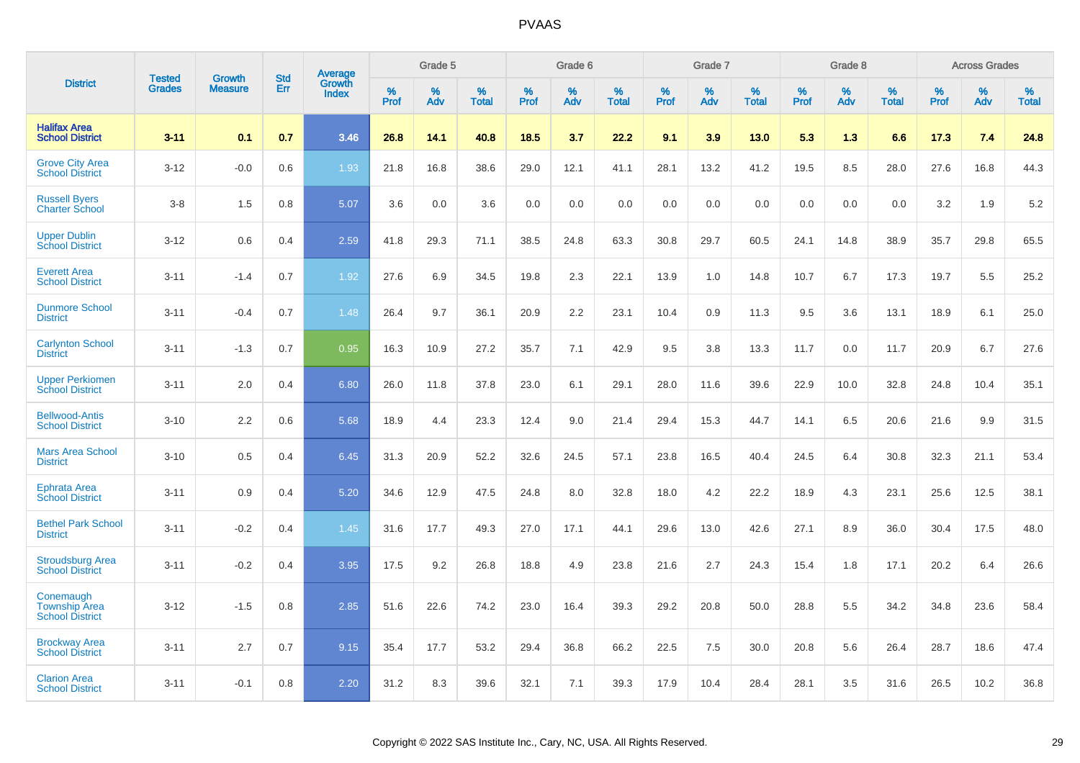|                                                             | <b>Tested</b> | <b>Growth</b>  | <b>Std</b> | Average                |              | Grade 5     |                      |                     | Grade 6     |                      |              | Grade 7     |                      |              | Grade 8     |                   |                     | <b>Across Grades</b> |                      |
|-------------------------------------------------------------|---------------|----------------|------------|------------------------|--------------|-------------|----------------------|---------------------|-------------|----------------------|--------------|-------------|----------------------|--------------|-------------|-------------------|---------------------|----------------------|----------------------|
| <b>District</b>                                             | <b>Grades</b> | <b>Measure</b> | Err        | Growth<br><b>Index</b> | $\%$<br>Prof | $\%$<br>Adv | $\%$<br><b>Total</b> | $\%$<br><b>Prof</b> | $\%$<br>Adv | $\%$<br><b>Total</b> | $\%$<br>Prof | $\%$<br>Adv | $\%$<br><b>Total</b> | $\%$<br>Prof | $\%$<br>Adv | %<br><b>Total</b> | $\%$<br><b>Prof</b> | $\%$<br>Adv          | $\%$<br><b>Total</b> |
| <b>Halifax Area</b><br><b>School District</b>               | $3 - 11$      | 0.1            | 0.7        | 3.46                   | 26.8         | 14.1        | 40.8                 | 18.5                | 3.7         | 22.2                 | 9.1          | 3.9         | 13.0                 | 5.3          | 1.3         | 6.6               | 17.3                | 7.4                  | 24.8                 |
| <b>Grove City Area</b><br><b>School District</b>            | $3 - 12$      | $-0.0$         | 0.6        | 1.93                   | 21.8         | 16.8        | 38.6                 | 29.0                | 12.1        | 41.1                 | 28.1         | 13.2        | 41.2                 | 19.5         | 8.5         | 28.0              | 27.6                | 16.8                 | 44.3                 |
| <b>Russell Byers</b><br><b>Charter School</b>               | $3 - 8$       | 1.5            | 0.8        | 5.07                   | 3.6          | 0.0         | 3.6                  | 0.0                 | 0.0         | 0.0                  | 0.0          | 0.0         | 0.0                  | 0.0          | 0.0         | 0.0               | 3.2                 | 1.9                  | 5.2                  |
| <b>Upper Dublin</b><br><b>School District</b>               | $3 - 12$      | 0.6            | 0.4        | 2.59                   | 41.8         | 29.3        | 71.1                 | 38.5                | 24.8        | 63.3                 | 30.8         | 29.7        | 60.5                 | 24.1         | 14.8        | 38.9              | 35.7                | 29.8                 | 65.5                 |
| <b>Everett Area</b><br><b>School District</b>               | $3 - 11$      | $-1.4$         | 0.7        | 1.92                   | 27.6         | 6.9         | 34.5                 | 19.8                | 2.3         | 22.1                 | 13.9         | 1.0         | 14.8                 | 10.7         | 6.7         | 17.3              | 19.7                | 5.5                  | 25.2                 |
| <b>Dunmore School</b><br><b>District</b>                    | $3 - 11$      | $-0.4$         | 0.7        | 1.48                   | 26.4         | 9.7         | 36.1                 | 20.9                | 2.2         | 23.1                 | 10.4         | 0.9         | 11.3                 | 9.5          | 3.6         | 13.1              | 18.9                | 6.1                  | 25.0                 |
| <b>Carlynton School</b><br><b>District</b>                  | $3 - 11$      | $-1.3$         | 0.7        | 0.95                   | 16.3         | 10.9        | 27.2                 | 35.7                | 7.1         | 42.9                 | 9.5          | 3.8         | 13.3                 | 11.7         | 0.0         | 11.7              | 20.9                | 6.7                  | 27.6                 |
| <b>Upper Perkiomen</b><br><b>School District</b>            | $3 - 11$      | 2.0            | 0.4        | 6.80                   | 26.0         | 11.8        | 37.8                 | 23.0                | 6.1         | 29.1                 | 28.0         | 11.6        | 39.6                 | 22.9         | 10.0        | 32.8              | 24.8                | 10.4                 | 35.1                 |
| <b>Bellwood-Antis</b><br><b>School District</b>             | $3 - 10$      | 2.2            | 0.6        | 5.68                   | 18.9         | 4.4         | 23.3                 | 12.4                | 9.0         | 21.4                 | 29.4         | 15.3        | 44.7                 | 14.1         | 6.5         | 20.6              | 21.6                | 9.9                  | 31.5                 |
| <b>Mars Area School</b><br><b>District</b>                  | $3 - 10$      | 0.5            | 0.4        | 6.45                   | 31.3         | 20.9        | 52.2                 | 32.6                | 24.5        | 57.1                 | 23.8         | 16.5        | 40.4                 | 24.5         | 6.4         | 30.8              | 32.3                | 21.1                 | 53.4                 |
| Ephrata Area<br><b>School District</b>                      | $3 - 11$      | 0.9            | 0.4        | 5.20                   | 34.6         | 12.9        | 47.5                 | 24.8                | 8.0         | 32.8                 | 18.0         | 4.2         | 22.2                 | 18.9         | 4.3         | 23.1              | 25.6                | 12.5                 | 38.1                 |
| <b>Bethel Park School</b><br><b>District</b>                | $3 - 11$      | $-0.2$         | 0.4        | 1.45                   | 31.6         | 17.7        | 49.3                 | 27.0                | 17.1        | 44.1                 | 29.6         | 13.0        | 42.6                 | 27.1         | 8.9         | 36.0              | 30.4                | 17.5                 | 48.0                 |
| <b>Stroudsburg Area</b><br><b>School District</b>           | $3 - 11$      | $-0.2$         | 0.4        | 3.95                   | 17.5         | 9.2         | 26.8                 | 18.8                | 4.9         | 23.8                 | 21.6         | 2.7         | 24.3                 | 15.4         | 1.8         | 17.1              | 20.2                | 6.4                  | 26.6                 |
| Conemaugh<br><b>Township Area</b><br><b>School District</b> | $3 - 12$      | $-1.5$         | 0.8        | 2.85                   | 51.6         | 22.6        | 74.2                 | 23.0                | 16.4        | 39.3                 | 29.2         | 20.8        | 50.0                 | 28.8         | 5.5         | 34.2              | 34.8                | 23.6                 | 58.4                 |
| <b>Brockway Area</b><br><b>School District</b>              | $3 - 11$      | 2.7            | 0.7        | 9.15                   | 35.4         | 17.7        | 53.2                 | 29.4                | 36.8        | 66.2                 | 22.5         | 7.5         | 30.0                 | 20.8         | 5.6         | 26.4              | 28.7                | 18.6                 | 47.4                 |
| <b>Clarion Area</b><br><b>School District</b>               | $3 - 11$      | $-0.1$         | 0.8        | 2.20                   | 31.2         | 8.3         | 39.6                 | 32.1                | 7.1         | 39.3                 | 17.9         | 10.4        | 28.4                 | 28.1         | 3.5         | 31.6              | 26.5                | 10.2                 | 36.8                 |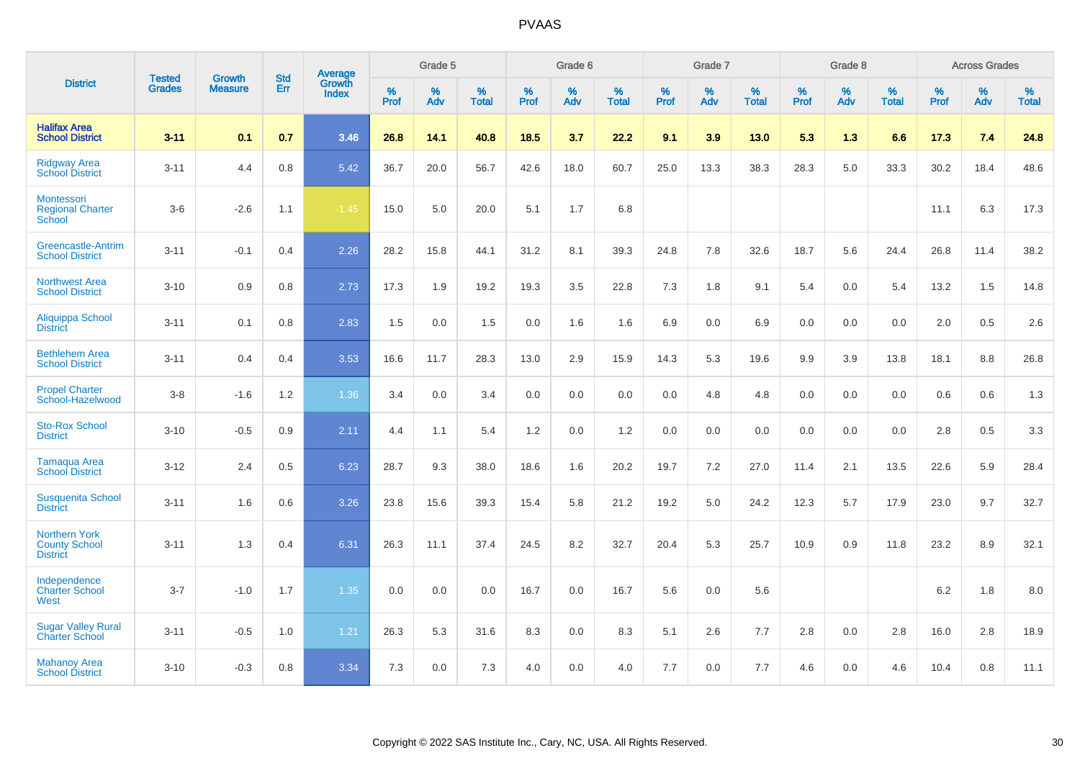|                                                                 | <b>Tested</b> | <b>Growth</b>  | <b>Std</b> | Average                |           | Grade 5  |                   |           | Grade 6  |                   |           | Grade 7  |                   |           | Grade 8  |                   |           | <b>Across Grades</b> |                   |
|-----------------------------------------------------------------|---------------|----------------|------------|------------------------|-----------|----------|-------------------|-----------|----------|-------------------|-----------|----------|-------------------|-----------|----------|-------------------|-----------|----------------------|-------------------|
| <b>District</b>                                                 | <b>Grades</b> | <b>Measure</b> | Err        | Growth<br><b>Index</b> | %<br>Prof | %<br>Adv | %<br><b>Total</b> | %<br>Prof | %<br>Adv | %<br><b>Total</b> | %<br>Prof | %<br>Adv | %<br><b>Total</b> | %<br>Prof | %<br>Adv | %<br><b>Total</b> | %<br>Prof | %<br>Adv             | %<br><b>Total</b> |
| <b>Halifax Area</b><br><b>School District</b>                   | $3 - 11$      | 0.1            | 0.7        | 3.46                   | 26.8      | 14.1     | 40.8              | 18.5      | 3.7      | 22.2              | 9.1       | 3.9      | 13.0              | 5.3       | 1.3      | 6.6               | 17.3      | 7.4                  | 24.8              |
| <b>Ridgway Area</b><br><b>School District</b>                   | $3 - 11$      | 4.4            | 0.8        | 5.42                   | 36.7      | 20.0     | 56.7              | 42.6      | 18.0     | 60.7              | 25.0      | 13.3     | 38.3              | 28.3      | 5.0      | 33.3              | 30.2      | 18.4                 | 48.6              |
| Montessori<br><b>Regional Charter</b><br>School                 | $3-6$         | $-2.6$         | 1.1        | $-1.45$                | 15.0      | 5.0      | 20.0              | 5.1       | 1.7      | 6.8               |           |          |                   |           |          |                   | 11.1      | 6.3                  | 17.3              |
| <b>Greencastle-Antrim</b><br><b>School District</b>             | $3 - 11$      | $-0.1$         | 0.4        | 2.26                   | 28.2      | 15.8     | 44.1              | 31.2      | 8.1      | 39.3              | 24.8      | 7.8      | 32.6              | 18.7      | 5.6      | 24.4              | 26.8      | 11.4                 | 38.2              |
| <b>Northwest Area</b><br><b>School District</b>                 | $3 - 10$      | 0.9            | 0.8        | 2.73                   | 17.3      | 1.9      | 19.2              | 19.3      | 3.5      | 22.8              | 7.3       | 1.8      | 9.1               | 5.4       | 0.0      | 5.4               | 13.2      | 1.5                  | 14.8              |
| <b>Aliquippa School</b><br><b>District</b>                      | $3 - 11$      | 0.1            | 0.8        | 2.83                   | 1.5       | 0.0      | 1.5               | 0.0       | 1.6      | 1.6               | 6.9       | 0.0      | 6.9               | 0.0       | 0.0      | 0.0               | 2.0       | 0.5                  | 2.6               |
| <b>Bethlehem Area</b><br><b>School District</b>                 | $3 - 11$      | 0.4            | 0.4        | 3.53                   | 16.6      | 11.7     | 28.3              | 13.0      | 2.9      | 15.9              | 14.3      | 5.3      | 19.6              | 9.9       | 3.9      | 13.8              | 18.1      | 8.8                  | 26.8              |
| <b>Propel Charter</b><br>School-Hazelwood                       | $3 - 8$       | $-1.6$         | 1.2        | 1.36                   | 3.4       | 0.0      | 3.4               | 0.0       | 0.0      | 0.0               | 0.0       | 4.8      | 4.8               | 0.0       | 0.0      | 0.0               | 0.6       | 0.6                  | 1.3               |
| <b>Sto-Rox School</b><br><b>District</b>                        | $3 - 10$      | $-0.5$         | 0.9        | 2.11                   | 4.4       | 1.1      | 5.4               | 1.2       | 0.0      | 1.2               | 0.0       | 0.0      | 0.0               | 0.0       | 0.0      | 0.0               | 2.8       | 0.5                  | 3.3               |
| <b>Tamaqua Area</b><br><b>School District</b>                   | $3 - 12$      | 2.4            | 0.5        | 6.23                   | 28.7      | 9.3      | 38.0              | 18.6      | 1.6      | 20.2              | 19.7      | 7.2      | 27.0              | 11.4      | 2.1      | 13.5              | 22.6      | 5.9                  | 28.4              |
| <b>Susquenita School</b><br><b>District</b>                     | $3 - 11$      | 1.6            | 0.6        | 3.26                   | 23.8      | 15.6     | 39.3              | 15.4      | 5.8      | 21.2              | 19.2      | 5.0      | 24.2              | 12.3      | 5.7      | 17.9              | 23.0      | 9.7                  | 32.7              |
| <b>Northern York</b><br><b>County School</b><br><b>District</b> | $3 - 11$      | 1.3            | 0.4        | 6.31                   | 26.3      | 11.1     | 37.4              | 24.5      | 8.2      | 32.7              | 20.4      | 5.3      | 25.7              | 10.9      | 0.9      | 11.8              | 23.2      | 8.9                  | 32.1              |
| Independence<br><b>Charter School</b><br>West                   | $3 - 7$       | $-1.0$         | 1.7        | 1.35                   | 0.0       | 0.0      | 0.0               | 16.7      | 0.0      | 16.7              | 5.6       | 0.0      | 5.6               |           |          |                   | 6.2       | 1.8                  | 8.0               |
| <b>Sugar Valley Rural</b><br><b>Charter School</b>              | $3 - 11$      | $-0.5$         | 1.0        | 1.21                   | 26.3      | 5.3      | 31.6              | 8.3       | 0.0      | 8.3               | 5.1       | 2.6      | 7.7               | 2.8       | 0.0      | 2.8               | 16.0      | 2.8                  | 18.9              |
| <b>Mahanoy Area</b><br><b>School District</b>                   | $3 - 10$      | $-0.3$         | 0.8        | 3.34                   | 7.3       | 0.0      | 7.3               | 4.0       | 0.0      | 4.0               | 7.7       | 0.0      | 7.7               | 4.6       | 0.0      | 4.6               | 10.4      | 0.8                  | 11.1              |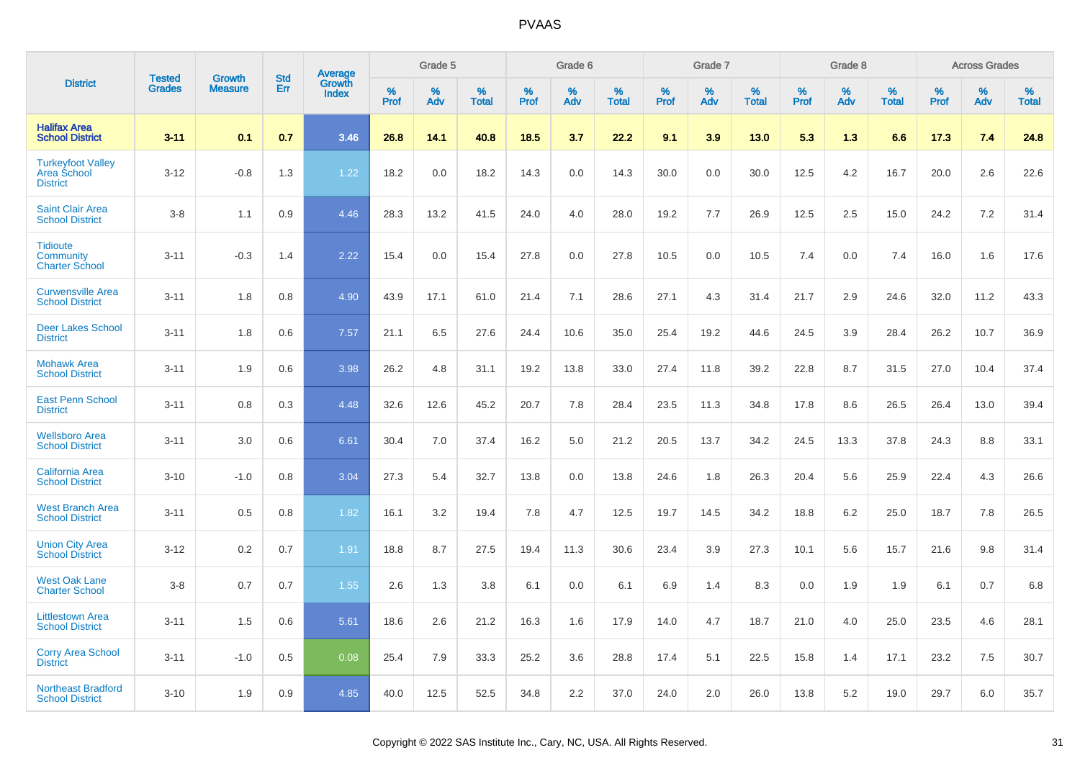|                                                                   |                                |                                 | <b>Std</b> |                                          |              | Grade 5  |                   |           | Grade 6  |                   |              | Grade 7  |                   |              | Grade 8  |                   |              | <b>Across Grades</b> |                   |
|-------------------------------------------------------------------|--------------------------------|---------------------------------|------------|------------------------------------------|--------------|----------|-------------------|-----------|----------|-------------------|--------------|----------|-------------------|--------------|----------|-------------------|--------------|----------------------|-------------------|
| <b>District</b>                                                   | <b>Tested</b><br><b>Grades</b> | <b>Growth</b><br><b>Measure</b> | Err        | <b>Average</b><br>Growth<br><b>Index</b> | $\%$<br>Prof | %<br>Adv | %<br><b>Total</b> | %<br>Prof | %<br>Adv | %<br><b>Total</b> | $\%$<br>Prof | %<br>Adv | %<br><b>Total</b> | $\%$<br>Prof | %<br>Adv | %<br><b>Total</b> | $\%$<br>Prof | %<br>Adv             | %<br><b>Total</b> |
| <b>Halifax Area</b><br><b>School District</b>                     | $3 - 11$                       | 0.1                             | 0.7        | 3.46                                     | 26.8         | 14.1     | 40.8              | 18.5      | 3.7      | 22.2              | 9.1          | 3.9      | 13.0              | 5.3          | 1.3      | 6.6               | 17.3         | 7.4                  | 24.8              |
| <b>Turkeyfoot Valley</b><br><b>Area School</b><br><b>District</b> | $3 - 12$                       | $-0.8$                          | 1.3        | 1.22                                     | 18.2         | 0.0      | 18.2              | 14.3      | 0.0      | 14.3              | 30.0         | 0.0      | 30.0              | 12.5         | 4.2      | 16.7              | 20.0         | 2.6                  | 22.6              |
| <b>Saint Clair Area</b><br><b>School District</b>                 | $3 - 8$                        | 1.1                             | 0.9        | 4.46                                     | 28.3         | 13.2     | 41.5              | 24.0      | 4.0      | 28.0              | 19.2         | 7.7      | 26.9              | 12.5         | 2.5      | 15.0              | 24.2         | 7.2                  | 31.4              |
| <b>Tidioute</b><br><b>Community</b><br><b>Charter School</b>      | $3 - 11$                       | $-0.3$                          | 1.4        | 2.22                                     | 15.4         | 0.0      | 15.4              | 27.8      | 0.0      | 27.8              | 10.5         | 0.0      | 10.5              | 7.4          | 0.0      | 7.4               | 16.0         | 1.6                  | 17.6              |
| <b>Curwensville Area</b><br><b>School District</b>                | $3 - 11$                       | 1.8                             | 0.8        | 4.90                                     | 43.9         | 17.1     | 61.0              | 21.4      | 7.1      | 28.6              | 27.1         | 4.3      | 31.4              | 21.7         | 2.9      | 24.6              | 32.0         | 11.2                 | 43.3              |
| <b>Deer Lakes School</b><br><b>District</b>                       | $3 - 11$                       | 1.8                             | 0.6        | 7.57                                     | 21.1         | 6.5      | 27.6              | 24.4      | 10.6     | 35.0              | 25.4         | 19.2     | 44.6              | 24.5         | 3.9      | 28.4              | 26.2         | 10.7                 | 36.9              |
| <b>Mohawk Area</b><br><b>School District</b>                      | $3 - 11$                       | 1.9                             | 0.6        | 3.98                                     | 26.2         | 4.8      | 31.1              | 19.2      | 13.8     | 33.0              | 27.4         | 11.8     | 39.2              | 22.8         | 8.7      | 31.5              | 27.0         | 10.4                 | 37.4              |
| <b>East Penn School</b><br><b>District</b>                        | $3 - 11$                       | 0.8                             | 0.3        | 4.48                                     | 32.6         | 12.6     | 45.2              | 20.7      | 7.8      | 28.4              | 23.5         | 11.3     | 34.8              | 17.8         | 8.6      | 26.5              | 26.4         | 13.0                 | 39.4              |
| <b>Wellsboro Area</b><br><b>School District</b>                   | $3 - 11$                       | 3.0                             | 0.6        | 6.61                                     | 30.4         | 7.0      | 37.4              | 16.2      | 5.0      | 21.2              | 20.5         | 13.7     | 34.2              | 24.5         | 13.3     | 37.8              | 24.3         | 8.8                  | 33.1              |
| <b>California Area</b><br><b>School District</b>                  | $3 - 10$                       | $-1.0$                          | 0.8        | 3.04                                     | 27.3         | 5.4      | 32.7              | 13.8      | 0.0      | 13.8              | 24.6         | 1.8      | 26.3              | 20.4         | 5.6      | 25.9              | 22.4         | 4.3                  | 26.6              |
| <b>West Branch Area</b><br><b>School District</b>                 | $3 - 11$                       | 0.5                             | 0.8        | 1.82                                     | 16.1         | 3.2      | 19.4              | 7.8       | 4.7      | 12.5              | 19.7         | 14.5     | 34.2              | 18.8         | 6.2      | 25.0              | 18.7         | 7.8                  | 26.5              |
| <b>Union City Area</b><br><b>School District</b>                  | $3 - 12$                       | 0.2                             | 0.7        | 1.91                                     | 18.8         | 8.7      | 27.5              | 19.4      | 11.3     | 30.6              | 23.4         | 3.9      | 27.3              | 10.1         | 5.6      | 15.7              | 21.6         | 9.8                  | 31.4              |
| <b>West Oak Lane</b><br><b>Charter School</b>                     | $3 - 8$                        | 0.7                             | 0.7        | 1.55                                     | 2.6          | 1.3      | 3.8               | 6.1       | 0.0      | 6.1               | 6.9          | 1.4      | 8.3               | 0.0          | 1.9      | 1.9               | 6.1          | 0.7                  | 6.8               |
| <b>Littlestown Area</b><br><b>School District</b>                 | $3 - 11$                       | 1.5                             | 0.6        | 5.61                                     | 18.6         | 2.6      | 21.2              | 16.3      | 1.6      | 17.9              | 14.0         | 4.7      | 18.7              | 21.0         | 4.0      | 25.0              | 23.5         | 4.6                  | 28.1              |
| <b>Corry Area School</b><br><b>District</b>                       | $3 - 11$                       | $-1.0$                          | 0.5        | 0.08                                     | 25.4         | 7.9      | 33.3              | 25.2      | 3.6      | 28.8              | 17.4         | 5.1      | 22.5              | 15.8         | 1.4      | 17.1              | 23.2         | 7.5                  | 30.7              |
| <b>Northeast Bradford</b><br><b>School District</b>               | $3 - 10$                       | 1.9                             | 0.9        | 4.85                                     | 40.0         | 12.5     | 52.5              | 34.8      | 2.2      | 37.0              | 24.0         | 2.0      | 26.0              | 13.8         | 5.2      | 19.0              | 29.7         | 6.0                  | 35.7              |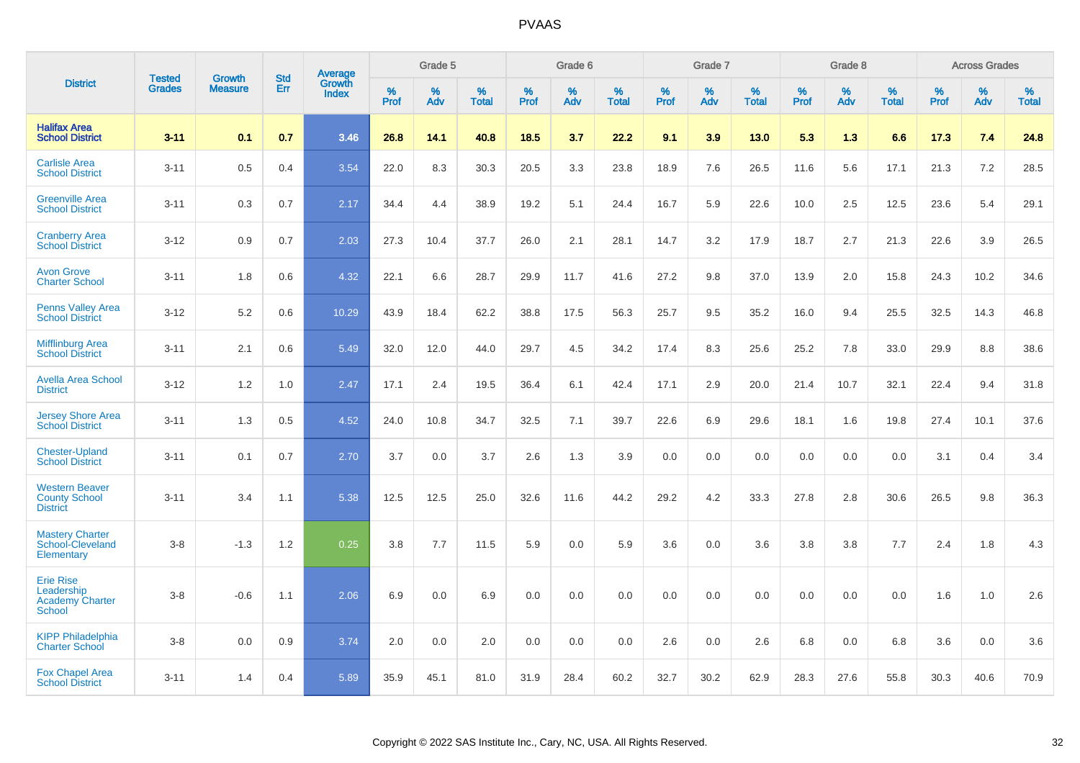|                                                                    |                                | <b>Growth</b>  | <b>Std</b> | Average                |              | Grade 5  |                   |           | Grade 6  |                   |              | Grade 7  |                   |              | Grade 8  |                   |              | <b>Across Grades</b> |                   |
|--------------------------------------------------------------------|--------------------------------|----------------|------------|------------------------|--------------|----------|-------------------|-----------|----------|-------------------|--------------|----------|-------------------|--------------|----------|-------------------|--------------|----------------------|-------------------|
| <b>District</b>                                                    | <b>Tested</b><br><b>Grades</b> | <b>Measure</b> | Err        | Growth<br><b>Index</b> | $\%$<br>Prof | %<br>Adv | %<br><b>Total</b> | %<br>Prof | %<br>Adv | %<br><b>Total</b> | $\%$<br>Prof | %<br>Adv | %<br><b>Total</b> | $\%$<br>Prof | %<br>Adv | %<br><b>Total</b> | $\%$<br>Prof | $\%$<br>Adv          | %<br><b>Total</b> |
| <b>Halifax Area</b><br><b>School District</b>                      | $3 - 11$                       | 0.1            | 0.7        | 3.46                   | 26.8         | 14.1     | 40.8              | 18.5      | 3.7      | 22.2              | 9.1          | 3.9      | 13.0              | 5.3          | 1.3      | 6.6               | 17.3         | 7.4                  | 24.8              |
| <b>Carlisle Area</b><br><b>School District</b>                     | $3 - 11$                       | 0.5            | 0.4        | 3.54                   | 22.0         | 8.3      | 30.3              | 20.5      | 3.3      | 23.8              | 18.9         | 7.6      | 26.5              | 11.6         | 5.6      | 17.1              | 21.3         | 7.2                  | 28.5              |
| <b>Greenville Area</b><br><b>School District</b>                   | $3 - 11$                       | 0.3            | 0.7        | 2.17                   | 34.4         | 4.4      | 38.9              | 19.2      | 5.1      | 24.4              | 16.7         | 5.9      | 22.6              | 10.0         | 2.5      | 12.5              | 23.6         | 5.4                  | 29.1              |
| <b>Cranberry Area</b><br><b>School District</b>                    | $3 - 12$                       | 0.9            | 0.7        | 2.03                   | 27.3         | 10.4     | 37.7              | 26.0      | 2.1      | 28.1              | 14.7         | 3.2      | 17.9              | 18.7         | 2.7      | 21.3              | 22.6         | 3.9                  | 26.5              |
| <b>Avon Grove</b><br><b>Charter School</b>                         | $3 - 11$                       | 1.8            | 0.6        | 4.32                   | 22.1         | 6.6      | 28.7              | 29.9      | 11.7     | 41.6              | 27.2         | 9.8      | 37.0              | 13.9         | 2.0      | 15.8              | 24.3         | 10.2                 | 34.6              |
| <b>Penns Valley Area</b><br><b>School District</b>                 | $3 - 12$                       | 5.2            | 0.6        | 10.29                  | 43.9         | 18.4     | 62.2              | 38.8      | 17.5     | 56.3              | 25.7         | 9.5      | 35.2              | 16.0         | 9.4      | 25.5              | 32.5         | 14.3                 | 46.8              |
| <b>Mifflinburg Area</b><br><b>School District</b>                  | $3 - 11$                       | 2.1            | 0.6        | 5.49                   | 32.0         | 12.0     | 44.0              | 29.7      | 4.5      | 34.2              | 17.4         | 8.3      | 25.6              | 25.2         | 7.8      | 33.0              | 29.9         | 8.8                  | 38.6              |
| <b>Avella Area School</b><br><b>District</b>                       | $3 - 12$                       | 1.2            | 1.0        | 2.47                   | 17.1         | 2.4      | 19.5              | 36.4      | 6.1      | 42.4              | 17.1         | 2.9      | 20.0              | 21.4         | 10.7     | 32.1              | 22.4         | 9.4                  | 31.8              |
| <b>Jersey Shore Area</b><br><b>School District</b>                 | $3 - 11$                       | 1.3            | 0.5        | 4.52                   | 24.0         | 10.8     | 34.7              | 32.5      | 7.1      | 39.7              | 22.6         | 6.9      | 29.6              | 18.1         | 1.6      | 19.8              | 27.4         | 10.1                 | 37.6              |
| <b>Chester-Upland</b><br><b>School District</b>                    | $3 - 11$                       | 0.1            | 0.7        | 2.70                   | 3.7          | 0.0      | 3.7               | 2.6       | 1.3      | 3.9               | 0.0          | 0.0      | 0.0               | 0.0          | 0.0      | 0.0               | 3.1          | 0.4                  | 3.4               |
| <b>Western Beaver</b><br><b>County School</b><br><b>District</b>   | $3 - 11$                       | 3.4            | 1.1        | 5.38                   | 12.5         | 12.5     | 25.0              | 32.6      | 11.6     | 44.2              | 29.2         | $4.2\,$  | 33.3              | 27.8         | 2.8      | 30.6              | 26.5         | 9.8                  | 36.3              |
| <b>Mastery Charter</b><br>School-Cleveland<br>Elementary           | $3-8$                          | $-1.3$         | 1.2        | 0.25                   | 3.8          | 7.7      | 11.5              | 5.9       | 0.0      | 5.9               | 3.6          | 0.0      | 3.6               | 3.8          | 3.8      | 7.7               | 2.4          | 1.8                  | 4.3               |
| <b>Erie Rise</b><br>Leadership<br><b>Academy Charter</b><br>School | $3 - 8$                        | $-0.6$         | 1.1        | 2.06                   | 6.9          | 0.0      | 6.9               | 0.0       | 0.0      | 0.0               | 0.0          | 0.0      | 0.0               | 0.0          | 0.0      | 0.0               | 1.6          | 1.0                  | 2.6               |
| <b>KIPP Philadelphia</b><br><b>Charter School</b>                  | $3 - 8$                        | 0.0            | 0.9        | 3.74                   | 2.0          | 0.0      | 2.0               | 0.0       | 0.0      | 0.0               | 2.6          | 0.0      | 2.6               | 6.8          | 0.0      | 6.8               | 3.6          | 0.0                  | 3.6               |
| <b>Fox Chapel Area</b><br><b>School District</b>                   | $3 - 11$                       | 1.4            | 0.4        | 5.89                   | 35.9         | 45.1     | 81.0              | 31.9      | 28.4     | 60.2              | 32.7         | 30.2     | 62.9              | 28.3         | 27.6     | 55.8              | 30.3         | 40.6                 | 70.9              |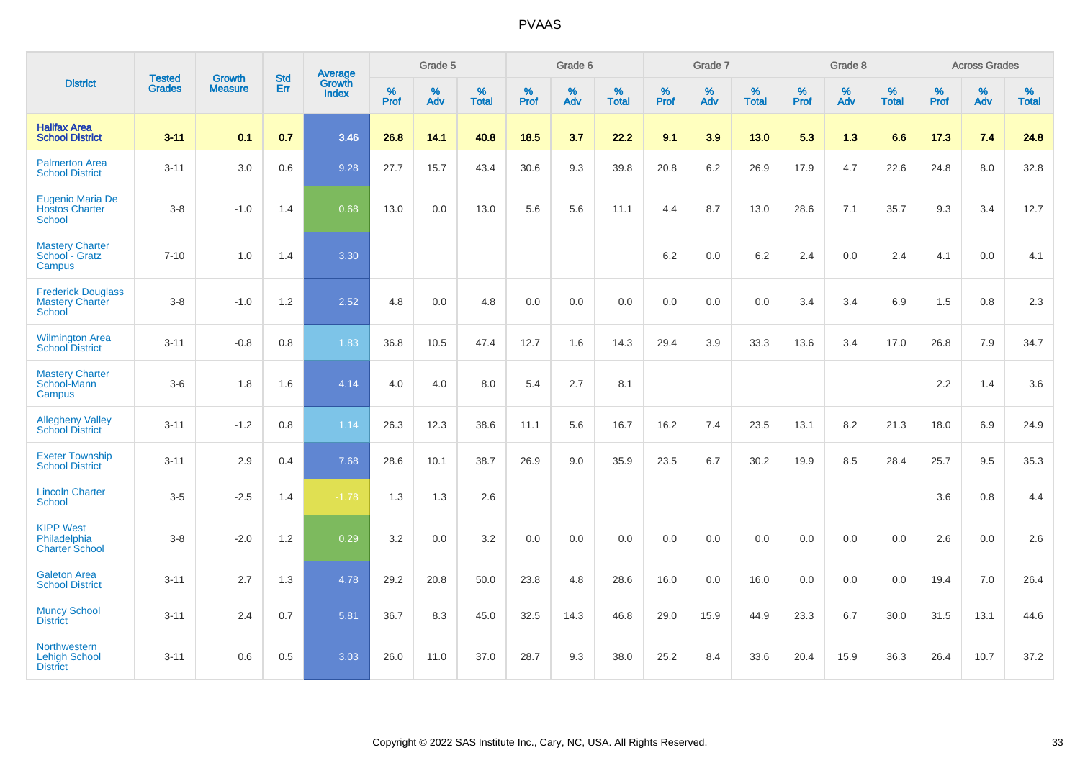|                                                               | <b>Tested</b> | <b>Growth</b>  | <b>Std</b> | Average                       |              | Grade 5  |                   |              | Grade 6  |                   |              | Grade 7  |                   |              | Grade 8  |                   |           | <b>Across Grades</b> |                   |
|---------------------------------------------------------------|---------------|----------------|------------|-------------------------------|--------------|----------|-------------------|--------------|----------|-------------------|--------------|----------|-------------------|--------------|----------|-------------------|-----------|----------------------|-------------------|
| <b>District</b>                                               | <b>Grades</b> | <b>Measure</b> | Err        | <b>Growth</b><br><b>Index</b> | $\%$<br>Prof | %<br>Adv | %<br><b>Total</b> | $\%$<br>Prof | %<br>Adv | %<br><b>Total</b> | $\%$<br>Prof | %<br>Adv | %<br><b>Total</b> | $\%$<br>Prof | %<br>Adv | %<br><b>Total</b> | %<br>Prof | %<br>Adv             | %<br><b>Total</b> |
| <b>Halifax Area</b><br><b>School District</b>                 | $3 - 11$      | 0.1            | 0.7        | 3.46                          | 26.8         | 14.1     | 40.8              | 18.5         | 3.7      | 22.2              | 9.1          | 3.9      | 13.0              | 5.3          | 1.3      | 6.6               | 17.3      | 7.4                  | 24.8              |
| <b>Palmerton Area</b><br><b>School District</b>               | $3 - 11$      | 3.0            | 0.6        | 9.28                          | 27.7         | 15.7     | 43.4              | 30.6         | 9.3      | 39.8              | 20.8         | 6.2      | 26.9              | 17.9         | 4.7      | 22.6              | 24.8      | 8.0                  | 32.8              |
| Eugenio Maria De<br><b>Hostos Charter</b><br><b>School</b>    | $3 - 8$       | $-1.0$         | 1.4        | 0.68                          | 13.0         | 0.0      | 13.0              | 5.6          | 5.6      | 11.1              | 4.4          | 8.7      | 13.0              | 28.6         | 7.1      | 35.7              | 9.3       | 3.4                  | 12.7              |
| <b>Mastery Charter</b><br>School - Gratz<br>Campus            | $7 - 10$      | 1.0            | 1.4        | 3.30                          |              |          |                   |              |          |                   | 6.2          | 0.0      | 6.2               | 2.4          | 0.0      | 2.4               | 4.1       | $0.0\,$              | 4.1               |
| <b>Frederick Douglass</b><br><b>Mastery Charter</b><br>School | $3-8$         | $-1.0$         | 1.2        | 2.52                          | 4.8          | 0.0      | 4.8               | 0.0          | 0.0      | 0.0               | $0.0\,$      | 0.0      | 0.0               | 3.4          | 3.4      | 6.9               | 1.5       | 0.8                  | 2.3               |
| <b>Wilmington Area</b><br><b>School District</b>              | $3 - 11$      | $-0.8$         | 0.8        | 1.83                          | 36.8         | 10.5     | 47.4              | 12.7         | 1.6      | 14.3              | 29.4         | 3.9      | 33.3              | 13.6         | 3.4      | 17.0              | 26.8      | 7.9                  | 34.7              |
| <b>Mastery Charter</b><br>School-Mann<br>Campus               | $3-6$         | 1.8            | 1.6        | 4.14                          | 4.0          | 4.0      | 8.0               | 5.4          | 2.7      | 8.1               |              |          |                   |              |          |                   | 2.2       | 1.4                  | 3.6               |
| <b>Allegheny Valley</b><br><b>School District</b>             | $3 - 11$      | $-1.2$         | 0.8        | 1.14                          | 26.3         | 12.3     | 38.6              | 11.1         | 5.6      | 16.7              | 16.2         | 7.4      | 23.5              | 13.1         | 8.2      | 21.3              | 18.0      | 6.9                  | 24.9              |
| <b>Exeter Township</b><br><b>School District</b>              | $3 - 11$      | 2.9            | 0.4        | 7.68                          | 28.6         | 10.1     | 38.7              | 26.9         | 9.0      | 35.9              | 23.5         | 6.7      | 30.2              | 19.9         | 8.5      | 28.4              | 25.7      | 9.5                  | 35.3              |
| <b>Lincoln Charter</b><br><b>School</b>                       | $3-5$         | $-2.5$         | 1.4        | $-1.78$                       | 1.3          | 1.3      | 2.6               |              |          |                   |              |          |                   |              |          |                   | 3.6       | 0.8                  | 4.4               |
| <b>KIPP West</b><br>Philadelphia<br><b>Charter School</b>     | $3 - 8$       | $-2.0$         | 1.2        | 0.29                          | 3.2          | 0.0      | 3.2               | 0.0          | 0.0      | 0.0               | 0.0          | 0.0      | 0.0               | 0.0          | 0.0      | 0.0               | 2.6       | 0.0                  | 2.6               |
| <b>Galeton Area</b><br><b>School District</b>                 | $3 - 11$      | 2.7            | 1.3        | 4.78                          | 29.2         | 20.8     | 50.0              | 23.8         | 4.8      | 28.6              | 16.0         | 0.0      | 16.0              | 0.0          | 0.0      | 0.0               | 19.4      | 7.0                  | 26.4              |
| <b>Muncy School</b><br><b>District</b>                        | $3 - 11$      | 2.4            | 0.7        | 5.81                          | 36.7         | 8.3      | 45.0              | 32.5         | 14.3     | 46.8              | 29.0         | 15.9     | 44.9              | 23.3         | 6.7      | 30.0              | 31.5      | 13.1                 | 44.6              |
| Northwestern<br><b>Lehigh School</b><br><b>District</b>       | $3 - 11$      | 0.6            | 0.5        | 3.03                          | 26.0         | 11.0     | 37.0              | 28.7         | 9.3      | 38.0              | 25.2         | 8.4      | 33.6              | 20.4         | 15.9     | 36.3              | 26.4      | 10.7                 | 37.2              |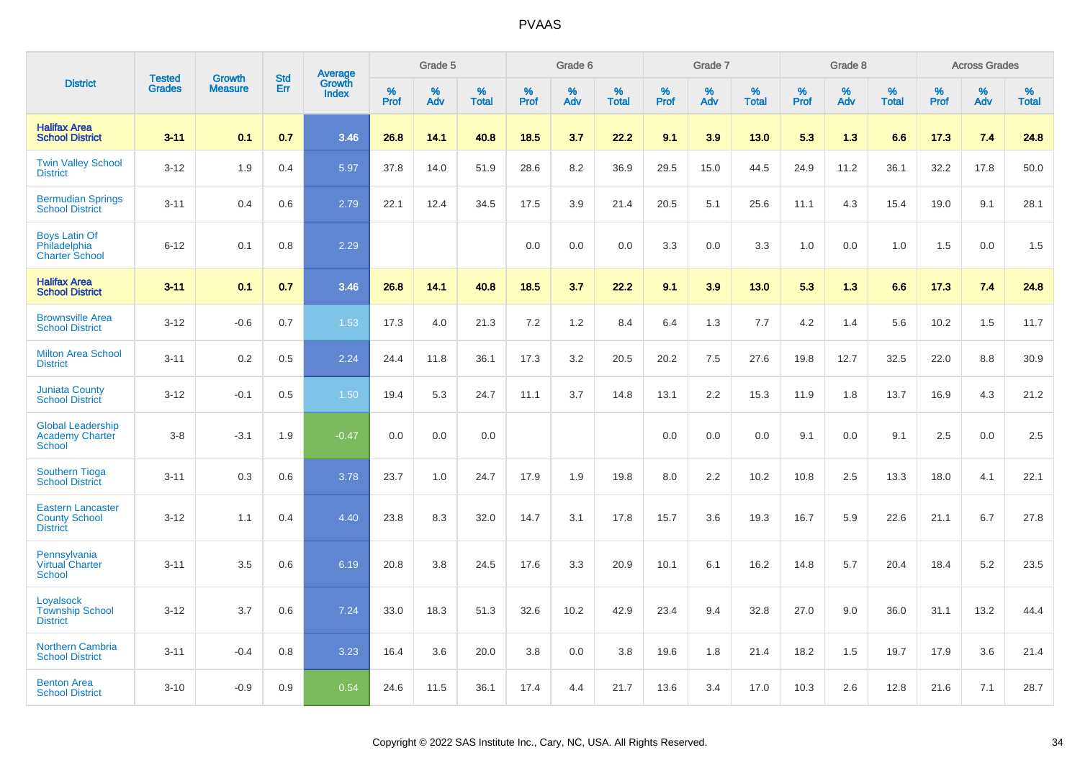|                                                                     |                                | <b>Growth</b>  | <b>Std</b> |                                          |              | Grade 5  |                   |           | Grade 6  |                   |           | Grade 7  |                   |           | Grade 8  |                   |           | <b>Across Grades</b> |                   |
|---------------------------------------------------------------------|--------------------------------|----------------|------------|------------------------------------------|--------------|----------|-------------------|-----------|----------|-------------------|-----------|----------|-------------------|-----------|----------|-------------------|-----------|----------------------|-------------------|
| <b>District</b>                                                     | <b>Tested</b><br><b>Grades</b> | <b>Measure</b> | Err        | <b>Average</b><br>Growth<br><b>Index</b> | $\%$<br>Prof | %<br>Adv | %<br><b>Total</b> | %<br>Prof | %<br>Adv | %<br><b>Total</b> | %<br>Prof | %<br>Adv | %<br><b>Total</b> | %<br>Prof | %<br>Adv | %<br><b>Total</b> | %<br>Prof | %<br>Adv             | %<br><b>Total</b> |
| <b>Halifax Area</b><br><b>School District</b>                       | $3 - 11$                       | 0.1            | 0.7        | 3.46                                     | 26.8         | 14.1     | 40.8              | 18.5      | 3.7      | 22.2              | 9.1       | 3.9      | 13.0              | 5.3       | 1.3      | 6.6               | 17.3      | 7.4                  | 24.8              |
| <b>Twin Valley School</b><br><b>District</b>                        | $3 - 12$                       | 1.9            | 0.4        | 5.97                                     | 37.8         | 14.0     | 51.9              | 28.6      | 8.2      | 36.9              | 29.5      | 15.0     | 44.5              | 24.9      | 11.2     | 36.1              | 32.2      | 17.8                 | 50.0              |
| <b>Bermudian Springs</b><br><b>School District</b>                  | $3 - 11$                       | 0.4            | 0.6        | 2.79                                     | 22.1         | 12.4     | 34.5              | 17.5      | 3.9      | 21.4              | 20.5      | 5.1      | 25.6              | 11.1      | 4.3      | 15.4              | 19.0      | 9.1                  | 28.1              |
| <b>Boys Latin Of</b><br>Philadelphia<br><b>Charter School</b>       | $6 - 12$                       | 0.1            | 0.8        | 2.29                                     |              |          |                   | 0.0       | 0.0      | 0.0               | 3.3       | 0.0      | 3.3               | 1.0       | 0.0      | 1.0               | 1.5       | 0.0                  | 1.5               |
| <b>Halifax Area</b><br><b>School District</b>                       | $3 - 11$                       | 0.1            | 0.7        | 3.46                                     | 26.8         | 14.1     | 40.8              | 18.5      | 3.7      | 22.2              | 9.1       | 3.9      | 13.0              | 5.3       | 1.3      | 6.6               | 17.3      | 7.4                  | 24.8              |
| <b>Brownsville Area</b><br><b>School District</b>                   | $3 - 12$                       | $-0.6$         | 0.7        | 1.53                                     | 17.3         | 4.0      | 21.3              | 7.2       | 1.2      | 8.4               | 6.4       | 1.3      | 7.7               | 4.2       | 1.4      | 5.6               | 10.2      | 1.5                  | 11.7              |
| <b>Milton Area School</b><br><b>District</b>                        | $3 - 11$                       | 0.2            | 0.5        | 2.24                                     | 24.4         | 11.8     | 36.1              | 17.3      | 3.2      | 20.5              | 20.2      | 7.5      | 27.6              | 19.8      | 12.7     | 32.5              | 22.0      | 8.8                  | 30.9              |
| <b>Juniata County</b><br><b>School District</b>                     | $3 - 12$                       | $-0.1$         | 0.5        | 1.50                                     | 19.4         | 5.3      | 24.7              | 11.1      | 3.7      | 14.8              | 13.1      | 2.2      | 15.3              | 11.9      | 1.8      | 13.7              | 16.9      | 4.3                  | 21.2              |
| <b>Global Leadership</b><br>Academy Charter<br><b>School</b>        | $3-8$                          | $-3.1$         | 1.9        | $-0.47$                                  | 0.0          | 0.0      | 0.0               |           |          |                   | 0.0       | 0.0      | 0.0               | 9.1       | 0.0      | 9.1               | 2.5       | 0.0                  | 2.5               |
| <b>Southern Tioga</b><br><b>School District</b>                     | $3 - 11$                       | 0.3            | 0.6        | 3.78                                     | 23.7         | 1.0      | 24.7              | 17.9      | 1.9      | 19.8              | 8.0       | 2.2      | 10.2              | 10.8      | 2.5      | 13.3              | 18.0      | 4.1                  | 22.1              |
| <b>Eastern Lancaster</b><br><b>County School</b><br><b>District</b> | $3 - 12$                       | 1.1            | 0.4        | 4.40                                     | 23.8         | 8.3      | 32.0              | 14.7      | 3.1      | 17.8              | 15.7      | 3.6      | 19.3              | 16.7      | 5.9      | 22.6              | 21.1      | 6.7                  | 27.8              |
| Pennsylvania<br><b>Virtual Charter</b><br>School                    | $3 - 11$                       | 3.5            | 0.6        | 6.19                                     | 20.8         | 3.8      | 24.5              | 17.6      | 3.3      | 20.9              | 10.1      | 6.1      | 16.2              | 14.8      | 5.7      | 20.4              | 18.4      | 5.2                  | 23.5              |
| Loyalsock<br><b>Township School</b><br><b>District</b>              | $3 - 12$                       | 3.7            | 0.6        | 7.24                                     | 33.0         | 18.3     | 51.3              | 32.6      | 10.2     | 42.9              | 23.4      | 9.4      | 32.8              | 27.0      | 9.0      | 36.0              | 31.1      | 13.2                 | 44.4              |
| <b>Northern Cambria</b><br><b>School District</b>                   | $3 - 11$                       | $-0.4$         | 0.8        | 3.23                                     | 16.4         | 3.6      | 20.0              | 3.8       | 0.0      | 3.8               | 19.6      | 1.8      | 21.4              | 18.2      | 1.5      | 19.7              | 17.9      | 3.6                  | 21.4              |
| <b>Benton Area</b><br><b>School District</b>                        | $3 - 10$                       | $-0.9$         | 0.9        | 0.54                                     | 24.6         | 11.5     | 36.1              | 17.4      | 4.4      | 21.7              | 13.6      | 3.4      | 17.0              | 10.3      | 2.6      | 12.8              | 21.6      | 7.1                  | 28.7              |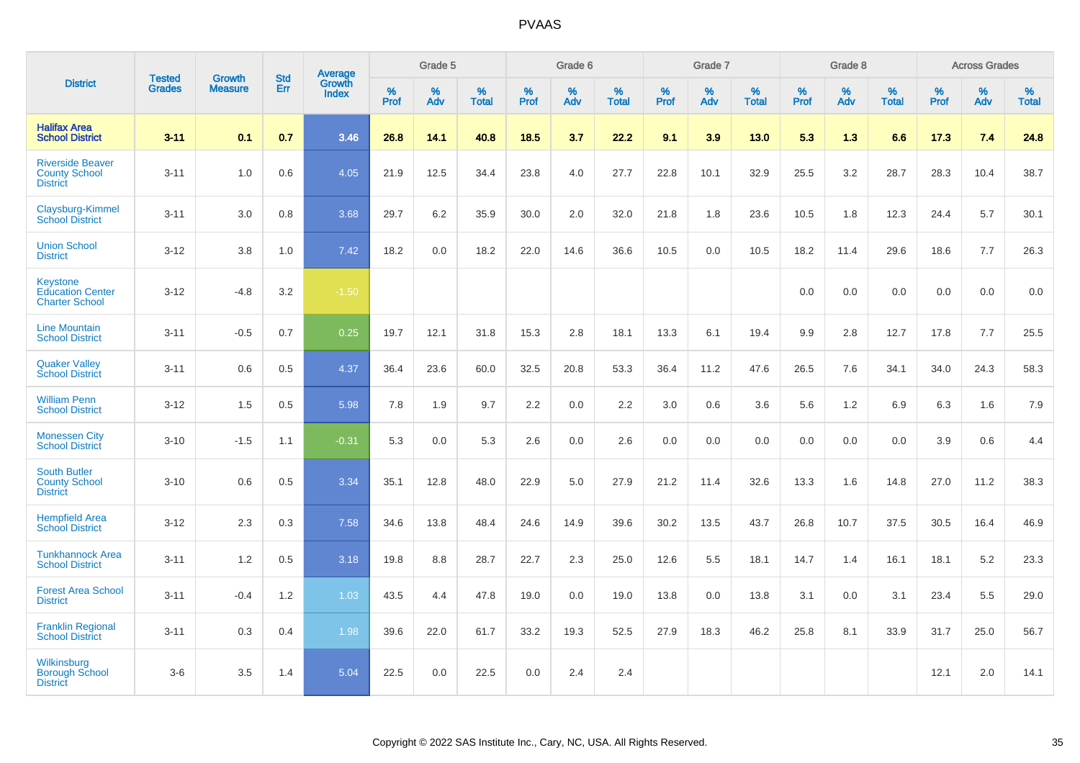|                                                                    |                                | <b>Growth</b>  | <b>Std</b> | <b>Average</b>                |                  | Grade 5  |                   |                  | Grade 6  |                   |                  | Grade 7  |                   |                  | Grade 8  |                   |                  | <b>Across Grades</b> |                   |
|--------------------------------------------------------------------|--------------------------------|----------------|------------|-------------------------------|------------------|----------|-------------------|------------------|----------|-------------------|------------------|----------|-------------------|------------------|----------|-------------------|------------------|----------------------|-------------------|
| <b>District</b>                                                    | <b>Tested</b><br><b>Grades</b> | <b>Measure</b> | Err        | <b>Growth</b><br><b>Index</b> | %<br><b>Prof</b> | %<br>Adv | %<br><b>Total</b> | %<br><b>Prof</b> | %<br>Adv | %<br><b>Total</b> | %<br><b>Prof</b> | %<br>Adv | %<br><b>Total</b> | %<br><b>Prof</b> | %<br>Adv | %<br><b>Total</b> | %<br><b>Prof</b> | %<br>Adv             | %<br><b>Total</b> |
| <b>Halifax Area</b><br><b>School District</b>                      | $3 - 11$                       | 0.1            | 0.7        | 3.46                          | 26.8             | 14.1     | 40.8              | 18.5             | 3.7      | 22.2              | 9.1              | 3.9      | 13.0              | 5.3              | 1.3      | 6.6               | 17.3             | 7.4                  | 24.8              |
| <b>Riverside Beaver</b><br><b>County School</b><br><b>District</b> | $3 - 11$                       | 1.0            | 0.6        | 4.05                          | 21.9             | 12.5     | 34.4              | 23.8             | 4.0      | 27.7              | 22.8             | 10.1     | 32.9              | 25.5             | 3.2      | 28.7              | 28.3             | 10.4                 | 38.7              |
| Claysburg-Kimmel<br><b>School District</b>                         | $3 - 11$                       | 3.0            | 0.8        | 3.68                          | 29.7             | 6.2      | 35.9              | 30.0             | 2.0      | 32.0              | 21.8             | 1.8      | 23.6              | 10.5             | 1.8      | 12.3              | 24.4             | 5.7                  | 30.1              |
| <b>Union School</b><br><b>District</b>                             | $3 - 12$                       | 3.8            | 1.0        | 7.42                          | 18.2             | 0.0      | 18.2              | 22.0             | 14.6     | 36.6              | 10.5             | 0.0      | 10.5              | 18.2             | 11.4     | 29.6              | 18.6             | 7.7                  | 26.3              |
| Keystone<br><b>Education Center</b><br><b>Charter School</b>       | $3 - 12$                       | $-4.8$         | 3.2        | $-1.50$                       |                  |          |                   |                  |          |                   |                  |          |                   | 0.0              | 0.0      | 0.0               | 0.0              | 0.0                  | 0.0               |
| <b>Line Mountain</b><br><b>School District</b>                     | $3 - 11$                       | $-0.5$         | 0.7        | 0.25                          | 19.7             | 12.1     | 31.8              | 15.3             | 2.8      | 18.1              | 13.3             | 6.1      | 19.4              | 9.9              | 2.8      | 12.7              | 17.8             | 7.7                  | 25.5              |
| <b>Quaker Valley</b><br><b>School District</b>                     | $3 - 11$                       | 0.6            | 0.5        | 4.37                          | 36.4             | 23.6     | 60.0              | 32.5             | 20.8     | 53.3              | 36.4             | 11.2     | 47.6              | 26.5             | 7.6      | 34.1              | 34.0             | 24.3                 | 58.3              |
| <b>William Penn</b><br><b>School District</b>                      | $3 - 12$                       | 1.5            | 0.5        | 5.98                          | 7.8              | 1.9      | 9.7               | 2.2              | 0.0      | 2.2               | 3.0              | 0.6      | 3.6               | 5.6              | 1.2      | 6.9               | 6.3              | 1.6                  | 7.9               |
| <b>Monessen City</b><br><b>School District</b>                     | $3 - 10$                       | $-1.5$         | 1.1        | $-0.31$                       | 5.3              | 0.0      | 5.3               | 2.6              | 0.0      | 2.6               | 0.0              | 0.0      | 0.0               | 0.0              | 0.0      | 0.0               | 3.9              | 0.6                  | 4.4               |
| <b>South Butler</b><br><b>County School</b><br><b>District</b>     | $3 - 10$                       | 0.6            | 0.5        | 3.34                          | 35.1             | 12.8     | 48.0              | 22.9             | 5.0      | 27.9              | 21.2             | 11.4     | 32.6              | 13.3             | 1.6      | 14.8              | 27.0             | 11.2                 | 38.3              |
| <b>Hempfield Area</b><br><b>School District</b>                    | $3 - 12$                       | 2.3            | 0.3        | 7.58                          | 34.6             | 13.8     | 48.4              | 24.6             | 14.9     | 39.6              | 30.2             | 13.5     | 43.7              | 26.8             | 10.7     | 37.5              | 30.5             | 16.4                 | 46.9              |
| <b>Tunkhannock Area</b><br><b>School District</b>                  | $3 - 11$                       | 1.2            | 0.5        | 3.18                          | 19.8             | 8.8      | 28.7              | 22.7             | 2.3      | 25.0              | 12.6             | 5.5      | 18.1              | 14.7             | 1.4      | 16.1              | 18.1             | 5.2                  | 23.3              |
| <b>Forest Area School</b><br><b>District</b>                       | $3 - 11$                       | $-0.4$         | 1.2        | 1.03                          | 43.5             | 4.4      | 47.8              | 19.0             | 0.0      | 19.0              | 13.8             | 0.0      | 13.8              | 3.1              | 0.0      | 3.1               | 23.4             | 5.5                  | 29.0              |
| <b>Franklin Regional</b><br><b>School District</b>                 | $3 - 11$                       | 0.3            | 0.4        | 1.98                          | 39.6             | 22.0     | 61.7              | 33.2             | 19.3     | 52.5              | 27.9             | 18.3     | 46.2              | 25.8             | 8.1      | 33.9              | 31.7             | 25.0                 | 56.7              |
| Wilkinsburg<br><b>Borough School</b><br><b>District</b>            | $3-6$                          | 3.5            | 1.4        | 5.04                          | 22.5             | 0.0      | 22.5              | 0.0              | 2.4      | 2.4               |                  |          |                   |                  |          |                   | 12.1             | 2.0                  | 14.1              |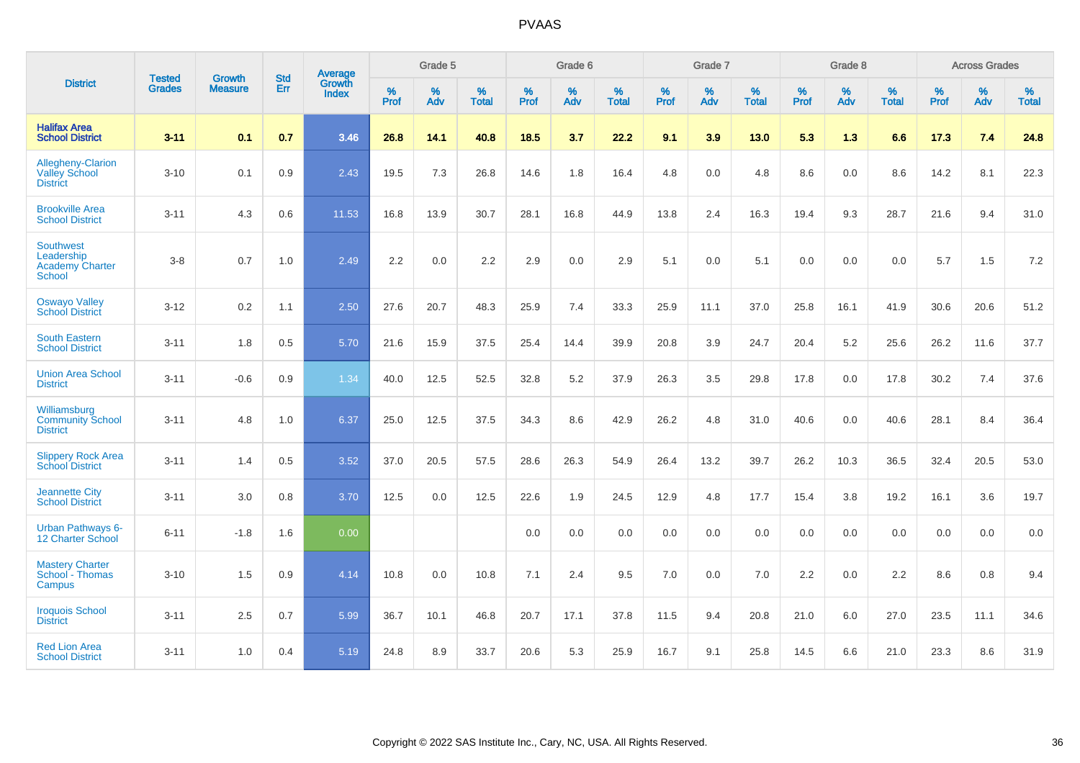|                                                                    | <b>Tested</b> | <b>Growth</b>  | <b>Std</b> | Average                |                     | Grade 5  |                   |                     | Grade 6  |                   |              | Grade 7  |                   |                     | Grade 8  |                   |                     | <b>Across Grades</b> |                   |
|--------------------------------------------------------------------|---------------|----------------|------------|------------------------|---------------------|----------|-------------------|---------------------|----------|-------------------|--------------|----------|-------------------|---------------------|----------|-------------------|---------------------|----------------------|-------------------|
| <b>District</b>                                                    | <b>Grades</b> | <b>Measure</b> | Err        | Growth<br><b>Index</b> | $\%$<br><b>Prof</b> | %<br>Adv | %<br><b>Total</b> | $\%$<br><b>Prof</b> | %<br>Adv | %<br><b>Total</b> | $\%$<br>Prof | %<br>Adv | %<br><b>Total</b> | $\%$<br><b>Prof</b> | %<br>Adv | %<br><b>Total</b> | $\%$<br><b>Prof</b> | %<br>Adv             | %<br><b>Total</b> |
| <b>Halifax Area</b><br><b>School District</b>                      | $3 - 11$      | 0.1            | 0.7        | 3.46                   | 26.8                | 14.1     | 40.8              | 18.5                | 3.7      | 22.2              | 9.1          | 3.9      | 13.0              | 5.3                 | 1.3      | 6.6               | 17.3                | 7.4                  | 24.8              |
| Allegheny-Clarion<br><b>Valley School</b><br><b>District</b>       | $3 - 10$      | 0.1            | 0.9        | 2.43                   | 19.5                | 7.3      | 26.8              | 14.6                | 1.8      | 16.4              | 4.8          | 0.0      | 4.8               | 8.6                 | 0.0      | 8.6               | 14.2                | 8.1                  | 22.3              |
| <b>Brookville Area</b><br><b>School District</b>                   | $3 - 11$      | 4.3            | 0.6        | 11.53                  | 16.8                | 13.9     | 30.7              | 28.1                | 16.8     | 44.9              | 13.8         | 2.4      | 16.3              | 19.4                | 9.3      | 28.7              | 21.6                | 9.4                  | 31.0              |
| <b>Southwest</b><br>Leadership<br><b>Academy Charter</b><br>School | $3 - 8$       | 0.7            | 1.0        | 2.49                   | 2.2                 | 0.0      | 2.2               | 2.9                 | 0.0      | 2.9               | 5.1          | 0.0      | 5.1               | 0.0                 | 0.0      | 0.0               | 5.7                 | 1.5                  | 7.2               |
| <b>Oswayo Valley</b><br><b>School District</b>                     | $3 - 12$      | 0.2            | 1.1        | 2.50                   | 27.6                | 20.7     | 48.3              | 25.9                | 7.4      | 33.3              | 25.9         | 11.1     | 37.0              | 25.8                | 16.1     | 41.9              | 30.6                | 20.6                 | 51.2              |
| <b>South Eastern</b><br><b>School District</b>                     | $3 - 11$      | 1.8            | 0.5        | 5.70                   | 21.6                | 15.9     | 37.5              | 25.4                | 14.4     | 39.9              | 20.8         | 3.9      | 24.7              | 20.4                | 5.2      | 25.6              | 26.2                | 11.6                 | 37.7              |
| <b>Union Area School</b><br><b>District</b>                        | $3 - 11$      | $-0.6$         | 0.9        | 1.34                   | 40.0                | 12.5     | 52.5              | 32.8                | $5.2\,$  | 37.9              | 26.3         | 3.5      | 29.8              | 17.8                | 0.0      | 17.8              | 30.2                | 7.4                  | 37.6              |
| Williamsburg<br><b>Community School</b><br><b>District</b>         | $3 - 11$      | 4.8            | 1.0        | 6.37                   | 25.0                | 12.5     | 37.5              | 34.3                | 8.6      | 42.9              | 26.2         | 4.8      | 31.0              | 40.6                | 0.0      | 40.6              | 28.1                | 8.4                  | 36.4              |
| <b>Slippery Rock Area</b><br><b>School District</b>                | $3 - 11$      | 1.4            | 0.5        | 3.52                   | 37.0                | 20.5     | 57.5              | 28.6                | 26.3     | 54.9              | 26.4         | 13.2     | 39.7              | 26.2                | 10.3     | 36.5              | 32.4                | 20.5                 | 53.0              |
| <b>Jeannette City</b><br><b>School District</b>                    | $3 - 11$      | 3.0            | 0.8        | 3.70                   | 12.5                | 0.0      | 12.5              | 22.6                | 1.9      | 24.5              | 12.9         | 4.8      | 17.7              | 15.4                | 3.8      | 19.2              | 16.1                | 3.6                  | 19.7              |
| <b>Urban Pathways 6-</b><br>12 Charter School                      | $6 - 11$      | $-1.8$         | 1.6        | 0.00                   |                     |          |                   | 0.0                 | 0.0      | 0.0               | 0.0          | 0.0      | 0.0               | 0.0                 | 0.0      | 0.0               | 0.0                 | 0.0                  | 0.0               |
| <b>Mastery Charter</b><br>School - Thomas<br>Campus                | $3 - 10$      | 1.5            | 0.9        | 4.14                   | 10.8                | 0.0      | 10.8              | 7.1                 | 2.4      | 9.5               | 7.0          | 0.0      | 7.0               | 2.2                 | 0.0      | 2.2               | 8.6                 | 0.8                  | 9.4               |
| <b>Iroquois School</b><br><b>District</b>                          | $3 - 11$      | 2.5            | 0.7        | 5.99                   | 36.7                | 10.1     | 46.8              | 20.7                | 17.1     | 37.8              | 11.5         | 9.4      | 20.8              | 21.0                | 6.0      | 27.0              | 23.5                | 11.1                 | 34.6              |
| <b>Red Lion Area</b><br><b>School District</b>                     | $3 - 11$      | 1.0            | 0.4        | 5.19                   | 24.8                | 8.9      | 33.7              | 20.6                | 5.3      | 25.9              | 16.7         | 9.1      | 25.8              | 14.5                | 6.6      | 21.0              | 23.3                | 8.6                  | 31.9              |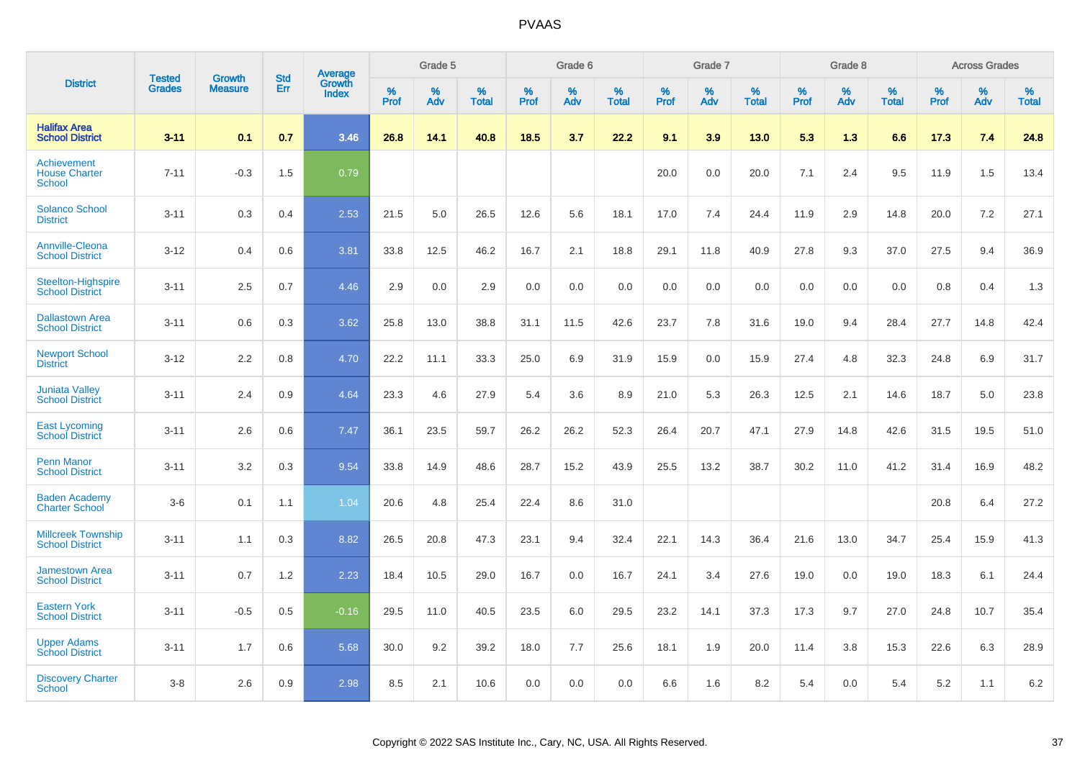|                                                      |                                |                                 | <b>Std</b> | Average                |           | Grade 5  |                   |           | Grade 6  |                   |           | Grade 7  |                   |           | Grade 8  |                   |           | <b>Across Grades</b> |                   |
|------------------------------------------------------|--------------------------------|---------------------------------|------------|------------------------|-----------|----------|-------------------|-----------|----------|-------------------|-----------|----------|-------------------|-----------|----------|-------------------|-----------|----------------------|-------------------|
| <b>District</b>                                      | <b>Tested</b><br><b>Grades</b> | <b>Growth</b><br><b>Measure</b> | Err        | Growth<br><b>Index</b> | %<br>Prof | %<br>Adv | %<br><b>Total</b> | %<br>Prof | %<br>Adv | %<br><b>Total</b> | %<br>Prof | %<br>Adv | %<br><b>Total</b> | %<br>Prof | %<br>Adv | %<br><b>Total</b> | %<br>Prof | %<br>Adv             | %<br><b>Total</b> |
| <b>Halifax Area</b><br><b>School District</b>        | $3 - 11$                       | 0.1                             | 0.7        | 3.46                   | 26.8      | 14.1     | 40.8              | 18.5      | 3.7      | 22.2              | 9.1       | 3.9      | 13.0              | 5.3       | 1.3      | 6.6               | 17.3      | 7.4                  | 24.8              |
| Achievement<br><b>House Charter</b><br><b>School</b> | $7 - 11$                       | $-0.3$                          | 1.5        | 0.79                   |           |          |                   |           |          |                   | 20.0      | 0.0      | 20.0              | 7.1       | 2.4      | 9.5               | 11.9      | 1.5                  | 13.4              |
| <b>Solanco School</b><br><b>District</b>             | $3 - 11$                       | 0.3                             | 0.4        | 2.53                   | 21.5      | 5.0      | 26.5              | 12.6      | 5.6      | 18.1              | 17.0      | 7.4      | 24.4              | 11.9      | 2.9      | 14.8              | 20.0      | 7.2                  | 27.1              |
| <b>Annville-Cleona</b><br><b>School District</b>     | $3 - 12$                       | 0.4                             | 0.6        | 3.81                   | 33.8      | 12.5     | 46.2              | 16.7      | 2.1      | 18.8              | 29.1      | 11.8     | 40.9              | 27.8      | 9.3      | 37.0              | 27.5      | 9.4                  | 36.9              |
| <b>Steelton-Highspire</b><br><b>School District</b>  | $3 - 11$                       | 2.5                             | 0.7        | 4.46                   | 2.9       | 0.0      | 2.9               | 0.0       | 0.0      | 0.0               | 0.0       | 0.0      | 0.0               | 0.0       | 0.0      | 0.0               | 0.8       | 0.4                  | 1.3               |
| <b>Dallastown Area</b><br><b>School District</b>     | $3 - 11$                       | 0.6                             | 0.3        | 3.62                   | 25.8      | 13.0     | 38.8              | 31.1      | 11.5     | 42.6              | 23.7      | 7.8      | 31.6              | 19.0      | 9.4      | 28.4              | 27.7      | 14.8                 | 42.4              |
| <b>Newport School</b><br><b>District</b>             | $3 - 12$                       | 2.2                             | 0.8        | 4.70                   | 22.2      | 11.1     | 33.3              | 25.0      | 6.9      | 31.9              | 15.9      | 0.0      | 15.9              | 27.4      | 4.8      | 32.3              | 24.8      | 6.9                  | 31.7              |
| <b>Juniata Valley</b><br><b>School District</b>      | $3 - 11$                       | 2.4                             | 0.9        | 4.64                   | 23.3      | 4.6      | 27.9              | 5.4       | 3.6      | 8.9               | 21.0      | 5.3      | 26.3              | 12.5      | 2.1      | 14.6              | 18.7      | 5.0                  | 23.8              |
| <b>East Lycoming</b><br><b>School District</b>       | $3 - 11$                       | 2.6                             | 0.6        | 7.47                   | 36.1      | 23.5     | 59.7              | 26.2      | 26.2     | 52.3              | 26.4      | 20.7     | 47.1              | 27.9      | 14.8     | 42.6              | 31.5      | 19.5                 | 51.0              |
| <b>Penn Manor</b><br><b>School District</b>          | $3 - 11$                       | 3.2                             | 0.3        | 9.54                   | 33.8      | 14.9     | 48.6              | 28.7      | 15.2     | 43.9              | 25.5      | 13.2     | 38.7              | 30.2      | 11.0     | 41.2              | 31.4      | 16.9                 | 48.2              |
| <b>Baden Academy</b><br><b>Charter School</b>        | $3-6$                          | 0.1                             | 1.1        | 1.04                   | 20.6      | 4.8      | 25.4              | 22.4      | 8.6      | 31.0              |           |          |                   |           |          |                   | 20.8      | 6.4                  | 27.2              |
| <b>Millcreek Township</b><br><b>School District</b>  | $3 - 11$                       | 1.1                             | 0.3        | 8.82                   | 26.5      | 20.8     | 47.3              | 23.1      | 9.4      | 32.4              | 22.1      | 14.3     | 36.4              | 21.6      | 13.0     | 34.7              | 25.4      | 15.9                 | 41.3              |
| <b>Jamestown Area</b><br><b>School District</b>      | $3 - 11$                       | 0.7                             | 1.2        | 2.23                   | 18.4      | 10.5     | 29.0              | 16.7      | 0.0      | 16.7              | 24.1      | 3.4      | 27.6              | 19.0      | 0.0      | 19.0              | 18.3      | 6.1                  | 24.4              |
| <b>Eastern York</b><br><b>School District</b>        | $3 - 11$                       | $-0.5$                          | 0.5        | $-0.16$                | 29.5      | 11.0     | 40.5              | 23.5      | 6.0      | 29.5              | 23.2      | 14.1     | 37.3              | 17.3      | 9.7      | 27.0              | 24.8      | 10.7                 | 35.4              |
| <b>Upper Adams</b><br><b>School District</b>         | $3 - 11$                       | 1.7                             | 0.6        | 5.68                   | 30.0      | 9.2      | 39.2              | 18.0      | 7.7      | 25.6              | 18.1      | 1.9      | 20.0              | 11.4      | 3.8      | 15.3              | 22.6      | 6.3                  | 28.9              |
| <b>Discovery Charter</b><br>School                   | $3 - 8$                        | 2.6                             | 0.9        | 2.98                   | 8.5       | 2.1      | 10.6              | 0.0       | 0.0      | 0.0               | 6.6       | 1.6      | 8.2               | 5.4       | $0.0\,$  | 5.4               | 5.2       | 1.1                  | 6.2               |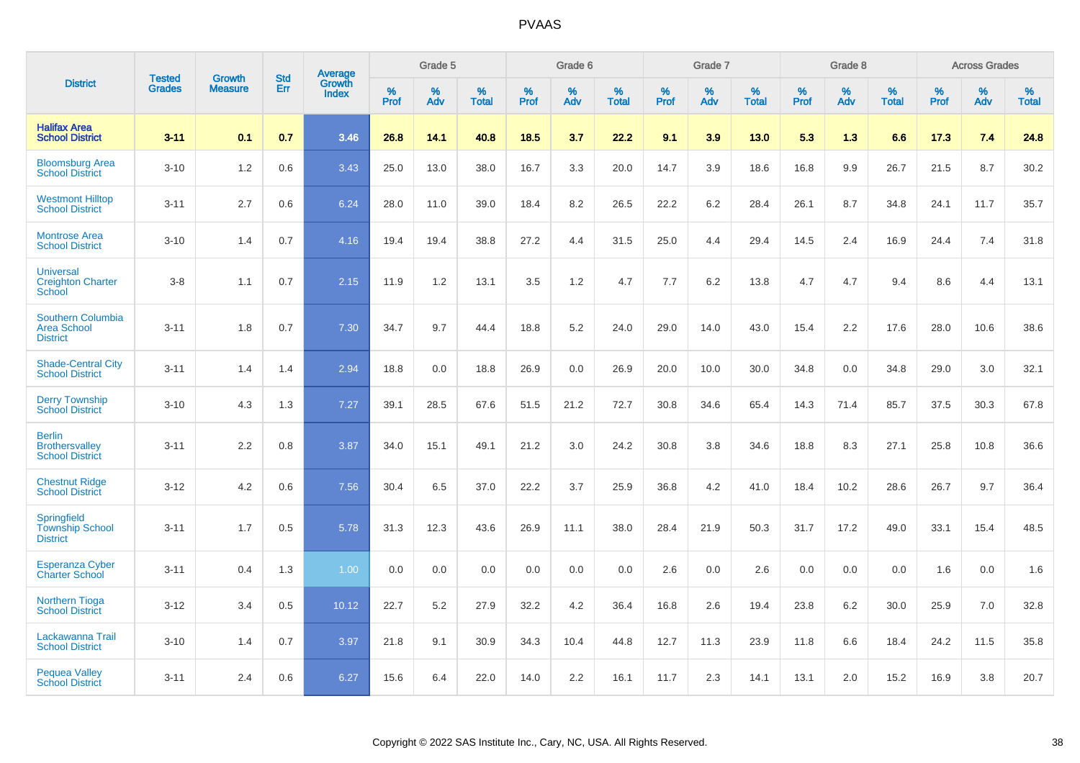|                                                                   | <b>Tested</b> | <b>Growth</b>  | <b>Std</b> | Average                |              | Grade 5  |                   |           | Grade 6  |                   |           | Grade 7  |                   |           | Grade 8  |                   |              | <b>Across Grades</b> |                   |
|-------------------------------------------------------------------|---------------|----------------|------------|------------------------|--------------|----------|-------------------|-----------|----------|-------------------|-----------|----------|-------------------|-----------|----------|-------------------|--------------|----------------------|-------------------|
| <b>District</b>                                                   | <b>Grades</b> | <b>Measure</b> | Err        | Growth<br><b>Index</b> | $\%$<br>Prof | %<br>Adv | %<br><b>Total</b> | %<br>Prof | %<br>Adv | %<br><b>Total</b> | %<br>Prof | %<br>Adv | %<br><b>Total</b> | %<br>Prof | %<br>Adv | %<br><b>Total</b> | $\%$<br>Prof | $\%$<br>Adv          | %<br><b>Total</b> |
| <b>Halifax Area</b><br><b>School District</b>                     | $3 - 11$      | 0.1            | 0.7        | 3.46                   | 26.8         | 14.1     | 40.8              | 18.5      | 3.7      | 22.2              | 9.1       | 3.9      | 13.0              | 5.3       | 1.3      | 6.6               | 17.3         | 7.4                  | 24.8              |
| <b>Bloomsburg Area</b><br><b>School District</b>                  | $3 - 10$      | 1.2            | 0.6        | 3.43                   | 25.0         | 13.0     | 38.0              | 16.7      | 3.3      | 20.0              | 14.7      | 3.9      | 18.6              | 16.8      | 9.9      | 26.7              | 21.5         | 8.7                  | 30.2              |
| <b>Westmont Hilltop</b><br><b>School District</b>                 | $3 - 11$      | 2.7            | 0.6        | 6.24                   | 28.0         | 11.0     | 39.0              | 18.4      | 8.2      | 26.5              | 22.2      | 6.2      | 28.4              | 26.1      | 8.7      | 34.8              | 24.1         | 11.7                 | 35.7              |
| <b>Montrose Area</b><br><b>School District</b>                    | $3 - 10$      | 1.4            | 0.7        | 4.16                   | 19.4         | 19.4     | 38.8              | 27.2      | 4.4      | 31.5              | 25.0      | 4.4      | 29.4              | 14.5      | 2.4      | 16.9              | 24.4         | 7.4                  | 31.8              |
| <b>Universal</b><br><b>Creighton Charter</b><br>School            | $3 - 8$       | 1.1            | 0.7        | 2.15                   | 11.9         | 1.2      | 13.1              | 3.5       | 1.2      | 4.7               | 7.7       | 6.2      | 13.8              | 4.7       | 4.7      | 9.4               | 8.6          | 4.4                  | 13.1              |
| <b>Southern Columbia</b><br><b>Area School</b><br><b>District</b> | $3 - 11$      | 1.8            | 0.7        | 7.30                   | 34.7         | 9.7      | 44.4              | 18.8      | 5.2      | 24.0              | 29.0      | 14.0     | 43.0              | 15.4      | 2.2      | 17.6              | 28.0         | 10.6                 | 38.6              |
| <b>Shade-Central City</b><br><b>School District</b>               | $3 - 11$      | 1.4            | 1.4        | 2.94                   | 18.8         | 0.0      | 18.8              | 26.9      | 0.0      | 26.9              | 20.0      | 10.0     | 30.0              | 34.8      | 0.0      | 34.8              | 29.0         | 3.0                  | 32.1              |
| <b>Derry Township</b><br><b>School District</b>                   | $3 - 10$      | 4.3            | 1.3        | 7.27                   | 39.1         | 28.5     | 67.6              | 51.5      | 21.2     | 72.7              | 30.8      | 34.6     | 65.4              | 14.3      | 71.4     | 85.7              | 37.5         | 30.3                 | 67.8              |
| <b>Berlin</b><br><b>Brothersvalley</b><br><b>School District</b>  | $3 - 11$      | 2.2            | 0.8        | 3.87                   | 34.0         | 15.1     | 49.1              | 21.2      | 3.0      | 24.2              | 30.8      | 3.8      | 34.6              | 18.8      | 8.3      | 27.1              | 25.8         | 10.8                 | 36.6              |
| <b>Chestnut Ridge</b><br><b>School District</b>                   | $3 - 12$      | 4.2            | 0.6        | 7.56                   | 30.4         | 6.5      | 37.0              | 22.2      | 3.7      | 25.9              | 36.8      | 4.2      | 41.0              | 18.4      | 10.2     | 28.6              | 26.7         | 9.7                  | 36.4              |
| <b>Springfield</b><br><b>Township School</b><br><b>District</b>   | $3 - 11$      | 1.7            | 0.5        | 5.78                   | 31.3         | 12.3     | 43.6              | 26.9      | 11.1     | 38.0              | 28.4      | 21.9     | 50.3              | 31.7      | 17.2     | 49.0              | 33.1         | 15.4                 | 48.5              |
| <b>Esperanza Cyber</b><br><b>Charter School</b>                   | $3 - 11$      | 0.4            | 1.3        | 1.00                   | 0.0          | 0.0      | 0.0               | 0.0       | 0.0      | 0.0               | 2.6       | 0.0      | 2.6               | 0.0       | 0.0      | 0.0               | 1.6          | 0.0                  | 1.6               |
| <b>Northern Tioga</b><br><b>School District</b>                   | $3 - 12$      | 3.4            | 0.5        | 10.12                  | 22.7         | 5.2      | 27.9              | 32.2      | 4.2      | 36.4              | 16.8      | 2.6      | 19.4              | 23.8      | 6.2      | 30.0              | 25.9         | 7.0                  | 32.8              |
| Lackawanna Trail<br><b>School District</b>                        | $3 - 10$      | 1.4            | 0.7        | 3.97                   | 21.8         | 9.1      | 30.9              | 34.3      | 10.4     | 44.8              | 12.7      | 11.3     | 23.9              | 11.8      | 6.6      | 18.4              | 24.2         | 11.5                 | 35.8              |
| <b>Pequea Valley</b><br><b>School District</b>                    | $3 - 11$      | 2.4            | 0.6        | 6.27                   | 15.6         | 6.4      | 22.0              | 14.0      | 2.2      | 16.1              | 11.7      | 2.3      | 14.1              | 13.1      | 2.0      | 15.2              | 16.9         | 3.8                  | 20.7              |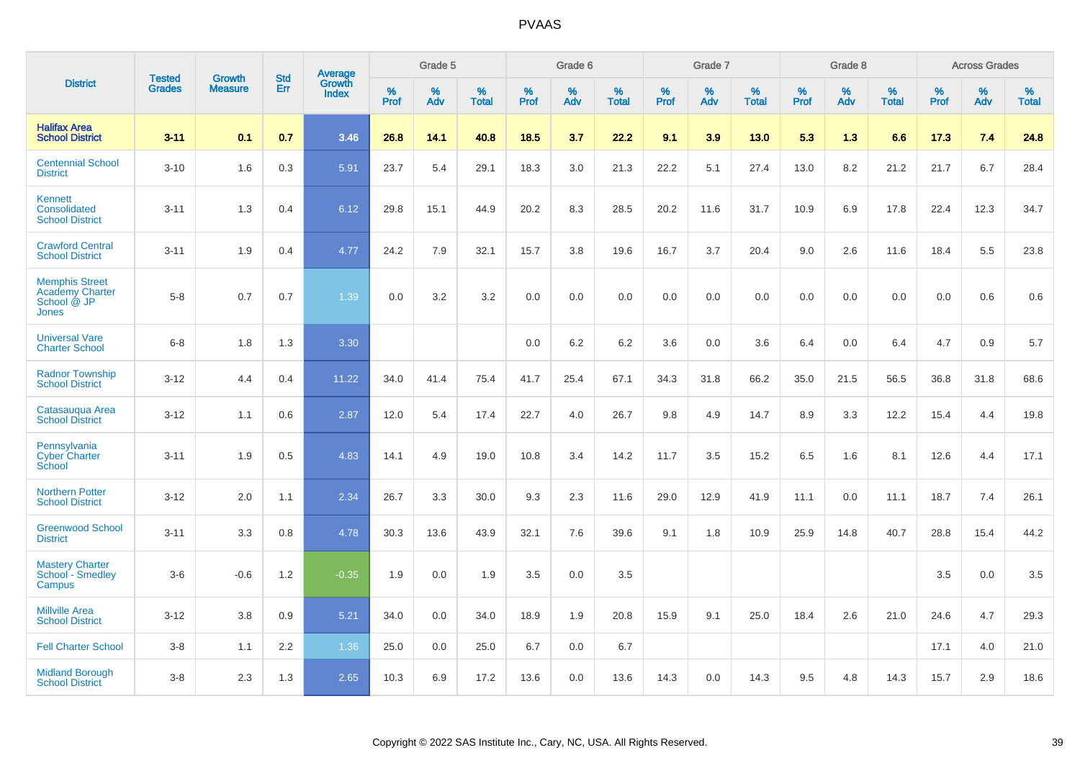|                                                                         |                                |                                 | <b>Std</b> | Average                |           | Grade 5  |                   |           | Grade 6  |                   |           | Grade 7  |                   |           | Grade 8  |                   |           | <b>Across Grades</b> |                   |
|-------------------------------------------------------------------------|--------------------------------|---------------------------------|------------|------------------------|-----------|----------|-------------------|-----------|----------|-------------------|-----------|----------|-------------------|-----------|----------|-------------------|-----------|----------------------|-------------------|
| <b>District</b>                                                         | <b>Tested</b><br><b>Grades</b> | <b>Growth</b><br><b>Measure</b> | <b>Err</b> | Growth<br><b>Index</b> | %<br>Prof | %<br>Adv | %<br><b>Total</b> | %<br>Prof | %<br>Adv | %<br><b>Total</b> | %<br>Prof | %<br>Adv | %<br><b>Total</b> | %<br>Prof | %<br>Adv | %<br><b>Total</b> | %<br>Prof | %<br>Adv             | %<br><b>Total</b> |
| <b>Halifax Area</b><br><b>School District</b>                           | $3 - 11$                       | 0.1                             | 0.7        | 3.46                   | 26.8      | 14.1     | 40.8              | 18.5      | 3.7      | 22.2              | 9.1       | 3.9      | 13.0              | 5.3       | 1.3      | 6.6               | 17.3      | 7.4                  | 24.8              |
| <b>Centennial School</b><br><b>District</b>                             | $3 - 10$                       | 1.6                             | 0.3        | 5.91                   | 23.7      | 5.4      | 29.1              | 18.3      | 3.0      | 21.3              | 22.2      | 5.1      | 27.4              | 13.0      | 8.2      | 21.2              | 21.7      | 6.7                  | 28.4              |
| <b>Kennett</b><br>Consolidated<br><b>School District</b>                | $3 - 11$                       | 1.3                             | 0.4        | 6.12                   | 29.8      | 15.1     | 44.9              | 20.2      | 8.3      | 28.5              | 20.2      | 11.6     | 31.7              | 10.9      | 6.9      | 17.8              | 22.4      | 12.3                 | 34.7              |
| <b>Crawford Central</b><br><b>School District</b>                       | $3 - 11$                       | 1.9                             | 0.4        | 4.77                   | 24.2      | 7.9      | 32.1              | 15.7      | 3.8      | 19.6              | 16.7      | 3.7      | 20.4              | 9.0       | 2.6      | 11.6              | 18.4      | 5.5                  | 23.8              |
| <b>Memphis Street</b><br><b>Academy Charter</b><br>School @ JP<br>Jones | $5 - 8$                        | 0.7                             | 0.7        | 1.39                   | 0.0       | 3.2      | 3.2               | $0.0\,$   | 0.0      | 0.0               | 0.0       | 0.0      | 0.0               | 0.0       | 0.0      | 0.0               | 0.0       | 0.6                  | 0.6               |
| <b>Universal Vare</b><br><b>Charter School</b>                          | $6-8$                          | 1.8                             | 1.3        | 3.30                   |           |          |                   | 0.0       | 6.2      | 6.2               | 3.6       | 0.0      | 3.6               | 6.4       | 0.0      | 6.4               | 4.7       | 0.9                  | 5.7               |
| <b>Radnor Township</b><br><b>School District</b>                        | $3 - 12$                       | 4.4                             | 0.4        | 11.22                  | 34.0      | 41.4     | 75.4              | 41.7      | 25.4     | 67.1              | 34.3      | 31.8     | 66.2              | 35.0      | 21.5     | 56.5              | 36.8      | 31.8                 | 68.6              |
| Catasaugua Area<br><b>School District</b>                               | $3 - 12$                       | 1.1                             | 0.6        | 2.87                   | 12.0      | 5.4      | 17.4              | 22.7      | 4.0      | 26.7              | 9.8       | 4.9      | 14.7              | 8.9       | 3.3      | 12.2              | 15.4      | 4.4                  | 19.8              |
| Pennsylvania<br><b>Cyber Charter</b><br>School                          | $3 - 11$                       | 1.9                             | 0.5        | 4.83                   | 14.1      | 4.9      | 19.0              | 10.8      | 3.4      | 14.2              | 11.7      | 3.5      | 15.2              | 6.5       | 1.6      | 8.1               | 12.6      | 4.4                  | 17.1              |
| <b>Northern Potter</b><br><b>School District</b>                        | $3 - 12$                       | 2.0                             | 1.1        | 2.34                   | 26.7      | 3.3      | 30.0              | 9.3       | 2.3      | 11.6              | 29.0      | 12.9     | 41.9              | 11.1      | 0.0      | 11.1              | 18.7      | 7.4                  | 26.1              |
| <b>Greenwood School</b><br><b>District</b>                              | $3 - 11$                       | 3.3                             | 0.8        | 4.78                   | 30.3      | 13.6     | 43.9              | 32.1      | 7.6      | 39.6              | 9.1       | 1.8      | 10.9              | 25.9      | 14.8     | 40.7              | 28.8      | 15.4                 | 44.2              |
| <b>Mastery Charter</b><br>School <sup>-</sup> Smedley<br>Campus         | $3-6$                          | $-0.6$                          | 1.2        | $-0.35$                | 1.9       | 0.0      | 1.9               | 3.5       | 0.0      | 3.5               |           |          |                   |           |          |                   | 3.5       | 0.0                  | 3.5               |
| <b>Millville Area</b><br><b>School District</b>                         | $3 - 12$                       | 3.8                             | 0.9        | 5.21                   | 34.0      | 0.0      | 34.0              | 18.9      | 1.9      | 20.8              | 15.9      | 9.1      | 25.0              | 18.4      | 2.6      | 21.0              | 24.6      | 4.7                  | 29.3              |
| <b>Fell Charter School</b>                                              | $3 - 8$                        | 1.1                             | 2.2        | 1.36                   | 25.0      | 0.0      | 25.0              | 6.7       | 0.0      | 6.7               |           |          |                   |           |          |                   | 17.1      | 4.0                  | 21.0              |
| <b>Midland Borough</b><br><b>School District</b>                        | $3 - 8$                        | 2.3                             | 1.3        | 2.65                   | 10.3      | 6.9      | 17.2              | 13.6      | 0.0      | 13.6              | 14.3      | 0.0      | 14.3              | 9.5       | 4.8      | 14.3              | 15.7      | 2.9                  | 18.6              |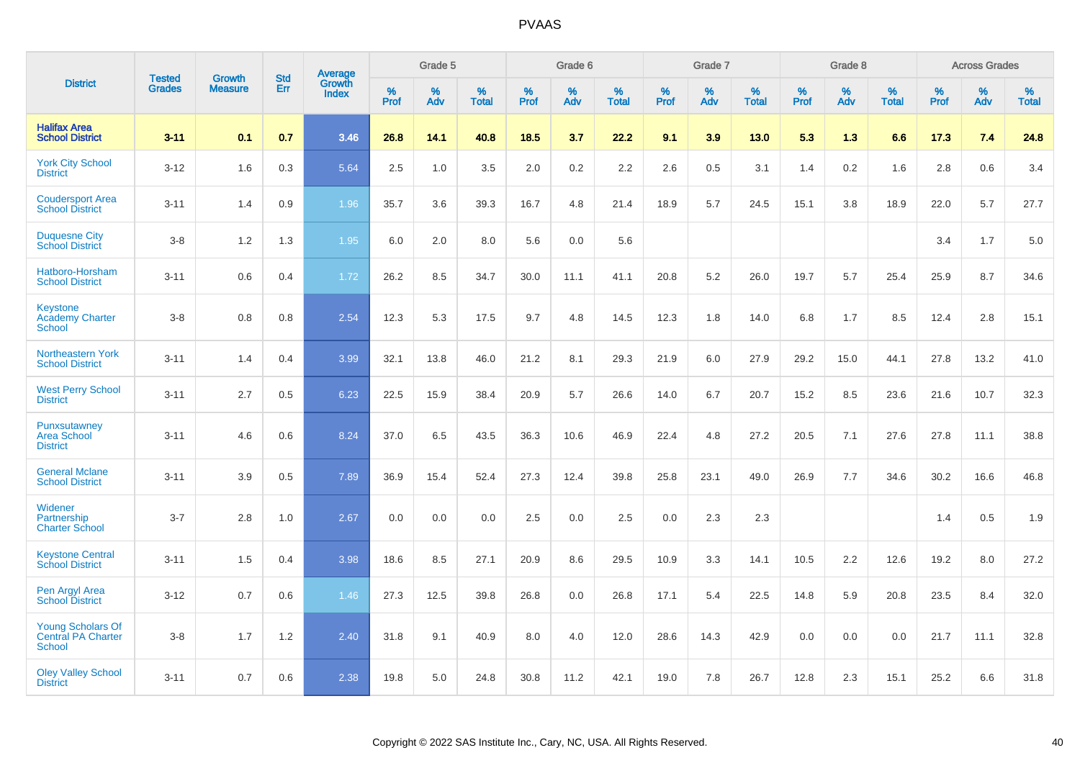|                                                          |                                | <b>Growth</b>  | <b>Std</b> | Average                |              | Grade 5  |                   |              | Grade 6  |                   |              | Grade 7  |                   |              | Grade 8  |                   |              | <b>Across Grades</b> |                   |
|----------------------------------------------------------|--------------------------------|----------------|------------|------------------------|--------------|----------|-------------------|--------------|----------|-------------------|--------------|----------|-------------------|--------------|----------|-------------------|--------------|----------------------|-------------------|
| <b>District</b>                                          | <b>Tested</b><br><b>Grades</b> | <b>Measure</b> | Err        | Growth<br><b>Index</b> | $\%$<br>Prof | %<br>Adv | %<br><b>Total</b> | $\%$<br>Prof | %<br>Adv | %<br><b>Total</b> | $\%$<br>Prof | %<br>Adv | %<br><b>Total</b> | $\%$<br>Prof | %<br>Adv | %<br><b>Total</b> | $\%$<br>Prof | %<br>Adv             | %<br><b>Total</b> |
| <b>Halifax Area</b><br><b>School District</b>            | $3 - 11$                       | 0.1            | 0.7        | 3.46                   | 26.8         | 14.1     | 40.8              | 18.5         | 3.7      | 22.2              | 9.1          | 3.9      | 13.0              | 5.3          | 1.3      | 6.6               | 17.3         | 7.4                  | 24.8              |
| <b>York City School</b><br><b>District</b>               | $3 - 12$                       | 1.6            | 0.3        | 5.64                   | 2.5          | 1.0      | 3.5               | 2.0          | $0.2\,$  | 2.2               | 2.6          | 0.5      | 3.1               | 1.4          | 0.2      | 1.6               | 2.8          | 0.6                  | 3.4               |
| <b>Coudersport Area</b><br><b>School District</b>        | $3 - 11$                       | 1.4            | 0.9        | 1.96                   | 35.7         | 3.6      | 39.3              | 16.7         | 4.8      | 21.4              | 18.9         | 5.7      | 24.5              | 15.1         | 3.8      | 18.9              | 22.0         | 5.7                  | 27.7              |
| <b>Duquesne City</b><br><b>School District</b>           | $3-8$                          | 1.2            | 1.3        | 1.95                   | 6.0          | 2.0      | 8.0               | 5.6          | 0.0      | 5.6               |              |          |                   |              |          |                   | 3.4          | 1.7                  | 5.0               |
| Hatboro-Horsham<br><b>School District</b>                | $3 - 11$                       | 0.6            | 0.4        | 1.72                   | 26.2         | 8.5      | 34.7              | 30.0         | 11.1     | 41.1              | 20.8         | 5.2      | 26.0              | 19.7         | 5.7      | 25.4              | 25.9         | 8.7                  | 34.6              |
| Keystone<br><b>Academy Charter</b><br><b>School</b>      | $3 - 8$                        | 0.8            | 0.8        | 2.54                   | 12.3         | 5.3      | 17.5              | 9.7          | 4.8      | 14.5              | 12.3         | 1.8      | 14.0              | 6.8          | 1.7      | 8.5               | 12.4         | 2.8                  | 15.1              |
| <b>Northeastern York</b><br><b>School District</b>       | $3 - 11$                       | 1.4            | 0.4        | 3.99                   | 32.1         | 13.8     | 46.0              | 21.2         | 8.1      | 29.3              | 21.9         | 6.0      | 27.9              | 29.2         | 15.0     | 44.1              | 27.8         | 13.2                 | 41.0              |
| <b>West Perry School</b><br><b>District</b>              | $3 - 11$                       | 2.7            | 0.5        | 6.23                   | 22.5         | 15.9     | 38.4              | 20.9         | 5.7      | 26.6              | 14.0         | 6.7      | 20.7              | 15.2         | 8.5      | 23.6              | 21.6         | 10.7                 | 32.3              |
| Punxsutawney<br><b>Area School</b><br><b>District</b>    | $3 - 11$                       | 4.6            | 0.6        | 8.24                   | 37.0         | 6.5      | 43.5              | 36.3         | 10.6     | 46.9              | 22.4         | 4.8      | 27.2              | 20.5         | 7.1      | 27.6              | 27.8         | 11.1                 | 38.8              |
| <b>General Mclane</b><br><b>School District</b>          | $3 - 11$                       | 3.9            | 0.5        | 7.89                   | 36.9         | 15.4     | 52.4              | 27.3         | 12.4     | 39.8              | 25.8         | 23.1     | 49.0              | 26.9         | 7.7      | 34.6              | 30.2         | 16.6                 | 46.8              |
| Widener<br>Partnership<br><b>Charter School</b>          | $3 - 7$                        | 2.8            | 1.0        | 2.67                   | 0.0          | 0.0      | 0.0               | 2.5          | 0.0      | 2.5               | 0.0          | 2.3      | 2.3               |              |          |                   | 1.4          | 0.5                  | 1.9               |
| <b>Keystone Central</b><br><b>School District</b>        | $3 - 11$                       | 1.5            | 0.4        | 3.98                   | 18.6         | 8.5      | 27.1              | 20.9         | 8.6      | 29.5              | 10.9         | 3.3      | 14.1              | 10.5         | 2.2      | 12.6              | 19.2         | 8.0                  | 27.2              |
| Pen Argyl Area<br><b>School District</b>                 | $3 - 12$                       | 0.7            | 0.6        | 1.46                   | 27.3         | 12.5     | 39.8              | 26.8         | 0.0      | 26.8              | 17.1         | 5.4      | 22.5              | 14.8         | 5.9      | 20.8              | 23.5         | 8.4                  | 32.0              |
| <b>Young Scholars Of</b><br>Central PA Charter<br>School | $3-8$                          | 1.7            | 1.2        | 2.40                   | 31.8         | 9.1      | 40.9              | 8.0          | 4.0      | 12.0              | 28.6         | 14.3     | 42.9              | 0.0          | 0.0      | 0.0               | 21.7         | 11.1                 | 32.8              |
| <b>Oley Valley School</b><br><b>District</b>             | $3 - 11$                       | 0.7            | 0.6        | 2.38                   | 19.8         | 5.0      | 24.8              | 30.8         | 11.2     | 42.1              | 19.0         | 7.8      | 26.7              | 12.8         | 2.3      | 15.1              | 25.2         | 6.6                  | 31.8              |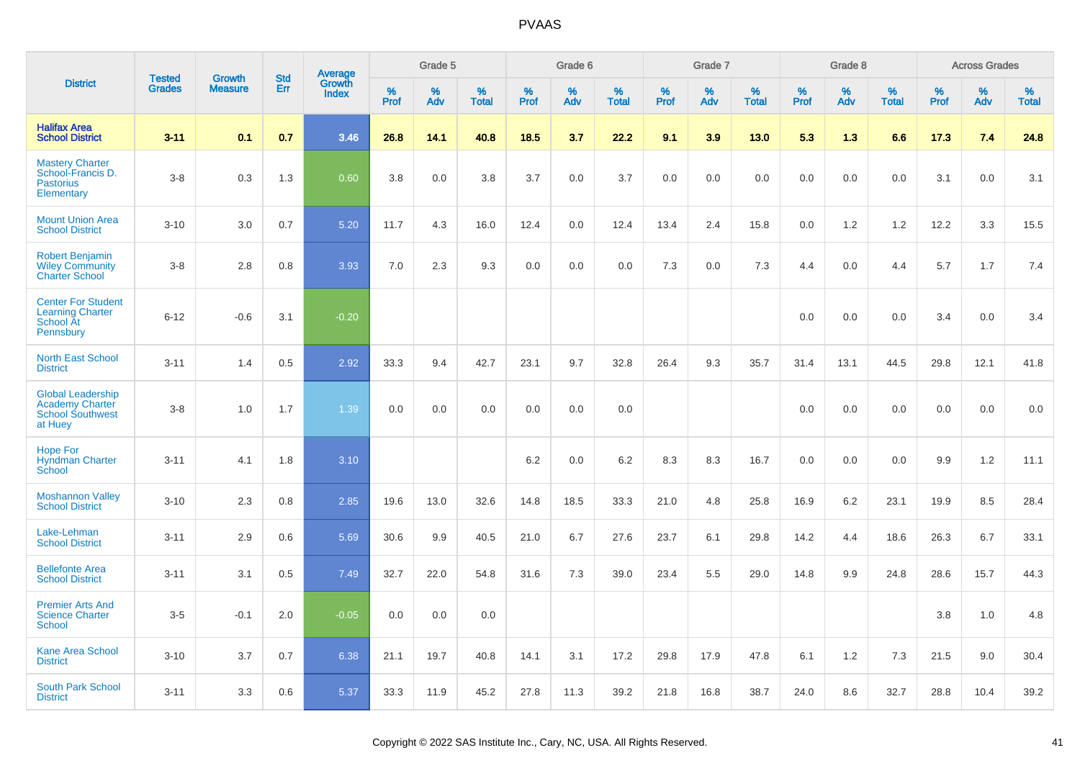|                                                                                          |                                |                                 |                   | Average                |                     | Grade 5     |                      |                     | Grade 6  |                      |              | Grade 7  |                      |              | Grade 8  |                      |                     | <b>Across Grades</b> |                      |
|------------------------------------------------------------------------------------------|--------------------------------|---------------------------------|-------------------|------------------------|---------------------|-------------|----------------------|---------------------|----------|----------------------|--------------|----------|----------------------|--------------|----------|----------------------|---------------------|----------------------|----------------------|
| <b>District</b>                                                                          | <b>Tested</b><br><b>Grades</b> | <b>Growth</b><br><b>Measure</b> | <b>Std</b><br>Err | Growth<br><b>Index</b> | $\%$<br><b>Prof</b> | $\%$<br>Adv | $\%$<br><b>Total</b> | $\%$<br><b>Prof</b> | %<br>Adv | $\%$<br><b>Total</b> | $\%$<br>Prof | %<br>Adv | $\%$<br><b>Total</b> | $\%$<br>Prof | %<br>Adv | $\%$<br><b>Total</b> | $\%$<br><b>Prof</b> | %<br>Adv             | $\%$<br><b>Total</b> |
| <b>Halifax Area</b><br><b>School District</b>                                            | $3 - 11$                       | 0.1                             | 0.7               | 3.46                   | 26.8                | 14.1        | 40.8                 | 18.5                | 3.7      | 22.2                 | 9.1          | 3.9      | 13.0                 | 5.3          | 1.3      | 6.6                  | 17.3                | 7.4                  | 24.8                 |
| <b>Mastery Charter</b><br>School-Francis D.<br><b>Pastorius</b><br>Elementary            | $3 - 8$                        | 0.3                             | 1.3               | 0.60                   | 3.8                 | 0.0         | 3.8                  | 3.7                 | 0.0      | 3.7                  | 0.0          | 0.0      | 0.0                  | 0.0          | 0.0      | 0.0                  | 3.1                 | 0.0                  | 3.1                  |
| <b>Mount Union Area</b><br><b>School District</b>                                        | $3 - 10$                       | 3.0                             | 0.7               | 5.20                   | 11.7                | 4.3         | 16.0                 | 12.4                | 0.0      | 12.4                 | 13.4         | 2.4      | 15.8                 | 0.0          | 1.2      | 1.2                  | 12.2                | 3.3                  | 15.5                 |
| <b>Robert Benjamin</b><br><b>Wiley Community</b><br><b>Charter School</b>                | $3-8$                          | 2.8                             | 0.8               | 3.93                   | 7.0                 | 2.3         | 9.3                  | 0.0                 | 0.0      | 0.0                  | 7.3          | 0.0      | 7.3                  | 4.4          | 0.0      | 4.4                  | 5.7                 | 1.7                  | 7.4                  |
| <b>Center For Student</b><br><b>Learning Charter</b><br><b>School At</b><br>Pennsbury    | $6 - 12$                       | $-0.6$                          | 3.1               | $-0.20$                |                     |             |                      |                     |          |                      |              |          |                      | 0.0          | 0.0      | 0.0                  | 3.4                 | 0.0                  | 3.4                  |
| <b>North East School</b><br><b>District</b>                                              | $3 - 11$                       | 1.4                             | 0.5               | 2.92                   | 33.3                | 9.4         | 42.7                 | 23.1                | 9.7      | 32.8                 | 26.4         | 9.3      | 35.7                 | 31.4         | 13.1     | 44.5                 | 29.8                | 12.1                 | 41.8                 |
| <b>Global Leadership</b><br><b>Academy Charter</b><br><b>School Southwest</b><br>at Huey | $3 - 8$                        | 1.0                             | 1.7               | 1.39                   | 0.0                 | 0.0         | 0.0                  | 0.0                 | 0.0      | 0.0                  |              |          |                      | 0.0          | 0.0      | 0.0                  | 0.0                 | 0.0                  | 0.0                  |
| <b>Hope For</b><br><b>Hyndman Charter</b><br>School                                      | $3 - 11$                       | 4.1                             | 1.8               | 3.10                   |                     |             |                      | 6.2                 | 0.0      | 6.2                  | 8.3          | 8.3      | 16.7                 | 0.0          | 0.0      | 0.0                  | 9.9                 | 1.2                  | 11.1                 |
| <b>Moshannon Valley</b><br><b>School District</b>                                        | $3 - 10$                       | 2.3                             | 0.8               | 2.85                   | 19.6                | 13.0        | 32.6                 | 14.8                | 18.5     | 33.3                 | 21.0         | 4.8      | 25.8                 | 16.9         | 6.2      | 23.1                 | 19.9                | 8.5                  | 28.4                 |
| Lake-Lehman<br><b>School District</b>                                                    | $3 - 11$                       | 2.9                             | 0.6               | 5.69                   | 30.6                | 9.9         | 40.5                 | 21.0                | 6.7      | 27.6                 | 23.7         | 6.1      | 29.8                 | 14.2         | 4.4      | 18.6                 | 26.3                | 6.7                  | 33.1                 |
| <b>Bellefonte Area</b><br><b>School District</b>                                         | $3 - 11$                       | 3.1                             | 0.5               | 7.49                   | 32.7                | 22.0        | 54.8                 | 31.6                | 7.3      | 39.0                 | 23.4         | 5.5      | 29.0                 | 14.8         | 9.9      | 24.8                 | 28.6                | 15.7                 | 44.3                 |
| <b>Premier Arts And</b><br><b>Science Charter</b><br>School                              | $3-5$                          | $-0.1$                          | 2.0               | $-0.05$                | 0.0                 | 0.0         | 0.0                  |                     |          |                      |              |          |                      |              |          |                      | 3.8                 | 1.0                  | 4.8                  |
| <b>Kane Area School</b><br><b>District</b>                                               | $3 - 10$                       | 3.7                             | 0.7               | 6.38                   | 21.1                | 19.7        | 40.8                 | 14.1                | 3.1      | 17.2                 | 29.8         | 17.9     | 47.8                 | 6.1          | 1.2      | 7.3                  | 21.5                | 9.0                  | 30.4                 |
| <b>South Park School</b><br><b>District</b>                                              | $3 - 11$                       | 3.3                             | 0.6               | 5.37                   | 33.3                | 11.9        | 45.2                 | 27.8                | 11.3     | 39.2                 | 21.8         | 16.8     | 38.7                 | 24.0         | 8.6      | 32.7                 | 28.8                | 10.4                 | 39.2                 |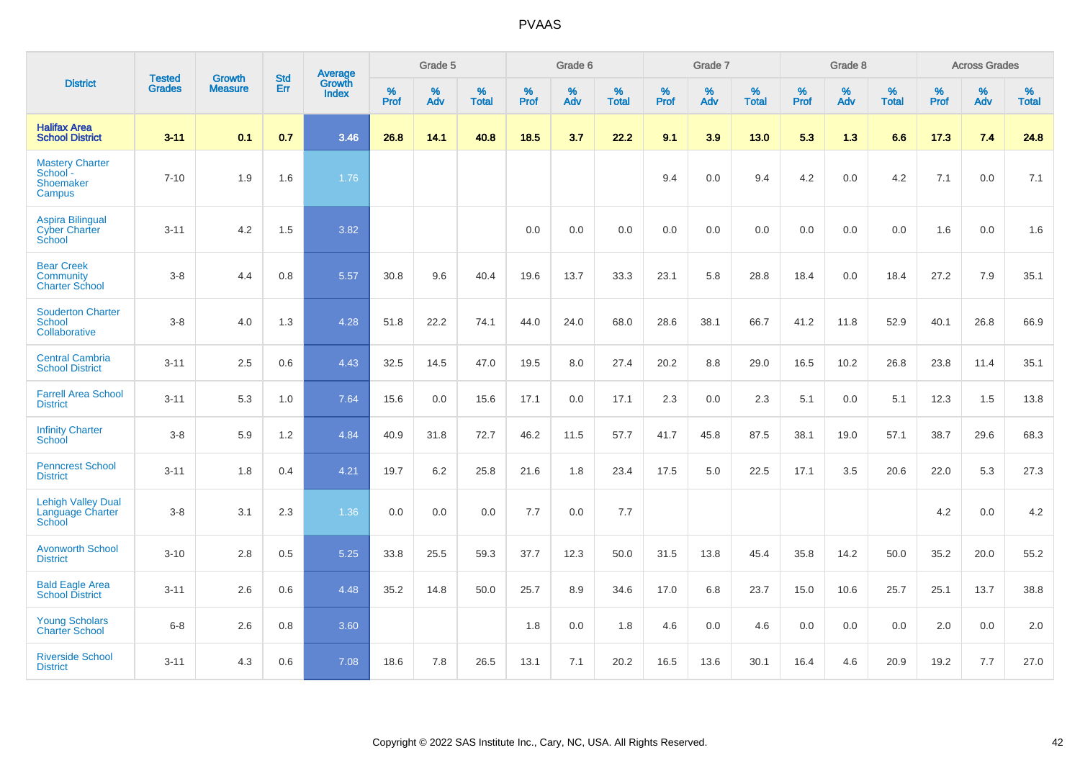|                                                                | <b>Tested</b> | <b>Growth</b>  | <b>Std</b> | <b>Average</b>         |              | Grade 5  |                   |           | Grade 6  |                   |           | Grade 7  |                   |           | Grade 8  |                   |           | <b>Across Grades</b> |                   |
|----------------------------------------------------------------|---------------|----------------|------------|------------------------|--------------|----------|-------------------|-----------|----------|-------------------|-----------|----------|-------------------|-----------|----------|-------------------|-----------|----------------------|-------------------|
| <b>District</b>                                                | <b>Grades</b> | <b>Measure</b> | Err        | Growth<br><b>Index</b> | $\%$<br>Prof | %<br>Adv | %<br><b>Total</b> | %<br>Prof | %<br>Adv | %<br><b>Total</b> | %<br>Prof | %<br>Adv | %<br><b>Total</b> | %<br>Prof | %<br>Adv | %<br><b>Total</b> | %<br>Prof | %<br>Adv             | %<br><b>Total</b> |
| <b>Halifax Area</b><br><b>School District</b>                  | $3 - 11$      | 0.1            | 0.7        | 3.46                   | 26.8         | 14.1     | 40.8              | 18.5      | 3.7      | 22.2              | 9.1       | 3.9      | 13.0              | 5.3       | 1.3      | 6.6               | 17.3      | 7.4                  | 24.8              |
| <b>Mastery Charter</b><br>School -<br>Shoemaker<br>Campus      | $7 - 10$      | 1.9            | 1.6        | 1.76                   |              |          |                   |           |          |                   | 9.4       | 0.0      | 9.4               | 4.2       | 0.0      | 4.2               | 7.1       | 0.0                  | 7.1               |
| <b>Aspira Bilingual</b><br><b>Cyber Charter</b><br>School      | $3 - 11$      | 4.2            | 1.5        | 3.82                   |              |          |                   | 0.0       | 0.0      | 0.0               | 0.0       | 0.0      | 0.0               | 0.0       | 0.0      | 0.0               | 1.6       | 0.0                  | 1.6               |
| <b>Bear Creek</b><br><b>Community</b><br><b>Charter School</b> | $3 - 8$       | 4.4            | 0.8        | 5.57                   | 30.8         | 9.6      | 40.4              | 19.6      | 13.7     | 33.3              | 23.1      | 5.8      | 28.8              | 18.4      | 0.0      | 18.4              | 27.2      | 7.9                  | 35.1              |
| <b>Souderton Charter</b><br>School<br>Collaborative            | $3 - 8$       | 4.0            | 1.3        | 4.28                   | 51.8         | 22.2     | 74.1              | 44.0      | 24.0     | 68.0              | 28.6      | 38.1     | 66.7              | 41.2      | 11.8     | 52.9              | 40.1      | 26.8                 | 66.9              |
| <b>Central Cambria</b><br><b>School District</b>               | $3 - 11$      | 2.5            | 0.6        | 4.43                   | 32.5         | 14.5     | 47.0              | 19.5      | 8.0      | 27.4              | 20.2      | 8.8      | 29.0              | 16.5      | 10.2     | 26.8              | 23.8      | 11.4                 | 35.1              |
| <b>Farrell Area School</b><br><b>District</b>                  | $3 - 11$      | 5.3            | 1.0        | 7.64                   | 15.6         | 0.0      | 15.6              | 17.1      | 0.0      | 17.1              | 2.3       | 0.0      | 2.3               | 5.1       | 0.0      | 5.1               | 12.3      | 1.5                  | 13.8              |
| <b>Infinity Charter</b><br>School                              | $3-8$         | 5.9            | 1.2        | 4.84                   | 40.9         | 31.8     | 72.7              | 46.2      | 11.5     | 57.7              | 41.7      | 45.8     | 87.5              | 38.1      | 19.0     | 57.1              | 38.7      | 29.6                 | 68.3              |
| <b>Penncrest School</b><br><b>District</b>                     | $3 - 11$      | 1.8            | 0.4        | 4.21                   | 19.7         | 6.2      | 25.8              | 21.6      | 1.8      | 23.4              | 17.5      | 5.0      | 22.5              | 17.1      | 3.5      | 20.6              | 22.0      | 5.3                  | 27.3              |
| <b>Lehigh Valley Dual</b><br>Language Charter<br>School        | $3 - 8$       | 3.1            | 2.3        | 1.36                   | 0.0          | 0.0      | 0.0               | 7.7       | 0.0      | 7.7               |           |          |                   |           |          |                   | 4.2       | 0.0                  | 4.2               |
| <b>Avonworth School</b><br><b>District</b>                     | $3 - 10$      | 2.8            | 0.5        | 5.25                   | 33.8         | 25.5     | 59.3              | 37.7      | 12.3     | 50.0              | 31.5      | 13.8     | 45.4              | 35.8      | 14.2     | 50.0              | 35.2      | 20.0                 | 55.2              |
| <b>Bald Eagle Area</b><br><b>School District</b>               | $3 - 11$      | 2.6            | 0.6        | 4.48                   | 35.2         | 14.8     | 50.0              | 25.7      | 8.9      | 34.6              | 17.0      | 6.8      | 23.7              | 15.0      | 10.6     | 25.7              | 25.1      | 13.7                 | 38.8              |
| <b>Young Scholars</b><br><b>Charter School</b>                 | $6 - 8$       | 2.6            | 0.8        | 3.60                   |              |          |                   | 1.8       | 0.0      | 1.8               | 4.6       | 0.0      | 4.6               | 0.0       | 0.0      | 0.0               | 2.0       | 0.0                  | 2.0               |
| <b>Riverside School</b><br><b>District</b>                     | $3 - 11$      | 4.3            | 0.6        | 7.08                   | 18.6         | 7.8      | 26.5              | 13.1      | 7.1      | 20.2              | 16.5      | 13.6     | 30.1              | 16.4      | 4.6      | 20.9              | 19.2      | 7.7                  | 27.0              |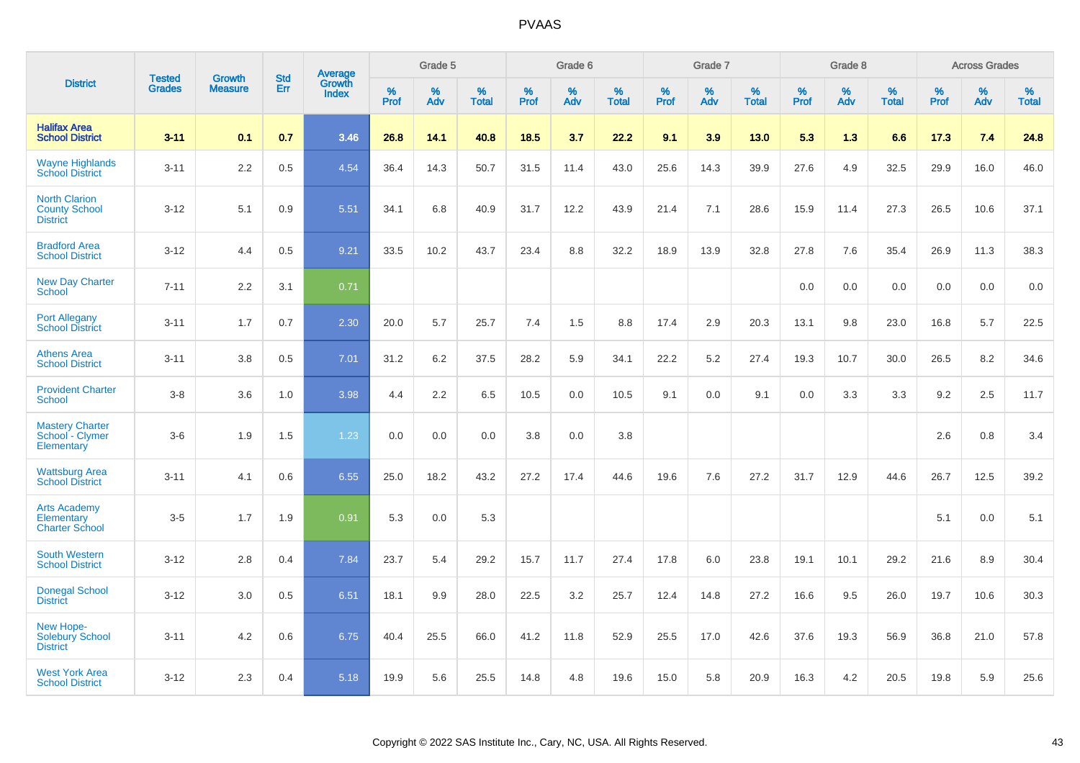|                                                                 |                                | <b>Growth</b>  | <b>Std</b> | Average                |              | Grade 5  |                   |           | Grade 6  |                   |           | Grade 7  |                   |           | Grade 8  |                   |           | <b>Across Grades</b> |                   |
|-----------------------------------------------------------------|--------------------------------|----------------|------------|------------------------|--------------|----------|-------------------|-----------|----------|-------------------|-----------|----------|-------------------|-----------|----------|-------------------|-----------|----------------------|-------------------|
| <b>District</b>                                                 | <b>Tested</b><br><b>Grades</b> | <b>Measure</b> | <b>Err</b> | Growth<br><b>Index</b> | $\%$<br>Prof | %<br>Adv | %<br><b>Total</b> | %<br>Prof | %<br>Adv | %<br><b>Total</b> | %<br>Prof | %<br>Adv | %<br><b>Total</b> | %<br>Prof | %<br>Adv | %<br><b>Total</b> | %<br>Prof | %<br>Adv             | %<br><b>Total</b> |
| <b>Halifax Area</b><br><b>School District</b>                   | $3 - 11$                       | 0.1            | 0.7        | 3.46                   | 26.8         | 14.1     | 40.8              | 18.5      | 3.7      | 22.2              | 9.1       | 3.9      | 13.0              | 5.3       | 1.3      | 6.6               | 17.3      | 7.4                  | 24.8              |
| <b>Wayne Highlands</b><br><b>School District</b>                | $3 - 11$                       | 2.2            | 0.5        | 4.54                   | 36.4         | 14.3     | 50.7              | 31.5      | 11.4     | 43.0              | 25.6      | 14.3     | 39.9              | 27.6      | 4.9      | 32.5              | 29.9      | 16.0                 | 46.0              |
| <b>North Clarion</b><br><b>County School</b><br><b>District</b> | $3 - 12$                       | 5.1            | 0.9        | 5.51                   | 34.1         | 6.8      | 40.9              | 31.7      | 12.2     | 43.9              | 21.4      | 7.1      | 28.6              | 15.9      | 11.4     | 27.3              | 26.5      | 10.6                 | 37.1              |
| <b>Bradford Area</b><br><b>School District</b>                  | $3 - 12$                       | 4.4            | 0.5        | 9.21                   | 33.5         | 10.2     | 43.7              | 23.4      | 8.8      | 32.2              | 18.9      | 13.9     | 32.8              | 27.8      | 7.6      | 35.4              | 26.9      | 11.3                 | 38.3              |
| <b>New Day Charter</b><br><b>School</b>                         | $7 - 11$                       | 2.2            | 3.1        | 0.71                   |              |          |                   |           |          |                   |           |          |                   | 0.0       | 0.0      | 0.0               | 0.0       | 0.0                  | 0.0               |
| <b>Port Allegany</b><br><b>School District</b>                  | $3 - 11$                       | 1.7            | 0.7        | 2.30                   | 20.0         | 5.7      | 25.7              | 7.4       | 1.5      | 8.8               | 17.4      | 2.9      | 20.3              | 13.1      | 9.8      | 23.0              | 16.8      | 5.7                  | 22.5              |
| <b>Athens Area</b><br><b>School District</b>                    | $3 - 11$                       | 3.8            | 0.5        | 7.01                   | 31.2         | 6.2      | 37.5              | 28.2      | 5.9      | 34.1              | 22.2      | 5.2      | 27.4              | 19.3      | 10.7     | 30.0              | 26.5      | 8.2                  | 34.6              |
| <b>Provident Charter</b><br><b>School</b>                       | $3 - 8$                        | 3.6            | 1.0        | 3.98                   | 4.4          | 2.2      | 6.5               | 10.5      | 0.0      | 10.5              | 9.1       | 0.0      | 9.1               | 0.0       | 3.3      | 3.3               | 9.2       | 2.5                  | 11.7              |
| <b>Mastery Charter</b><br>School - Clymer<br>Elementary         | $3-6$                          | 1.9            | 1.5        | 1.23                   | 0.0          | 0.0      | 0.0               | 3.8       | 0.0      | 3.8               |           |          |                   |           |          |                   | 2.6       | 0.8                  | 3.4               |
| <b>Wattsburg Area</b><br><b>School District</b>                 | $3 - 11$                       | 4.1            | 0.6        | 6.55                   | 25.0         | 18.2     | 43.2              | 27.2      | 17.4     | 44.6              | 19.6      | 7.6      | 27.2              | 31.7      | 12.9     | 44.6              | 26.7      | 12.5                 | 39.2              |
| <b>Arts Academy</b><br>Elementary<br><b>Charter School</b>      | $3-5$                          | 1.7            | 1.9        | 0.91                   | 5.3          | 0.0      | 5.3               |           |          |                   |           |          |                   |           |          |                   | 5.1       | 0.0                  | 5.1               |
| <b>South Western</b><br><b>School District</b>                  | $3 - 12$                       | 2.8            | 0.4        | 7.84                   | 23.7         | 5.4      | 29.2              | 15.7      | 11.7     | 27.4              | 17.8      | 6.0      | 23.8              | 19.1      | 10.1     | 29.2              | 21.6      | 8.9                  | 30.4              |
| <b>Donegal School</b><br><b>District</b>                        | $3 - 12$                       | 3.0            | 0.5        | 6.51                   | 18.1         | 9.9      | 28.0              | 22.5      | 3.2      | 25.7              | 12.4      | 14.8     | 27.2              | 16.6      | 9.5      | 26.0              | 19.7      | 10.6                 | 30.3              |
| New Hope-<br><b>Solebury School</b><br><b>District</b>          | $3 - 11$                       | 4.2            | 0.6        | 6.75                   | 40.4         | 25.5     | 66.0              | 41.2      | 11.8     | 52.9              | 25.5      | 17.0     | 42.6              | 37.6      | 19.3     | 56.9              | 36.8      | 21.0                 | 57.8              |
| <b>West York Area</b><br><b>School District</b>                 | $3 - 12$                       | 2.3            | 0.4        | 5.18                   | 19.9         | 5.6      | 25.5              | 14.8      | 4.8      | 19.6              | 15.0      | 5.8      | 20.9              | 16.3      | 4.2      | 20.5              | 19.8      | 5.9                  | 25.6              |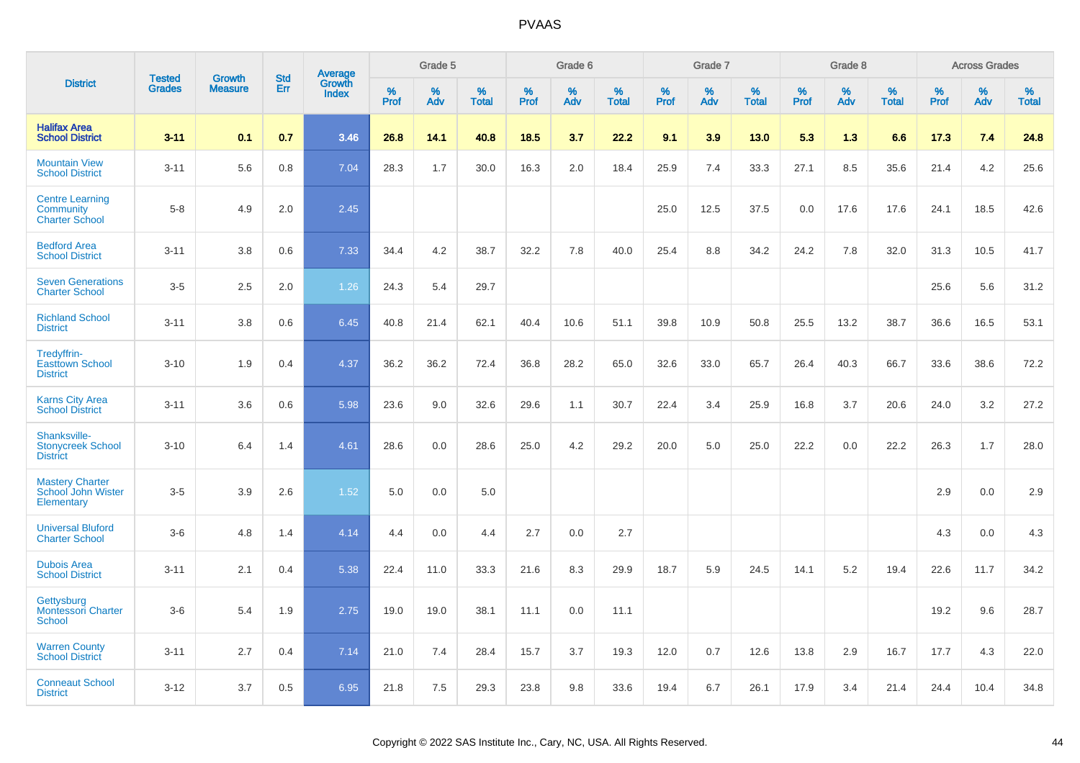|                                                              |                                |                                 | <b>Std</b> |                                   |                     | Grade 5  |                   |                     | Grade 6  |                   |              | Grade 7  |                   |                     | Grade 8  |                   |              | <b>Across Grades</b> |                      |
|--------------------------------------------------------------|--------------------------------|---------------------------------|------------|-----------------------------------|---------------------|----------|-------------------|---------------------|----------|-------------------|--------------|----------|-------------------|---------------------|----------|-------------------|--------------|----------------------|----------------------|
| <b>District</b>                                              | <b>Tested</b><br><b>Grades</b> | <b>Growth</b><br><b>Measure</b> | Err        | Average<br>Growth<br><b>Index</b> | $\%$<br><b>Prof</b> | %<br>Adv | %<br><b>Total</b> | $\%$<br><b>Prof</b> | %<br>Adv | %<br><b>Total</b> | $\%$<br>Prof | %<br>Adv | %<br><b>Total</b> | $\%$<br><b>Prof</b> | %<br>Adv | %<br><b>Total</b> | $\%$<br>Prof | %<br>Adv             | $\%$<br><b>Total</b> |
| <b>Halifax Area</b><br><b>School District</b>                | $3 - 11$                       | 0.1                             | 0.7        | 3.46                              | 26.8                | 14.1     | 40.8              | 18.5                | 3.7      | 22.2              | 9.1          | 3.9      | 13.0              | 5.3                 | 1.3      | 6.6               | 17.3         | 7.4                  | 24.8                 |
| <b>Mountain View</b><br><b>School District</b>               | $3 - 11$                       | 5.6                             | 0.8        | 7.04                              | 28.3                | 1.7      | 30.0              | 16.3                | 2.0      | 18.4              | 25.9         | 7.4      | 33.3              | 27.1                | 8.5      | 35.6              | 21.4         | 4.2                  | 25.6                 |
| <b>Centre Learning</b><br>Community<br><b>Charter School</b> | $5 - 8$                        | 4.9                             | 2.0        | 2.45                              |                     |          |                   |                     |          |                   | 25.0         | 12.5     | 37.5              | 0.0                 | 17.6     | 17.6              | 24.1         | 18.5                 | 42.6                 |
| <b>Bedford Area</b><br><b>School District</b>                | $3 - 11$                       | 3.8                             | 0.6        | 7.33                              | 34.4                | 4.2      | 38.7              | 32.2                | 7.8      | 40.0              | 25.4         | 8.8      | 34.2              | 24.2                | 7.8      | 32.0              | 31.3         | 10.5                 | 41.7                 |
| <b>Seven Generations</b><br><b>Charter School</b>            | $3-5$                          | 2.5                             | 2.0        | 1.26                              | 24.3                | 5.4      | 29.7              |                     |          |                   |              |          |                   |                     |          |                   | 25.6         | 5.6                  | 31.2                 |
| <b>Richland School</b><br><b>District</b>                    | $3 - 11$                       | 3.8                             | 0.6        | 6.45                              | 40.8                | 21.4     | 62.1              | 40.4                | 10.6     | 51.1              | 39.8         | 10.9     | 50.8              | 25.5                | 13.2     | 38.7              | 36.6         | 16.5                 | 53.1                 |
| Tredyffrin-<br><b>Easttown School</b><br><b>District</b>     | $3 - 10$                       | 1.9                             | 0.4        | 4.37                              | 36.2                | 36.2     | 72.4              | 36.8                | 28.2     | 65.0              | 32.6         | 33.0     | 65.7              | 26.4                | 40.3     | 66.7              | 33.6         | 38.6                 | 72.2                 |
| <b>Karns City Area</b><br><b>School District</b>             | $3 - 11$                       | 3.6                             | 0.6        | 5.98                              | 23.6                | 9.0      | 32.6              | 29.6                | 1.1      | 30.7              | 22.4         | 3.4      | 25.9              | 16.8                | 3.7      | 20.6              | 24.0         | 3.2                  | 27.2                 |
| Shanksville-<br><b>Stonycreek School</b><br><b>District</b>  | $3 - 10$                       | 6.4                             | 1.4        | 4.61                              | 28.6                | 0.0      | 28.6              | 25.0                | 4.2      | 29.2              | 20.0         | 5.0      | 25.0              | 22.2                | 0.0      | 22.2              | 26.3         | 1.7                  | 28.0                 |
| <b>Mastery Charter</b><br>School John Wister<br>Elementary   | $3-5$                          | 3.9                             | 2.6        | 1.52                              | 5.0                 | 0.0      | 5.0               |                     |          |                   |              |          |                   |                     |          |                   | 2.9          | 0.0                  | 2.9                  |
| <b>Universal Bluford</b><br><b>Charter School</b>            | $3-6$                          | 4.8                             | 1.4        | 4.14                              | 4.4                 | 0.0      | 4.4               | 2.7                 | 0.0      | 2.7               |              |          |                   |                     |          |                   | 4.3          | 0.0                  | 4.3                  |
| <b>Dubois Area</b><br><b>School District</b>                 | $3 - 11$                       | 2.1                             | 0.4        | 5.38                              | 22.4                | 11.0     | 33.3              | 21.6                | 8.3      | 29.9              | 18.7         | 5.9      | 24.5              | 14.1                | 5.2      | 19.4              | 22.6         | 11.7                 | 34.2                 |
| Gettysburg<br><b>Montessori Charter</b><br>School            | $3-6$                          | 5.4                             | 1.9        | 2.75                              | 19.0                | 19.0     | 38.1              | 11.1                | 0.0      | 11.1              |              |          |                   |                     |          |                   | 19.2         | 9.6                  | 28.7                 |
| <b>Warren County</b><br><b>School District</b>               | $3 - 11$                       | 2.7                             | 0.4        | 7.14                              | 21.0                | 7.4      | 28.4              | 15.7                | 3.7      | 19.3              | 12.0         | 0.7      | 12.6              | 13.8                | 2.9      | 16.7              | 17.7         | 4.3                  | 22.0                 |
| <b>Conneaut School</b><br><b>District</b>                    | $3 - 12$                       | 3.7                             | 0.5        | 6.95                              | 21.8                | 7.5      | 29.3              | 23.8                | 9.8      | 33.6              | 19.4         | 6.7      | 26.1              | 17.9                | 3.4      | 21.4              | 24.4         | 10.4                 | 34.8                 |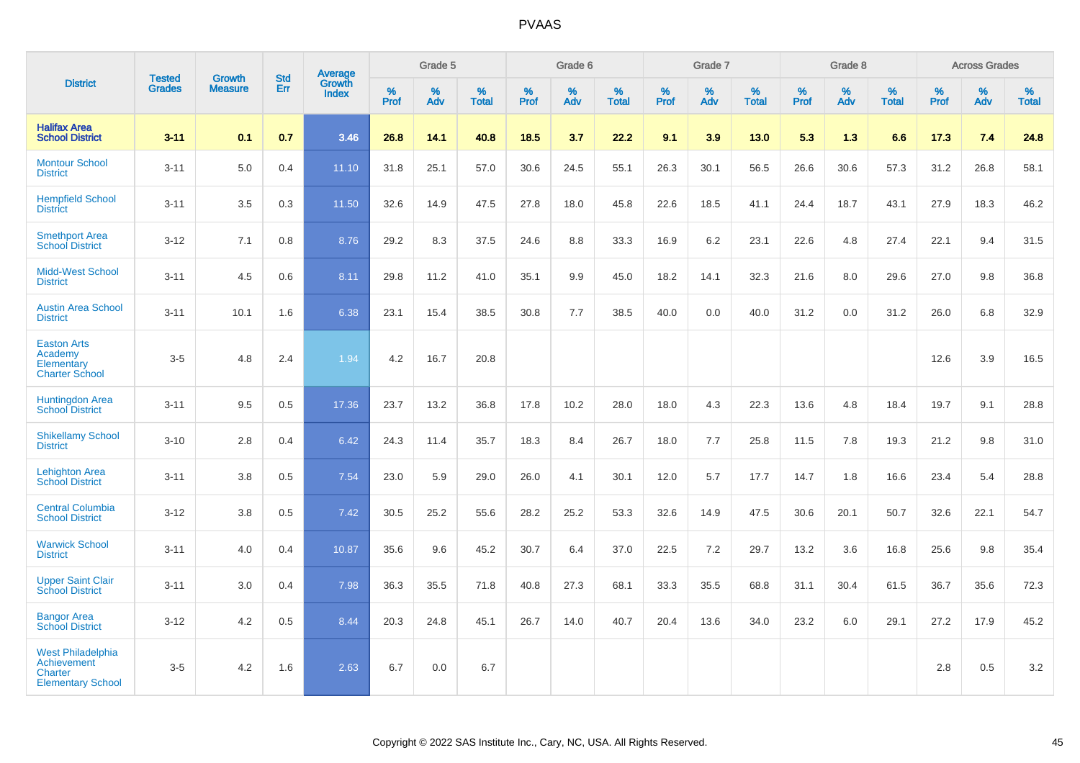|                                                                                              |                                |                                 | <b>Std</b> | Average                |              | Grade 5  |                   |           | Grade 6  |                   |           | Grade 7  |                   |           | Grade 8  |                   |           | <b>Across Grades</b> |                   |
|----------------------------------------------------------------------------------------------|--------------------------------|---------------------------------|------------|------------------------|--------------|----------|-------------------|-----------|----------|-------------------|-----------|----------|-------------------|-----------|----------|-------------------|-----------|----------------------|-------------------|
| <b>District</b>                                                                              | <b>Tested</b><br><b>Grades</b> | <b>Growth</b><br><b>Measure</b> | Err        | Growth<br><b>Index</b> | $\%$<br>Prof | %<br>Adv | %<br><b>Total</b> | %<br>Prof | %<br>Adv | %<br><b>Total</b> | %<br>Prof | %<br>Adv | %<br><b>Total</b> | %<br>Prof | %<br>Adv | %<br><b>Total</b> | %<br>Prof | %<br>Adv             | %<br><b>Total</b> |
| <b>Halifax Area</b><br><b>School District</b>                                                | $3 - 11$                       | 0.1                             | 0.7        | 3.46                   | 26.8         | 14.1     | 40.8              | 18.5      | 3.7      | 22.2              | 9.1       | 3.9      | 13.0              | 5.3       | 1.3      | 6.6               | 17.3      | 7.4                  | 24.8              |
| <b>Montour School</b><br><b>District</b>                                                     | $3 - 11$                       | 5.0                             | 0.4        | 11.10                  | 31.8         | 25.1     | 57.0              | 30.6      | 24.5     | 55.1              | 26.3      | 30.1     | 56.5              | 26.6      | 30.6     | 57.3              | 31.2      | 26.8                 | 58.1              |
| <b>Hempfield School</b><br><b>District</b>                                                   | $3 - 11$                       | 3.5                             | 0.3        | 11.50                  | 32.6         | 14.9     | 47.5              | 27.8      | 18.0     | 45.8              | 22.6      | 18.5     | 41.1              | 24.4      | 18.7     | 43.1              | 27.9      | 18.3                 | 46.2              |
| <b>Smethport Area</b><br><b>School District</b>                                              | $3 - 12$                       | 7.1                             | 0.8        | 8.76                   | 29.2         | 8.3      | 37.5              | 24.6      | 8.8      | 33.3              | 16.9      | 6.2      | 23.1              | 22.6      | 4.8      | 27.4              | 22.1      | 9.4                  | 31.5              |
| <b>Midd-West School</b><br><b>District</b>                                                   | $3 - 11$                       | 4.5                             | 0.6        | 8.11                   | 29.8         | 11.2     | 41.0              | 35.1      | 9.9      | 45.0              | 18.2      | 14.1     | 32.3              | 21.6      | 8.0      | 29.6              | 27.0      | 9.8                  | 36.8              |
| <b>Austin Area School</b><br><b>District</b>                                                 | $3 - 11$                       | 10.1                            | 1.6        | 6.38                   | 23.1         | 15.4     | 38.5              | 30.8      | 7.7      | 38.5              | 40.0      | 0.0      | 40.0              | 31.2      | 0.0      | 31.2              | 26.0      | 6.8                  | 32.9              |
| <b>Easton Arts</b><br>Academy<br>Elementary<br><b>Charter School</b>                         | $3-5$                          | 4.8                             | 2.4        | 1.94                   | 4.2          | 16.7     | 20.8              |           |          |                   |           |          |                   |           |          |                   | 12.6      | 3.9                  | 16.5              |
| <b>Huntingdon Area</b><br><b>School District</b>                                             | $3 - 11$                       | 9.5                             | 0.5        | 17.36                  | 23.7         | 13.2     | 36.8              | 17.8      | 10.2     | 28.0              | 18.0      | 4.3      | 22.3              | 13.6      | 4.8      | 18.4              | 19.7      | 9.1                  | 28.8              |
| <b>Shikellamy School</b><br><b>District</b>                                                  | $3 - 10$                       | 2.8                             | 0.4        | 6.42                   | 24.3         | 11.4     | 35.7              | 18.3      | 8.4      | 26.7              | 18.0      | 7.7      | 25.8              | 11.5      | 7.8      | 19.3              | 21.2      | 9.8                  | 31.0              |
| <b>Lehighton Area</b><br><b>School District</b>                                              | $3 - 11$                       | 3.8                             | 0.5        | 7.54                   | 23.0         | 5.9      | 29.0              | 26.0      | 4.1      | 30.1              | 12.0      | 5.7      | 17.7              | 14.7      | 1.8      | 16.6              | 23.4      | 5.4                  | 28.8              |
| <b>Central Columbia</b><br><b>School District</b>                                            | $3 - 12$                       | 3.8                             | 0.5        | 7.42                   | 30.5         | 25.2     | 55.6              | 28.2      | 25.2     | 53.3              | 32.6      | 14.9     | 47.5              | 30.6      | 20.1     | 50.7              | 32.6      | 22.1                 | 54.7              |
| <b>Warwick School</b><br><b>District</b>                                                     | $3 - 11$                       | 4.0                             | 0.4        | 10.87                  | 35.6         | 9.6      | 45.2              | 30.7      | 6.4      | 37.0              | 22.5      | 7.2      | 29.7              | 13.2      | 3.6      | 16.8              | 25.6      | 9.8                  | 35.4              |
| <b>Upper Saint Clair</b><br><b>School District</b>                                           | $3 - 11$                       | 3.0                             | 0.4        | 7.98                   | 36.3         | 35.5     | 71.8              | 40.8      | 27.3     | 68.1              | 33.3      | 35.5     | 68.8              | 31.1      | 30.4     | 61.5              | 36.7      | 35.6                 | 72.3              |
| <b>Bangor Area</b><br><b>School District</b>                                                 | $3 - 12$                       | 4.2                             | 0.5        | 8.44                   | 20.3         | 24.8     | 45.1              | 26.7      | 14.0     | 40.7              | 20.4      | 13.6     | 34.0              | 23.2      | 6.0      | 29.1              | 27.2      | 17.9                 | 45.2              |
| <b>West Philadelphia</b><br><b>Achievement</b><br><b>Charter</b><br><b>Elementary School</b> | $3-5$                          | 4.2                             | 1.6        | 2.63                   | 6.7          | 0.0      | 6.7               |           |          |                   |           |          |                   |           |          |                   | 2.8       | 0.5                  | 3.2               |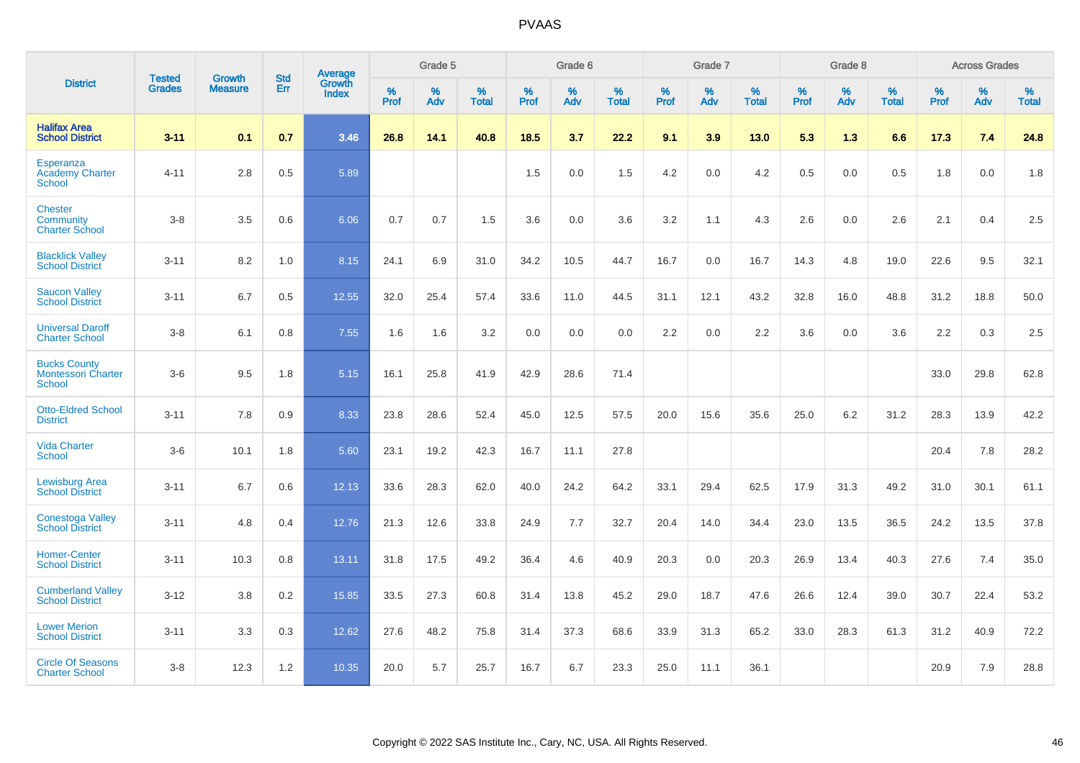|                                                                   | <b>Tested</b> | <b>Growth</b>  | <b>Std</b> | Average                       |           | Grade 5  |                   |           | Grade 6  |                   |           | Grade 7  |                   |           | Grade 8  |                   |           | <b>Across Grades</b> |                   |
|-------------------------------------------------------------------|---------------|----------------|------------|-------------------------------|-----------|----------|-------------------|-----------|----------|-------------------|-----------|----------|-------------------|-----------|----------|-------------------|-----------|----------------------|-------------------|
| <b>District</b>                                                   | <b>Grades</b> | <b>Measure</b> | Err        | <b>Growth</b><br><b>Index</b> | %<br>Prof | %<br>Adv | %<br><b>Total</b> | %<br>Prof | %<br>Adv | %<br><b>Total</b> | %<br>Prof | %<br>Adv | %<br><b>Total</b> | %<br>Prof | %<br>Adv | %<br><b>Total</b> | %<br>Prof | %<br>Adv             | %<br><b>Total</b> |
| <b>Halifax Area</b><br><b>School District</b>                     | $3 - 11$      | 0.1            | 0.7        | 3.46                          | 26.8      | 14.1     | 40.8              | 18.5      | 3.7      | 22.2              | 9.1       | 3.9      | 13.0              | 5.3       | 1.3      | 6.6               | 17.3      | 7.4                  | 24.8              |
| Esperanza<br><b>Academy Charter</b><br><b>School</b>              | $4 - 11$      | 2.8            | 0.5        | 5.89                          |           |          |                   | 1.5       | 0.0      | 1.5               | 4.2       | 0.0      | 4.2               | 0.5       | 0.0      | 0.5               | 1.8       | 0.0                  | 1.8               |
| <b>Chester</b><br>Community<br><b>Charter School</b>              | $3 - 8$       | 3.5            | 0.6        | 6.06                          | 0.7       | 0.7      | 1.5               | 3.6       | 0.0      | 3.6               | 3.2       | 1.1      | 4.3               | 2.6       | 0.0      | 2.6               | 2.1       | 0.4                  | 2.5               |
| <b>Blacklick Valley</b><br><b>School District</b>                 | $3 - 11$      | 8.2            | 1.0        | 8.15                          | 24.1      | 6.9      | 31.0              | 34.2      | 10.5     | 44.7              | 16.7      | 0.0      | 16.7              | 14.3      | 4.8      | 19.0              | 22.6      | 9.5                  | 32.1              |
| <b>Saucon Valley</b><br><b>School District</b>                    | $3 - 11$      | 6.7            | 0.5        | 12.55                         | 32.0      | 25.4     | 57.4              | 33.6      | 11.0     | 44.5              | 31.1      | 12.1     | 43.2              | 32.8      | 16.0     | 48.8              | 31.2      | 18.8                 | 50.0              |
| <b>Universal Daroff</b><br><b>Charter School</b>                  | $3 - 8$       | 6.1            | 0.8        | 7.55                          | 1.6       | 1.6      | 3.2               | 0.0       | 0.0      | 0.0               | 2.2       | 0.0      | 2.2               | 3.6       | 0.0      | 3.6               | 2.2       | 0.3                  | 2.5               |
| <b>Bucks County</b><br><b>Montessori Charter</b><br><b>School</b> | $3-6$         | 9.5            | 1.8        | 5.15                          | 16.1      | 25.8     | 41.9              | 42.9      | 28.6     | 71.4              |           |          |                   |           |          |                   | 33.0      | 29.8                 | 62.8              |
| <b>Otto-Eldred School</b><br><b>District</b>                      | $3 - 11$      | 7.8            | 0.9        | 8.33                          | 23.8      | 28.6     | 52.4              | 45.0      | 12.5     | 57.5              | 20.0      | 15.6     | 35.6              | 25.0      | 6.2      | 31.2              | 28.3      | 13.9                 | 42.2              |
| <b>Vida Charter</b><br><b>School</b>                              | $3-6$         | 10.1           | 1.8        | 5.60                          | 23.1      | 19.2     | 42.3              | 16.7      | 11.1     | 27.8              |           |          |                   |           |          |                   | 20.4      | 7.8                  | 28.2              |
| <b>Lewisburg Area</b><br><b>School District</b>                   | $3 - 11$      | 6.7            | 0.6        | 12.13                         | 33.6      | 28.3     | 62.0              | 40.0      | 24.2     | 64.2              | 33.1      | 29.4     | 62.5              | 17.9      | 31.3     | 49.2              | 31.0      | 30.1                 | 61.1              |
| <b>Conestoga Valley</b><br><b>School District</b>                 | $3 - 11$      | 4.8            | 0.4        | 12.76                         | 21.3      | 12.6     | 33.8              | 24.9      | 7.7      | 32.7              | 20.4      | 14.0     | 34.4              | 23.0      | 13.5     | 36.5              | 24.2      | 13.5                 | 37.8              |
| <b>Homer-Center</b><br><b>School District</b>                     | $3 - 11$      | 10.3           | 0.8        | 13.11                         | 31.8      | 17.5     | 49.2              | 36.4      | 4.6      | 40.9              | 20.3      | 0.0      | 20.3              | 26.9      | 13.4     | 40.3              | 27.6      | 7.4                  | 35.0              |
| <b>Cumberland Valley</b><br><b>School District</b>                | $3 - 12$      | 3.8            | 0.2        | 15.85                         | 33.5      | 27.3     | 60.8              | 31.4      | 13.8     | 45.2              | 29.0      | 18.7     | 47.6              | 26.6      | 12.4     | 39.0              | 30.7      | 22.4                 | 53.2              |
| <b>Lower Merion</b><br><b>School District</b>                     | $3 - 11$      | 3.3            | 0.3        | 12.62                         | 27.6      | 48.2     | 75.8              | 31.4      | 37.3     | 68.6              | 33.9      | 31.3     | 65.2              | 33.0      | 28.3     | 61.3              | 31.2      | 40.9                 | 72.2              |
| <b>Circle Of Seasons</b><br><b>Charter School</b>                 | $3 - 8$       | 12.3           | 1.2        | 10.35                         | 20.0      | 5.7      | 25.7              | 16.7      | 6.7      | 23.3              | 25.0      | 11.1     | 36.1              |           |          |                   | 20.9      | 7.9                  | 28.8              |